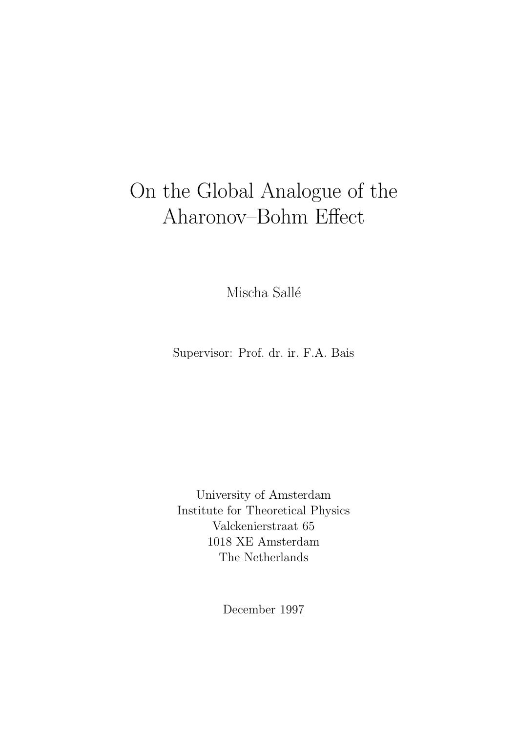# On the Global Analogue of the Aharonov–Bohm Effect

Mischa Sallé

Supervisor: Prof. dr. ir. F.A. Bais

University of Amsterdam Institute for Theoretical Physics Valckenierstraat 65 1018 XE Amsterdam The Netherlands

December 1997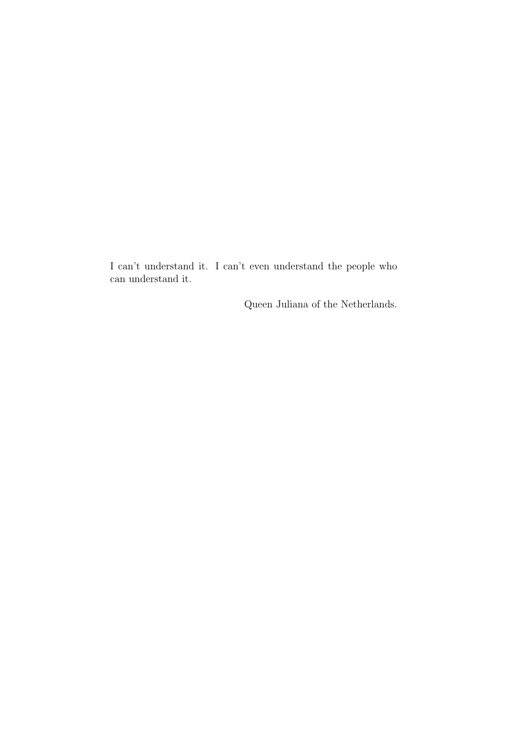I can't understand it. I can't even understand the people who can understand it.

Queen Juliana of the Netherlands.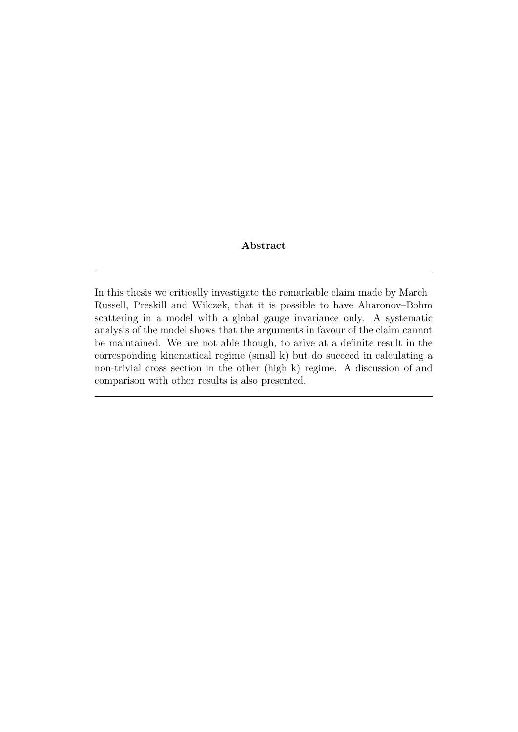#### Abstract

In this thesis we critically investigate the remarkable claim made by March– Russell, Preskill and Wilczek, that it is possible to have Aharonov–Bohm scattering in a model with a global gauge invariance only. A systematic analysis of the model shows that the arguments in favour of the claim cannot be maintained. We are not able though, to arive at a definite result in the corresponding kinematical regime (small k) but do succeed in calculating a non-trivial cross section in the other (high k) regime. A discussion of and comparison with other results is also presented.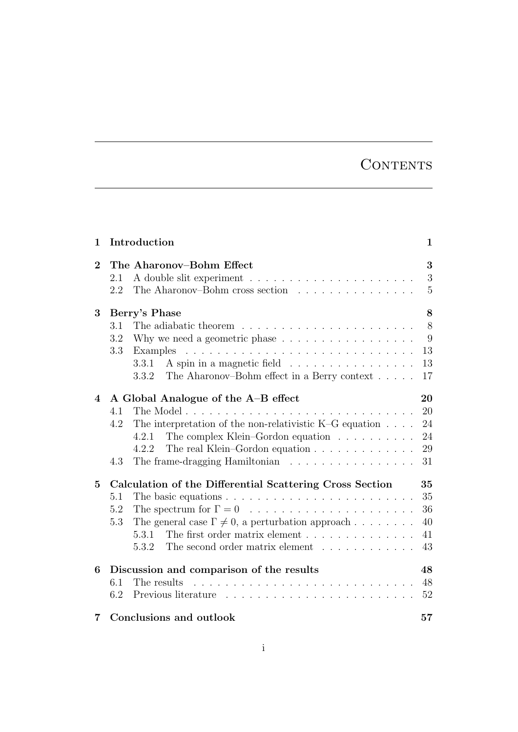## **CONTENTS**

| 1              | Introduction                                                                                                                                                                                                                                                                                                                                       | $\mathbf 1$                      |
|----------------|----------------------------------------------------------------------------------------------------------------------------------------------------------------------------------------------------------------------------------------------------------------------------------------------------------------------------------------------------|----------------------------------|
| $\overline{2}$ | The Aharonov-Bohm Effect<br>2.1<br>The Aharonov-Bohm cross section<br>2.2                                                                                                                                                                                                                                                                          | 3<br>3<br>5                      |
| 3              | Berry's Phase<br>3.1<br>3.2<br>Why we need a geometric phase $\dots \dots \dots \dots \dots \dots$<br>3.3<br>Examples<br>A spin in a magnetic field<br>3.3.1<br>The Aharonov–Bohm effect in a Berry context $\dots$ .<br>3.3.2                                                                                                                     | 8<br>8<br>9<br>13<br>13<br>17    |
| 4              | A Global Analogue of the A-B effect<br>4.1<br>The interpretation of the non-relativistic K-G equation $\dots$ .<br>4.2<br>The complex Klein–Gordon equation $\ldots \ldots \ldots$<br>4.2.1<br>The real Klein–Gordon equation $\ldots \ldots \ldots \ldots$<br>4.2.2<br>The frame-dragging Hamiltonian $\ldots \ldots \ldots \ldots \ldots$<br>4.3 | 20<br>20<br>24<br>24<br>29<br>31 |
| $\overline{5}$ | Calculation of the Differential Scattering Cross Section<br>The basic equations $\ldots \ldots \ldots \ldots \ldots \ldots \ldots \ldots$<br>5.1<br>5.2<br>The general case $\Gamma \neq 0$ , a perturbation approach<br>5.3<br>The first order matrix element<br>5.3.1<br>The second order matrix element<br>5.3.2                                | 35<br>35<br>36<br>40<br>41<br>43 |
| 6              | Discussion and comparison of the results<br>6.1<br>The results<br>6.2                                                                                                                                                                                                                                                                              | 48<br>48<br>52                   |
| 7              | Conclusions and outlook                                                                                                                                                                                                                                                                                                                            | 57                               |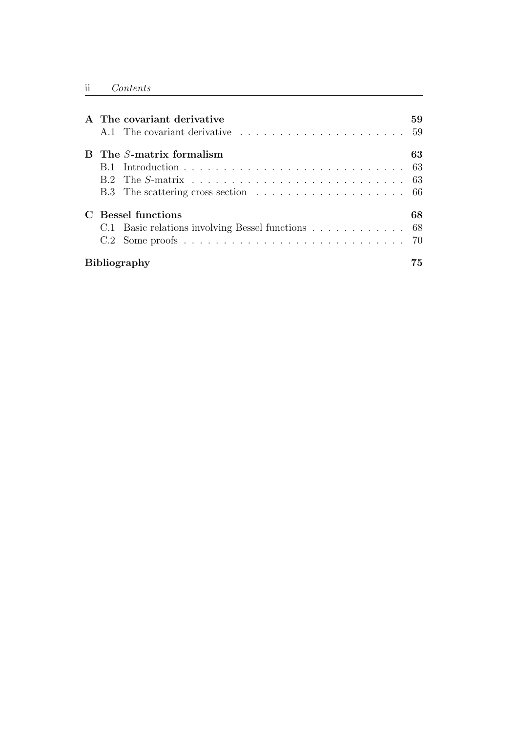|  |                     | A The covariant derivative                                                                                            | 59 |  |
|--|---------------------|-----------------------------------------------------------------------------------------------------------------------|----|--|
|  |                     | A.1 The covariant derivative resources in the set of the covariant derivative resources in the set of the set of $59$ |    |  |
|  |                     | <b>B</b> The <i>S</i> -matrix formalism                                                                               | 63 |  |
|  |                     |                                                                                                                       |    |  |
|  |                     |                                                                                                                       |    |  |
|  |                     |                                                                                                                       |    |  |
|  |                     | <b>Bessel functions</b>                                                                                               | 68 |  |
|  |                     | C.1 Basic relations involving Bessel functions 68                                                                     |    |  |
|  |                     |                                                                                                                       |    |  |
|  | <b>Bibliography</b> |                                                                                                                       |    |  |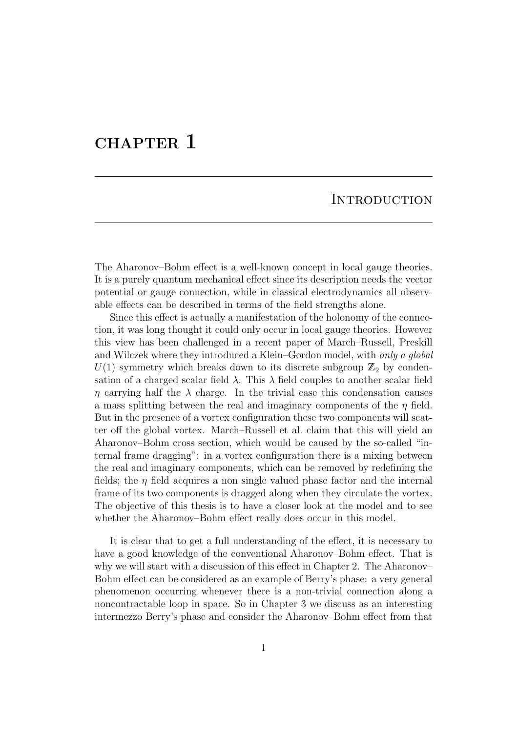## CHAPTER<sub>1</sub>

#### **INTRODUCTION**

The Aharonov–Bohm effect is a well-known concept in local gauge theories. It is a purely quantum mechanical effect since its description needs the vector potential or gauge connection, while in classical electrodynamics all observable effects can be described in terms of the field strengths alone.

Since this effect is actually a manifestation of the holonomy of the connection, it was long thought it could only occur in local gauge theories. However this view has been challenged in a recent paper of March–Russell, Preskill and Wilczek where they introduced a Klein–Gordon model, with *only a global*  $U(1)$  symmetry which breaks down to its discrete subgroup  $\mathbb{Z}_2$  by condensation of a charged scalar field  $\lambda$ . This  $\lambda$  field couples to another scalar field  $\eta$  carrying half the  $\lambda$  charge. In the trivial case this condensation causes a mass splitting between the real and imaginary components of the  $\eta$  field. But in the presence of a vortex configuration these two components will scatter off the global vortex. March–Russell et al. claim that this will yield an Aharonov–Bohm cross section, which would be caused by the so-called "internal frame dragging": in a vortex configuration there is a mixing between the real and imaginary components, which can be removed by redefining the fields; the  $\eta$  field acquires a non single valued phase factor and the internal frame of its two components is dragged along when they circulate the vortex. The objective of this thesis is to have a closer look at the model and to see whether the Aharonov–Bohm effect really does occur in this model.

It is clear that to get a full understanding of the effect, it is necessary to have a good knowledge of the conventional Aharonov–Bohm effect. That is why we will start with a discussion of this effect in Chapter 2. The Aharonov– Bohm effect can be considered as an example of Berry's phase: a very general phenomenon occurring whenever there is a non-trivial connection along a noncontractable loop in space. So in Chapter 3 we discuss as an interesting intermezzo Berry's phase and consider the Aharonov–Bohm effect from that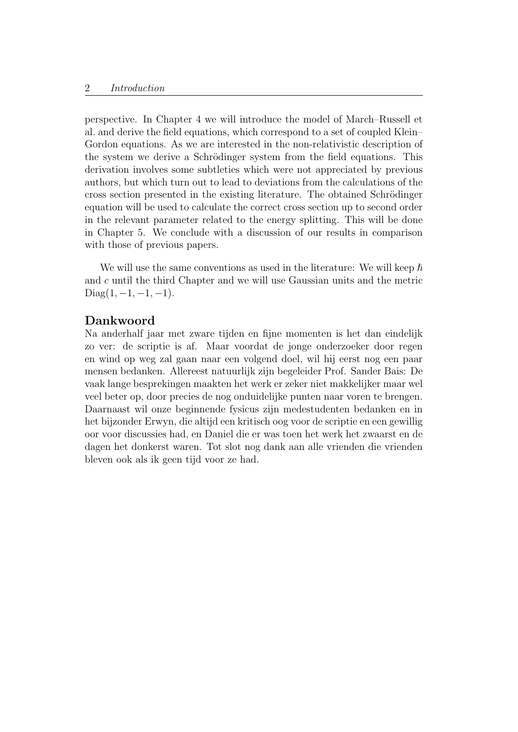perspective. In Chapter 4 we will introduce the model of March–Russell et al. and derive the field equations, which correspond to a set of coupled Klein– Gordon equations. As we are interested in the non-relativistic description of the system we derive a Schrödinger system from the field equations. This derivation involves some subtleties which were not appreciated by previous authors, but which turn out to lead to deviations from the calculations of the cross section presented in the existing literature. The obtained Schrödinger equation will be used to calculate the correct cross section up to second order in the relevant parameter related to the energy splitting. This will be done in Chapter 5. We conclude with a discussion of our results in comparison with those of previous papers.

We will use the same conventions as used in the literature: We will keep  $\hbar$ and c until the third Chapter and we will use Gaussian units and the metric Diag $(1, -1, -1, -1)$ .

#### Dankwoord

Na anderhalf jaar met zware tijden en fijne momenten is het dan eindelijk zo ver: de scriptie is af. Maar voordat de jonge onderzoeker door regen en wind op weg zal gaan naar een volgend doel, wil hij eerst nog een paar mensen bedanken. Allereest natuurlijk zijn begeleider Prof. Sander Bais: De vaak lange besprekingen maakten het werk er zeker niet makkelijker maar wel veel beter op, door precies de nog onduidelijke punten naar voren te brengen. Daarnaast wil onze beginnende fysicus zijn medestudenten bedanken en in het bijzonder Erwyn, die altijd een kritisch oog voor de scriptie en een gewillig oor voor discussies had, en Daniel die er was toen het werk het zwaarst en de dagen het donkerst waren. Tot slot nog dank aan alle vrienden die vrienden bleven ook als ik geen tijd voor ze had.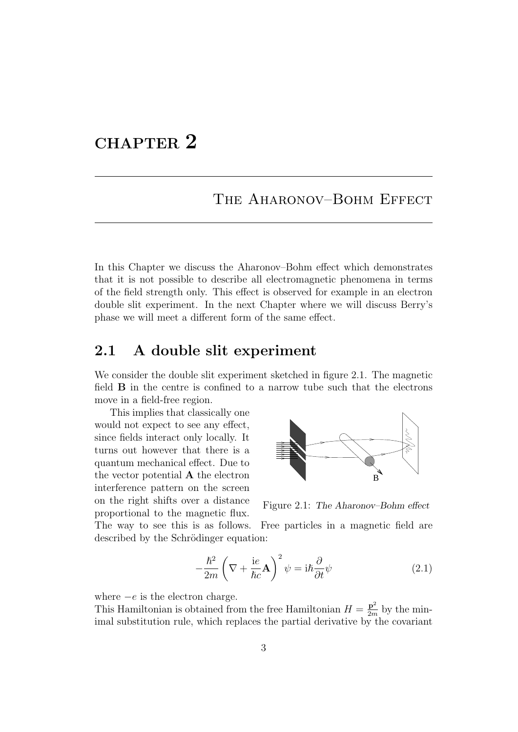## CHAPTER 2

## THE AHARONOV–BOHM EFFECT

In this Chapter we discuss the Aharonov–Bohm effect which demonstrates that it is not possible to describe all electromagnetic phenomena in terms of the field strength only. This effect is observed for example in an electron double slit experiment. In the next Chapter where we will discuss Berry's phase we will meet a different form of the same effect.

## 2.1 A double slit experiment

We consider the double slit experiment sketched in figure 2.1. The magnetic field B in the centre is confined to a narrow tube such that the electrons move in a field-free region.

This implies that classically one would not expect to see any effect, since fields interact only locally. It turns out however that there is a quantum mechanical effect. Due to the vector potential A the electron interference pattern on the screen on the right shifts over a distance proportional to the magnetic flux.



Figure 2.1: The Aharonov–Bohm effect

The way to see this is as follows. Free particles in a magnetic field are described by the Schrödinger equation:

$$
-\frac{\hbar^2}{2m}\left(\nabla + \frac{\mathrm{i}e}{\hbar c}\mathbf{A}\right)^2\psi = \mathrm{i}\hbar\frac{\partial}{\partial t}\psi\tag{2.1}
$$

where  $-e$  is the electron charge.

This Hamiltonian is obtained from the free Hamiltonian  $H = \frac{p^2}{2m}$  $\frac{\mathbf{p}^2}{2m}$  by the minimal substitution rule, which replaces the partial derivative by the covariant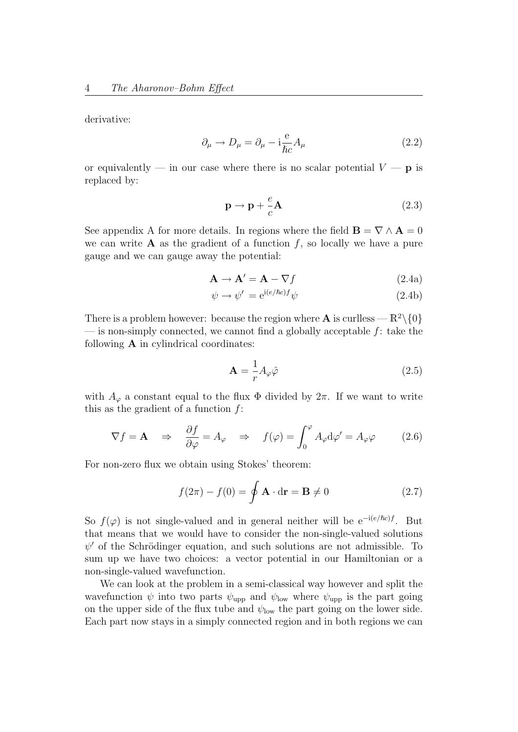derivative:

$$
\partial_{\mu} \to D_{\mu} = \partial_{\mu} - i \frac{e}{\hbar c} A_{\mu}
$$
\n(2.2)

or equivalently — in our case where there is no scalar potential  $V - p$  is replaced by:

$$
\mathbf{p} \to \mathbf{p} + \frac{e}{c} \mathbf{A} \tag{2.3}
$$

See appendix A for more details. In regions where the field  $\mathbf{B} = \nabla \wedge \mathbf{A} = 0$ we can write  $A$  as the gradient of a function f, so locally we have a pure gauge and we can gauge away the potential:

$$
\mathbf{A} \to \mathbf{A}' = \mathbf{A} - \nabla f \tag{2.4a}
$$

$$
\psi \to \psi' = e^{i(e/\hbar c)f} \psi \tag{2.4b}
$$

There is a problem however: because the region where **A** is curlless —  $\mathbb{R}^2 \setminus \{0\}$ — is non-simply connected, we cannot find a globally acceptable  $f$ : take the following  $A$  in cylindrical coordinates:

$$
\mathbf{A} = \frac{1}{r} A_{\varphi} \hat{\varphi} \tag{2.5}
$$

with  $A_{\varphi}$  a constant equal to the flux  $\Phi$  divided by  $2\pi$ . If we want to write this as the gradient of a function  $f$ :

$$
\nabla f = \mathbf{A} \quad \Rightarrow \quad \frac{\partial f}{\partial \varphi} = A_{\varphi} \quad \Rightarrow \quad f(\varphi) = \int_0^{\varphi} A_{\varphi} \mathrm{d}\varphi' = A_{\varphi} \varphi \tag{2.6}
$$

For non-zero flux we obtain using Stokes' theorem:

$$
f(2\pi) - f(0) = \oint \mathbf{A} \cdot d\mathbf{r} = \mathbf{B} \neq 0
$$
 (2.7)

So  $f(\varphi)$  is not single-valued and in general neither will be e<sup>-i(e/ $\hbar c$ )</sub>f. But</sup> that means that we would have to consider the non-single-valued solutions  $\psi'$  of the Schrödinger equation, and such solutions are not admissible. To sum up we have two choices: a vector potential in our Hamiltonian or a non-single-valued wavefunction.

We can look at the problem in a semi-classical way however and split the wavefunction  $\psi$  into two parts  $\psi_{\text{upp}}$  and  $\psi_{\text{low}}$  where  $\psi_{\text{upp}}$  is the part going on the upper side of the flux tube and  $\psi_{\text{low}}$  the part going on the lower side. Each part now stays in a simply connected region and in both regions we can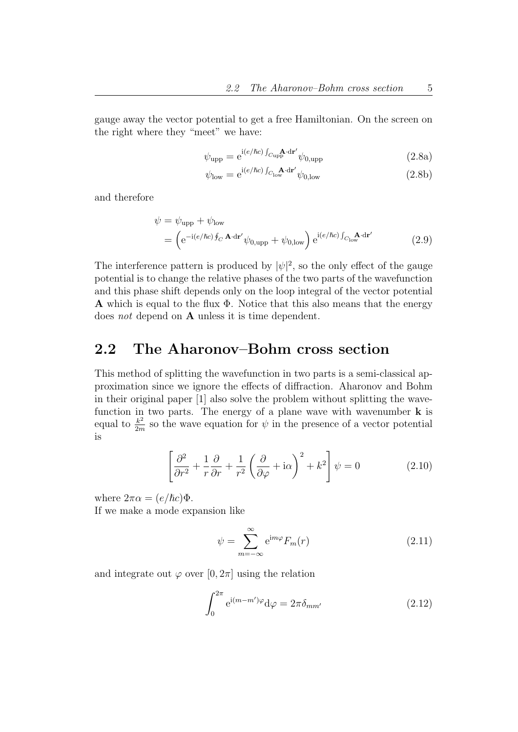gauge away the vector potential to get a free Hamiltonian. On the screen on the right where they "meet" we have:

$$
\psi_{\text{upp}} = e^{i(e/\hbar c)\int_{C_{\text{up}}}\mathbf{A} \cdot d\mathbf{r}'} \psi_{0,\text{upp}}
$$
\n(2.8a)

$$
\psi_{\text{low}} = e^{i(e/\hbar c) \int_{C_{\text{low}}} \mathbf{A} \cdot d\mathbf{r}'} \psi_{0,\text{low}}
$$
(2.8b)

and therefore

$$
\psi = \psi_{\text{upp}} + \psi_{\text{low}}
$$
  
= 
$$
\left( e^{-i(e/\hbar c) \oint_C \mathbf{A} \cdot d\mathbf{r}'} \psi_{0,\text{upp}} + \psi_{0,\text{low}} \right) e^{i(e/\hbar c) \int_{C_{\text{low}}} \mathbf{A} \cdot d\mathbf{r}'}
$$
 (2.9)

The interference pattern is produced by  $|\psi|^2$ , so the only effect of the gauge potential is to change the relative phases of the two parts of the wavefunction and this phase shift depends only on the loop integral of the vector potential A which is equal to the flux  $\Phi$ . Notice that this also means that the energy does not depend on  $A$  unless it is time dependent.

### 2.2 The Aharonov–Bohm cross section

This method of splitting the wavefunction in two parts is a semi-classical approximation since we ignore the effects of diffraction. Aharonov and Bohm in their original paper [1] also solve the problem without splitting the wavefunction in two parts. The energy of a plane wave with wavenumber  $\bf{k}$  is equal to  $\frac{k^2}{2m}$  $\frac{k^2}{2m}$  so the wave equation for  $\psi$  in the presence of a vector potential is

$$
\left[\frac{\partial^2}{\partial r^2} + \frac{1}{r}\frac{\partial}{\partial r} + \frac{1}{r^2} \left(\frac{\partial}{\partial \varphi} + i\alpha\right)^2 + k^2\right] \psi = 0 \tag{2.10}
$$

where  $2\pi\alpha = (e/\hbar c)\Phi$ .

If we make a mode expansion like

$$
\psi = \sum_{m=-\infty}^{\infty} e^{im\varphi} F_m(r) \tag{2.11}
$$

and integrate out  $\varphi$  over  $[0, 2\pi]$  using the relation

$$
\int_0^{2\pi} e^{i(m-m')\varphi} d\varphi = 2\pi \delta_{mm'}
$$
 (2.12)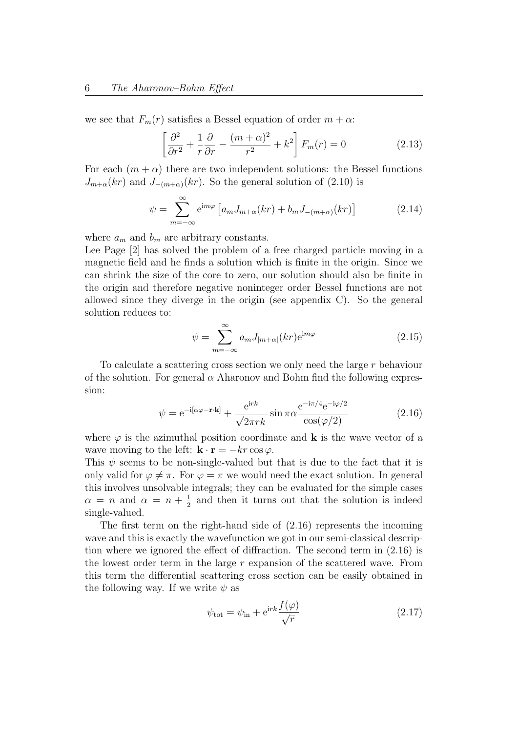we see that  $F_m(r)$  satisfies a Bessel equation of order  $m + \alpha$ :

$$
\left[\frac{\partial^2}{\partial r^2} + \frac{1}{r}\frac{\partial}{\partial r} - \frac{(m+\alpha)^2}{r^2} + k^2\right] F_m(r) = 0 \tag{2.13}
$$

For each  $(m + \alpha)$  there are two independent solutions: the Bessel functions  $J_{m+\alpha}(kr)$  and  $J_{-(m+\alpha)}(kr)$ . So the general solution of (2.10) is

$$
\psi = \sum_{m=-\infty}^{\infty} e^{im\varphi} \left[ a_m J_{m+\alpha}(kr) + b_m J_{-(m+\alpha)}(kr) \right]
$$
(2.14)

where  $a_m$  and  $b_m$  are arbitrary constants.

Lee Page [2] has solved the problem of a free charged particle moving in a magnetic field and he finds a solution which is finite in the origin. Since we can shrink the size of the core to zero, our solution should also be finite in the origin and therefore negative noninteger order Bessel functions are not allowed since they diverge in the origin (see appendix C). So the general solution reduces to:

$$
\psi = \sum_{m=-\infty}^{\infty} a_m J_{|m+\alpha|}(kr) e^{im\varphi}
$$
\n(2.15)

To calculate a scattering cross section we only need the large r behaviour of the solution. For general  $\alpha$  Aharonov and Bohm find the following expression:

$$
\psi = e^{-i[\alpha\varphi - \mathbf{r} \cdot \mathbf{k}]} + \frac{e^{irk}}{\sqrt{2\pi r k}} \sin \pi \alpha \frac{e^{-i\pi/4} e^{-i\varphi/2}}{\cos(\varphi/2)}
$$
(2.16)

where  $\varphi$  is the azimuthal position coordinate and **k** is the wave vector of a wave moving to the left:  $\mathbf{k} \cdot \mathbf{r} = -kr \cos \varphi$ .

This  $\psi$  seems to be non-single-valued but that is due to the fact that it is only valid for  $\varphi \neq \pi$ . For  $\varphi = \pi$  we would need the exact solution. In general this involves unsolvable integrals; they can be evaluated for the simple cases  $\alpha = n$  and  $\alpha = n + \frac{1}{2}$  $\frac{1}{2}$  and then it turns out that the solution is indeed single-valued.

The first term on the right-hand side of (2.16) represents the incoming wave and this is exactly the wavefunction we got in our semi-classical description where we ignored the effect of diffraction. The second term in (2.16) is the lowest order term in the large r expansion of the scattered wave. From this term the differential scattering cross section can be easily obtained in the following way. If we write  $\psi$  as

$$
\psi_{\rm tot} = \psi_{\rm in} + e^{\rm i r k} \frac{f(\varphi)}{\sqrt{r}} \tag{2.17}
$$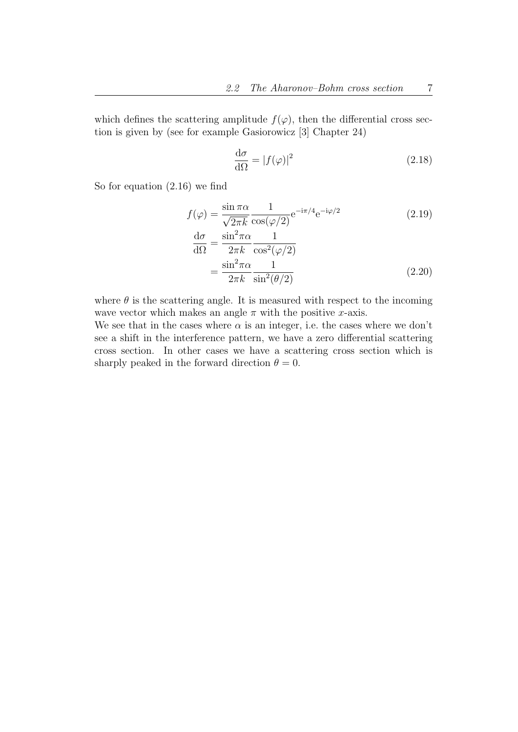which defines the scattering amplitude  $f(\varphi)$ , then the differential cross section is given by (see for example Gasiorowicz [3] Chapter 24)

$$
\frac{\mathrm{d}\sigma}{\mathrm{d}\Omega} = |f(\varphi)|^2 \tag{2.18}
$$

So for equation (2.16) we find

$$
f(\varphi) = \frac{\sin \pi \alpha}{\sqrt{2\pi k}} \frac{1}{\cos(\varphi/2)} e^{-i\pi/4} e^{-i\varphi/2}
$$
 (2.19)

$$
\frac{d\sigma}{d\Omega} = \frac{\sin^2 \pi \alpha}{2\pi k} \frac{1}{\cos^2(\varphi/2)}
$$

$$
= \frac{\sin^2 \pi \alpha}{2\pi k} \frac{1}{\sin^2(\theta/2)}
$$
(2.20)

where  $\theta$  is the scattering angle. It is measured with respect to the incoming wave vector which makes an angle  $\pi$  with the positive x-axis.

We see that in the cases where  $\alpha$  is an integer, i.e. the cases where we don't see a shift in the interference pattern, we have a zero differential scattering cross section. In other cases we have a scattering cross section which is sharply peaked in the forward direction  $\theta = 0$ .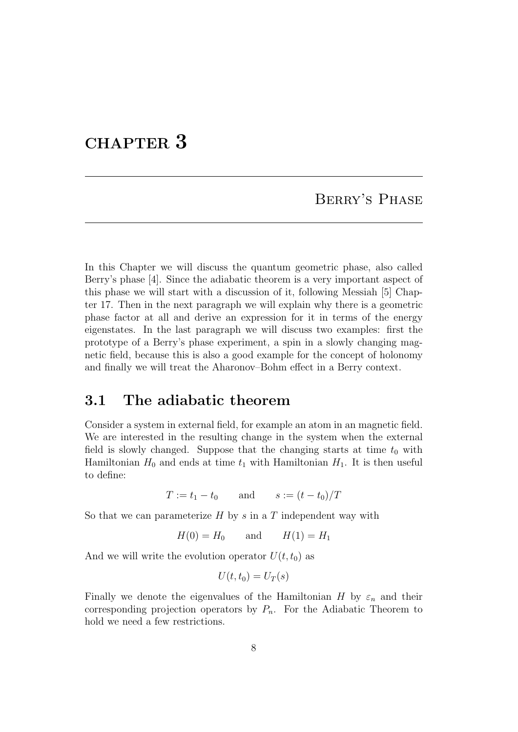## CHAPTER 3

## Berry's Phase

In this Chapter we will discuss the quantum geometric phase, also called Berry's phase [4]. Since the adiabatic theorem is a very important aspect of this phase we will start with a discussion of it, following Messiah [5] Chapter 17. Then in the next paragraph we will explain why there is a geometric phase factor at all and derive an expression for it in terms of the energy eigenstates. In the last paragraph we will discuss two examples: first the prototype of a Berry's phase experiment, a spin in a slowly changing magnetic field, because this is also a good example for the concept of holonomy and finally we will treat the Aharonov–Bohm effect in a Berry context.

## 3.1 The adiabatic theorem

Consider a system in external field, for example an atom in an magnetic field. We are interested in the resulting change in the system when the external field is slowly changed. Suppose that the changing starts at time  $t_0$  with Hamiltonian  $H_0$  and ends at time  $t_1$  with Hamiltonian  $H_1$ . It is then useful to define:

$$
T := t_1 - t_0
$$
 and  $s := (t - t_0)/T$ 

So that we can parameterize  $H$  by s in a T independent way with

$$
H(0) = H_0 \qquad \text{and} \qquad H(1) = H_1
$$

And we will write the evolution operator  $U(t, t_0)$  as

$$
U(t,t_0) = U_T(s)
$$

Finally we denote the eigenvalues of the Hamiltonian H by  $\varepsilon_n$  and their corresponding projection operators by  $P_n$ . For the Adiabatic Theorem to hold we need a few restrictions.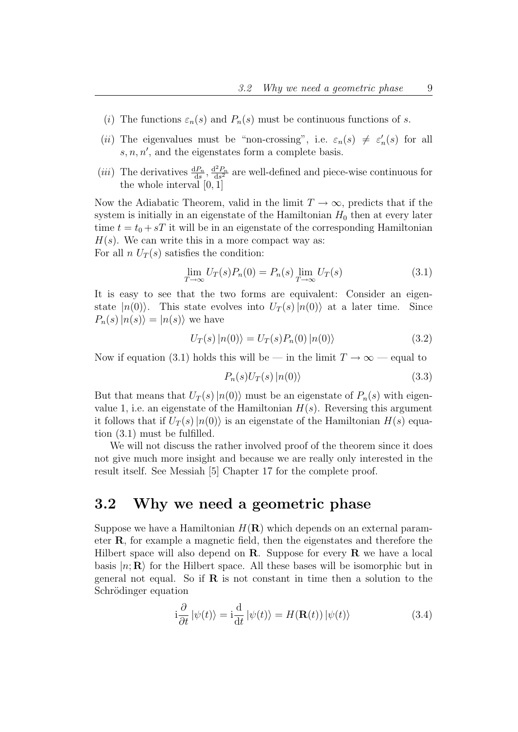- (i) The functions  $\varepsilon_n(s)$  and  $P_n(s)$  must be continuous functions of s.
- (ii) The eigenvalues must be "non-crossing", i.e.  $\varepsilon_n(s) \neq \varepsilon'_n$  $n'(s)$  for all  $s, n, n'$ , and the eigenstates form a complete basis.
- (*iii*) The derivatives  $\frac{dP_n}{ds}$ ,  $\frac{d^2P_n}{ds^2}$  $\frac{d^2 P_n}{ds^2}$  are well-defined and piece-wise continuous for the whole interval [0, 1]

Now the Adiabatic Theorem, valid in the limit  $T \to \infty$ , predicts that if the system is initially in an eigenstate of the Hamiltonian  $H_0$  then at every later time  $t = t_0 + sT$  it will be in an eigenstate of the corresponding Hamiltonian  $H(s)$ . We can write this in a more compact way as: For all  $n U_T(s)$  satisfies the condition:

$$
\lim_{T \to \infty} U_T(s) P_n(0) = P_n(s) \lim_{T \to \infty} U_T(s)
$$
\n(3.1)

It is easy to see that the two forms are equivalent: Consider an eigenstate  $|n(0)\rangle$ . This state evolves into  $U_T(s)|n(0)\rangle$  at a later time. Since  $P_n(s)|n(s)\rangle = |n(s)\rangle$  we have

$$
U_T(s) |n(0)\rangle = U_T(s) P_n(0) |n(0)\rangle \tag{3.2}
$$

Now if equation (3.1) holds this will be — in the limit  $T \to \infty$  — equal to

$$
P_n(s)U_T(s) |n(0)\rangle \tag{3.3}
$$

But that means that  $U_T(s)|n(0)\rangle$  must be an eigenstate of  $P_n(s)$  with eigenvalue 1, i.e. an eigenstate of the Hamiltonian  $H(s)$ . Reversing this argument it follows that if  $U_T(s)|n(0)\rangle$  is an eigenstate of the Hamiltonian  $H(s)$  equation (3.1) must be fulfilled.

We will not discuss the rather involved proof of the theorem since it does not give much more insight and because we are really only interested in the result itself. See Messiah [5] Chapter 17 for the complete proof.

### 3.2 Why we need a geometric phase

Suppose we have a Hamiltonian  $H(\mathbf{R})$  which depends on an external parameter R, for example a magnetic field, then the eigenstates and therefore the Hilbert space will also depend on  $\mathbf{R}$ . Suppose for every  $\mathbf{R}$  we have a local basis  $|n; \mathbf{R}\rangle$  for the Hilbert space. All these bases will be isomorphic but in general not equal. So if  $\bf{R}$  is not constant in time then a solution to the Schrödinger equation

$$
i\frac{\partial}{\partial t}|\psi(t)\rangle = i\frac{d}{dt}|\psi(t)\rangle = H(\mathbf{R}(t))|\psi(t)\rangle
$$
 (3.4)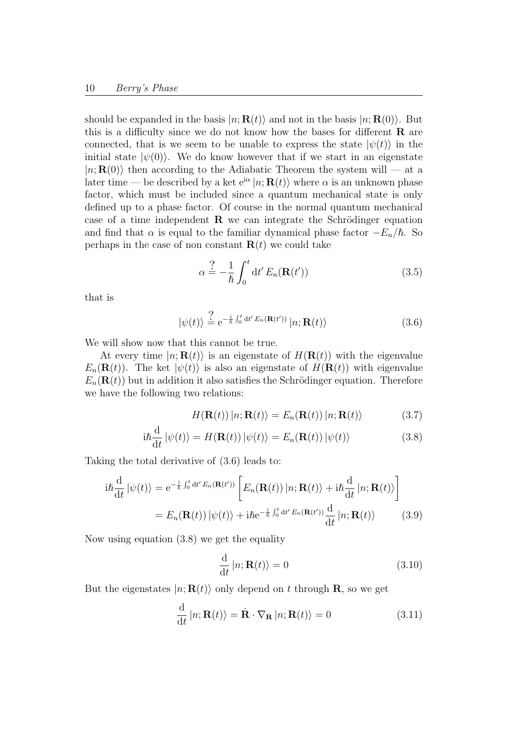should be expanded in the basis  $|n; \mathbf{R}(t)\rangle$  and not in the basis  $|n; \mathbf{R}(0)\rangle$ . But this is a difficulty since we do not know how the bases for different  $\bf{R}$  are connected, that is we seem to be unable to express the state  $|\psi(t)\rangle$  in the initial state  $|\psi(0)\rangle$ . We do know however that if we start in an eigenstate  $|n; \mathbf{R}(0)\rangle$  then according to the Adiabatic Theorem the system will — at a later time — be described by a ket  $e^{i\alpha} |n; \mathbf{R}(t) \rangle$  where  $\alpha$  is an unknown phase factor, which must be included since a quantum mechanical state is only defined up to a phase factor. Of course in the normal quantum mechanical case of a time independent  $\bf{R}$  we can integrate the Schrödinger equation and find that  $\alpha$  is equal to the familiar dynamical phase factor  $-E_n/\hbar$ . So perhaps in the case of non constant  $\mathbf{R}(t)$  we could take

$$
\alpha \stackrel{?}{=} -\frac{1}{\hbar} \int_0^t dt' E_n(\mathbf{R}(t')) \tag{3.5}
$$

that is

$$
|\psi(t)\rangle \stackrel{?}{=} e^{-\frac{i}{\hbar} \int_0^t dt' E_n(\mathbf{R}(t'))} |n; \mathbf{R}(t)\rangle
$$
 (3.6)

We will show now that this cannot be true.

At every time  $|n; \mathbf{R}(t)\rangle$  is an eigenstate of  $H(\mathbf{R}(t))$  with the eigenvalue  $E_n(\mathbf{R}(t))$ . The ket  $|\psi(t)\rangle$  is also an eigenstate of  $H(\mathbf{R}(t))$  with eigenvalue  $E_n(\mathbf{R}(t))$  but in addition it also satisfies the Schrödinger equation. Therefore we have the following two relations:

$$
H(\mathbf{R}(t)) |n; \mathbf{R}(t) \rangle = E_n(\mathbf{R}(t)) |n; \mathbf{R}(t) \rangle
$$
 (3.7)

$$
i\hbar \frac{d}{dt} |\psi(t)\rangle = H(\mathbf{R}(t)) |\psi(t)\rangle = E_n(\mathbf{R}(t)) |\psi(t)\rangle
$$
 (3.8)

Taking the total derivative of (3.6) leads to:

$$
i\hbar \frac{d}{dt} |\psi(t)\rangle = e^{-\frac{i}{\hbar} \int_0^t dt' E_n(\mathbf{R}(t'))} \left[ E_n(\mathbf{R}(t)) |n; \mathbf{R}(t)\rangle + i\hbar \frac{d}{dt} |n; \mathbf{R}(t)\rangle \right]
$$
  

$$
= E_n(\mathbf{R}(t)) |\psi(t)\rangle + i\hbar e^{-\frac{i}{\hbar} \int_0^t dt' E_n(\mathbf{R}(t'))} \frac{d}{dt} |n; \mathbf{R}(t)\rangle
$$
(3.9)

Now using equation (3.8) we get the equality

$$
\frac{\mathrm{d}}{\mathrm{d}t} |n; \mathbf{R}(t) \rangle = 0 \tag{3.10}
$$

But the eigenstates  $|n; \mathbf{R}(t)\rangle$  only depend on t through **R**, so we get

$$
\frac{\mathrm{d}}{\mathrm{d}t} |n; \mathbf{R}(t) \rangle = \dot{\mathbf{R}} \cdot \nabla_{\mathbf{R}} |n; \mathbf{R}(t) \rangle = 0 \tag{3.11}
$$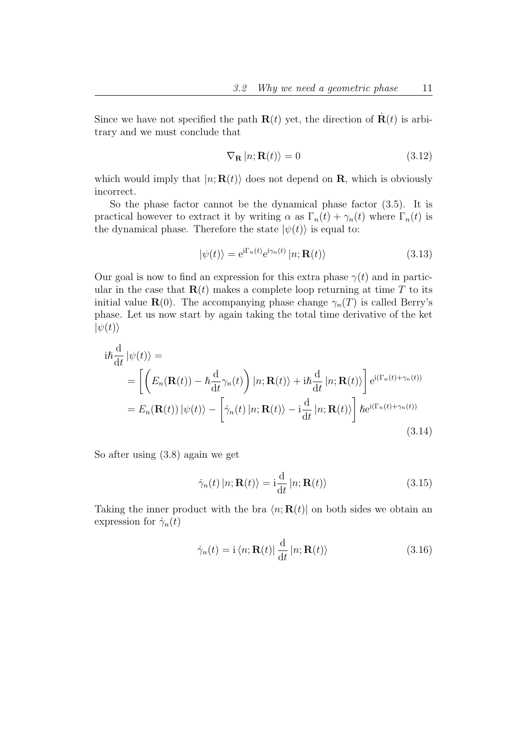Since we have not specified the path  $\mathbf{R}(t)$  yet, the direction of  $\mathbf{R}(t)$  is arbitrary and we must conclude that

$$
\nabla_{\mathbf{R}} |n; \mathbf{R}(t) \rangle = 0 \tag{3.12}
$$

which would imply that  $|n; \mathbf{R}(t)\rangle$  does not depend on **R**, which is obviously incorrect.

So the phase factor cannot be the dynamical phase factor (3.5). It is practical however to extract it by writing  $\alpha$  as  $\Gamma_n(t) + \gamma_n(t)$  where  $\Gamma_n(t)$  is the dynamical phase. Therefore the state  $|\psi(t)\rangle$  is equal to:

$$
|\psi(t)\rangle = e^{i\Gamma_n(t)}e^{i\gamma_n(t)}|n; \mathbf{R}(t)\rangle
$$
\n(3.13)

Our goal is now to find an expression for this extra phase  $\gamma(t)$  and in particular in the case that  $\mathbf{R}(t)$  makes a complete loop returning at time T to its initial value  $\mathbf{R}(0)$ . The accompanying phase change  $\gamma_n(T)$  is called Berry's phase. Let us now start by again taking the total time derivative of the ket  $|\psi(t)\rangle$ 

$$
i\hbar \frac{d}{dt} |\psi(t)\rangle =
$$
  
\n
$$
= \left[ \left( E_n(\mathbf{R}(t)) - \hbar \frac{d}{dt} \gamma_n(t) \right) |n; \mathbf{R}(t)\rangle + i \hbar \frac{d}{dt} |n; \mathbf{R}(t)\rangle \right] e^{i(\Gamma_n(t) + \gamma_n(t))}
$$
  
\n
$$
= E_n(\mathbf{R}(t)) |\psi(t)\rangle - \left[ \dot{\gamma}_n(t) |n; \mathbf{R}(t)\rangle - i \frac{d}{dt} |n; \mathbf{R}(t)\rangle \right] \hbar e^{i(\Gamma_n(t) + \gamma_n(t))}
$$
\n(3.14)

So after using (3.8) again we get

$$
\dot{\gamma}_n(t) |n; \mathbf{R}(t) \rangle = \mathbf{i} \frac{\mathrm{d}}{\mathrm{d}t} |n; \mathbf{R}(t) \rangle \tag{3.15}
$$

Taking the inner product with the bra  $\langle n; \mathbf{R}(t)|$  on both sides we obtain an expression for  $\dot{\gamma}_n(t)$ 

$$
\dot{\gamma}_n(t) = \mathbf{i} \langle n; \mathbf{R}(t) | \frac{\mathrm{d}}{\mathrm{d}t} | n; \mathbf{R}(t) \rangle \tag{3.16}
$$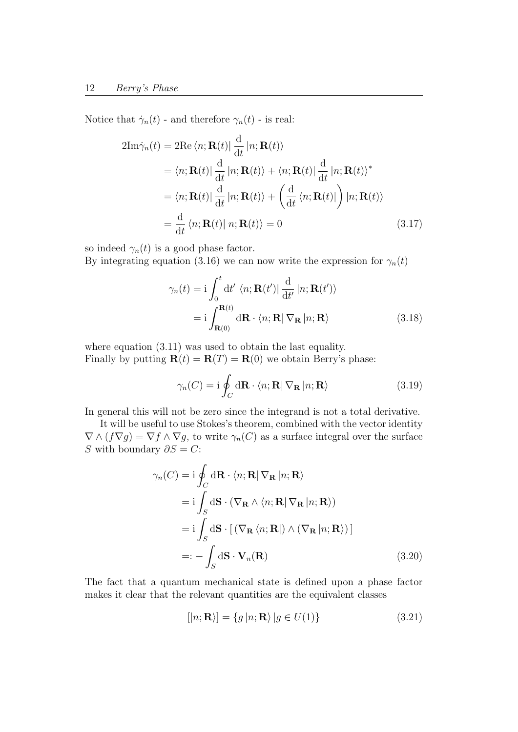Notice that  $\dot{\gamma}_n(t)$  - and therefore  $\gamma_n(t)$  - is real:

$$
2\text{Im}\dot{\gamma}_n(t) = 2\text{Re}\langle n; \mathbf{R}(t)|\frac{d}{dt}|n; \mathbf{R}(t)\rangle
$$
  
\n
$$
= \langle n; \mathbf{R}(t)|\frac{d}{dt}|n; \mathbf{R}(t)\rangle + \langle n; \mathbf{R}(t)|\frac{d}{dt}|n; \mathbf{R}(t)\rangle^*
$$
  
\n
$$
= \langle n; \mathbf{R}(t)|\frac{d}{dt}|n; \mathbf{R}(t)\rangle + \left(\frac{d}{dt}\langle n; \mathbf{R}(t)|\right)|n; \mathbf{R}(t)\rangle
$$
  
\n
$$
= \frac{d}{dt}\langle n; \mathbf{R}(t)|n; \mathbf{R}(t)\rangle = 0
$$
\n(3.17)

so indeed  $\gamma_n(t)$  is a good phase factor.

By integrating equation (3.16) we can now write the expression for  $\gamma_n(t)$ 

$$
\gamma_n(t) = \mathbf{i} \int_0^t \mathrm{d}t' \langle n; \mathbf{R}(t') | \frac{\mathrm{d}}{\mathrm{d}t'} |n; \mathbf{R}(t') \rangle
$$

$$
= \mathbf{i} \int_{\mathbf{R}(0)}^{\mathbf{R}(t)} \mathrm{d} \mathbf{R} \cdot \langle n; \mathbf{R} | \nabla_{\mathbf{R}} |n; \mathbf{R} \rangle \tag{3.18}
$$

where equation  $(3.11)$  was used to obtain the last equality. Finally by putting  $\mathbf{R}(t) = \mathbf{R}(T) = \mathbf{R}(0)$  we obtain Berry's phase:

$$
\gamma_n(C) = \mathbf{i} \oint_C \mathrm{d}\mathbf{R} \cdot \langle n; \mathbf{R} | \nabla_\mathbf{R} | n; \mathbf{R} \rangle \tag{3.19}
$$

In general this will not be zero since the integrand is not a total derivative.

It will be useful to use Stokes's theorem, combined with the vector identity  $\nabla \wedge (f\nabla g) = \nabla f \wedge \nabla g$ , to write  $\gamma_n(C)$  as a surface integral over the surface S with boundary  $\partial S = C$ :

$$
\gamma_n(C) = \mathbf{i} \oint_C d\mathbf{R} \cdot \langle n; \mathbf{R} | \nabla_{\mathbf{R}} | n; \mathbf{R} \rangle
$$
  
\n
$$
= \mathbf{i} \int_S d\mathbf{S} \cdot (\nabla_{\mathbf{R}} \wedge \langle n; \mathbf{R} | \nabla_{\mathbf{R}} | n; \mathbf{R} \rangle)
$$
  
\n
$$
= \mathbf{i} \int_S d\mathbf{S} \cdot [ (\nabla_{\mathbf{R}} \langle n; \mathbf{R} |) \wedge (\nabla_{\mathbf{R}} | n; \mathbf{R} \rangle ) ]
$$
  
\n
$$
=: - \int_S d\mathbf{S} \cdot \mathbf{V}_n(\mathbf{R})
$$
(3.20)

The fact that a quantum mechanical state is defined upon a phase factor makes it clear that the relevant quantities are the equivalent classes

$$
[|n; \mathbf{R}\rangle] = \{g | n; \mathbf{R}\rangle | g \in U(1)\}
$$
\n(3.21)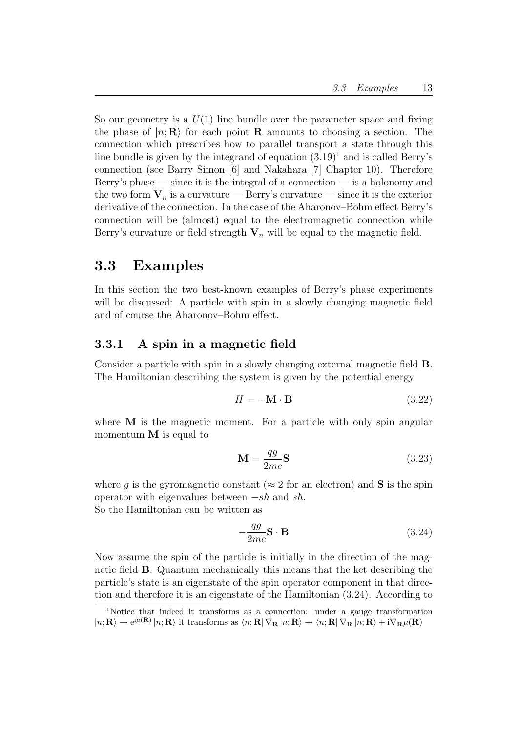So our geometry is a  $U(1)$  line bundle over the parameter space and fixing the phase of  $|n; \mathbf{R}\rangle$  for each point **R** amounts to choosing a section. The connection which prescribes how to parallel transport a state through this line bundle is given by the integrand of equation  $(3.19)^1$  and is called Berry's connection (see Barry Simon [6] and Nakahara [7] Chapter 10). Therefore Berry's phase — since it is the integral of a connection — is a holonomy and the two form  $V_n$  is a curvature — Berry's curvature — since it is the exterior derivative of the connection. In the case of the Aharonov–Bohm effect Berry's connection will be (almost) equal to the electromagnetic connection while Berry's curvature or field strength  $V_n$  will be equal to the magnetic field.

### 3.3 Examples

In this section the two best-known examples of Berry's phase experiments will be discussed: A particle with spin in a slowly changing magnetic field and of course the Aharonov–Bohm effect.

#### 3.3.1 A spin in a magnetic field

Consider a particle with spin in a slowly changing external magnetic field B. The Hamiltonian describing the system is given by the potential energy

$$
H = -\mathbf{M} \cdot \mathbf{B} \tag{3.22}
$$

where **M** is the magnetic moment. For a particle with only spin angular momentum M is equal to

$$
\mathbf{M} = \frac{qg}{2mc} \mathbf{S} \tag{3.23}
$$

where q is the gyromagnetic constant ( $\approx 2$  for an electron) and **S** is the spin operator with eigenvalues between  $-s\hslash$  and s $\hslash$ . So the Hamiltonian can be written as

$$
-\frac{qg}{2mc}\mathbf{S} \cdot \mathbf{B} \tag{3.24}
$$

Now assume the spin of the particle is initially in the direction of the magnetic field B. Quantum mechanically this means that the ket describing the particle's state is an eigenstate of the spin operator component in that direction and therefore it is an eigenstate of the Hamiltonian (3.24). According to

<sup>1</sup>Notice that indeed it transforms as a connection: under a gauge transformation  $|n; \mathbf{R}\rangle \to e^{i\mu(\mathbf{R})} |n; \mathbf{R}\rangle$  it transforms as  $\langle n; \mathbf{R} | \nabla_{\mathbf{R}} |n; \mathbf{R}\rangle \to \langle n; \mathbf{R} | \nabla_{\mathbf{R}} |n; \mathbf{R}\rangle + i \nabla_{\mathbf{R}} \mu(\mathbf{R})$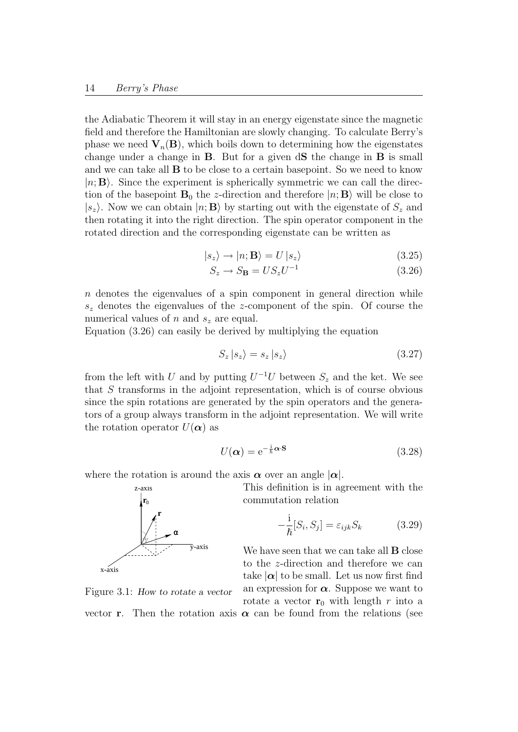the Adiabatic Theorem it will stay in an energy eigenstate since the magnetic field and therefore the Hamiltonian are slowly changing. To calculate Berry's phase we need  $V_n(B)$ , which boils down to determining how the eigenstates change under a change in  $\bf{B}$ . But for a given  $d\bf{S}$  the change in  $\bf{B}$  is small and we can take all B to be close to a certain basepoint. So we need to know  $|n; \mathbf{B}\rangle$ . Since the experiment is spherically symmetric we can call the direction of the basepoint  $\mathbf{B}_0$  the z-direction and therefore  $|n; \mathbf{B}\rangle$  will be close to  $|s_z\rangle$ . Now we can obtain  $|n; \mathbf{B}\rangle$  by starting out with the eigenstate of  $S_z$  and then rotating it into the right direction. The spin operator component in the rotated direction and the corresponding eigenstate can be written as

$$
|s_z\rangle \rightarrow |n; \mathbf{B}\rangle = U |s_z\rangle \tag{3.25}
$$

$$
S_z \to S_\mathbf{B} = US_z U^{-1} \tag{3.26}
$$

 $n$  denotes the eigenvalues of a spin component in general direction while  $s<sub>z</sub>$  denotes the eigenvalues of the z-component of the spin. Of course the numerical values of n and  $s<sub>z</sub>$  are equal.

Equation (3.26) can easily be derived by multiplying the equation

$$
S_z |s_z\rangle = s_z |s_z\rangle \tag{3.27}
$$

from the left with U and by putting  $U^{-1}U$  between  $S_z$  and the ket. We see that S transforms in the adjoint representation, which is of course obvious since the spin rotations are generated by the spin operators and the generators of a group always transform in the adjoint representation. We will write the rotation operator  $U(\alpha)$  as

$$
U(\alpha) = e^{-\frac{i}{\hbar}\alpha \cdot \mathbf{S}} \tag{3.28}
$$

where the rotation is around the axis  $\alpha$  over an angle  $|\alpha|$ .

This definition is in agreement with the commutation relation

$$
-\frac{i}{\hbar}[S_i, S_j] = \varepsilon_{ijk} S_k \tag{3.29}
$$

We have seen that we can take all **B** close to the z-direction and therefore we can take  $|\alpha|$  to be small. Let us now first find an expression for  $\alpha$ . Suppose we want to rotate a vector  $\mathbf{r}_0$  with length r into a vector **r**. Then the rotation axis  $\alpha$  can be found from the relations (see

**r**  $\mathbf{0}$ 

z-axis **r**

x-axis

Figure 3.1: How to rotate a vector

α

y-axis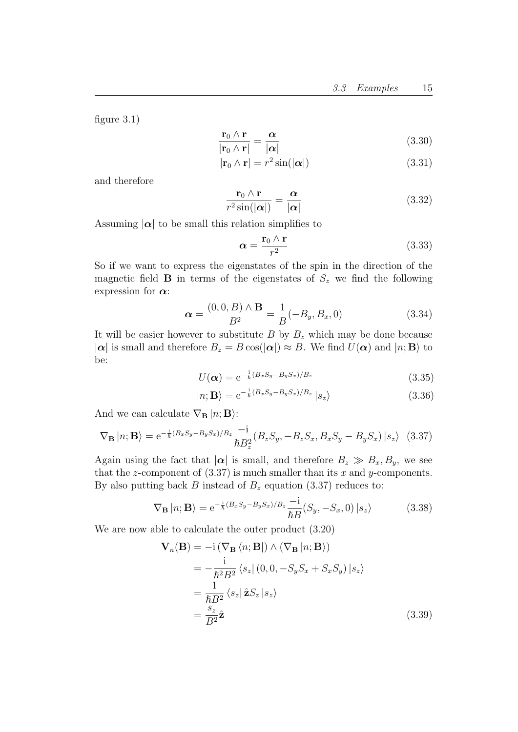figure 3.1)

$$
\frac{\mathbf{r}_0 \wedge \mathbf{r}}{|\mathbf{r}_0 \wedge \mathbf{r}|} = \frac{\alpha}{|\alpha|} \tag{3.30}
$$

$$
|\mathbf{r}_0 \wedge \mathbf{r}| = r^2 \sin(|\alpha|) \tag{3.31}
$$

and therefore

$$
\frac{\mathbf{r}_0 \wedge \mathbf{r}}{r^2 \sin(|\alpha|)} = \frac{\alpha}{|\alpha|} \tag{3.32}
$$

Assuming  $|\alpha|$  to be small this relation simplifies to

$$
\alpha = \frac{\mathbf{r}_0 \wedge \mathbf{r}}{r^2} \tag{3.33}
$$

So if we want to express the eigenstates of the spin in the direction of the magnetic field **B** in terms of the eigenstates of  $S<sub>z</sub>$  we find the following expression for  $\alpha$ :

$$
\alpha = \frac{(0, 0, B) \wedge B}{B^2} = \frac{1}{B}(-B_y, B_x, 0)
$$
\n(3.34)

It will be easier however to substitute  $B$  by  $B<sub>z</sub>$  which may be done because  $|\alpha|$  is small and therefore  $B_z = B \cos(|\alpha|) \approx B$ . We find  $U(\alpha)$  and  $|n; \mathbf{B}\rangle$  to be:

$$
U(\alpha) = e^{-\frac{i}{\hbar}(B_x S_y - B_y S_x)/B_z}
$$
\n(3.35)

$$
|n; \mathbf{B}\rangle = e^{-\frac{i}{\hbar}(B_x S_y - B_y S_x)/B_z} |s_z\rangle \tag{3.36}
$$

And we can calculate  $\nabla_{\mathbf{B}} |n; \mathbf{B}$ :

$$
\nabla_{\mathbf{B}} |n; \mathbf{B}\rangle = e^{-\frac{i}{\hbar}(B_x S_y - B_y S_x)/B_z} \frac{-i}{\hbar B_z^2} (B_z S_y, -B_z S_x, B_x S_y - B_y S_x) |s_z\rangle
$$
 (3.37)

Again using the fact that  $|\alpha|$  is small, and therefore  $B_z \gg B_x, B_y$ , we see that the z-component of  $(3.37)$  is much smaller than its x and y-components. By also putting back B instead of  $B_z$  equation (3.37) reduces to:

$$
\nabla_{\mathbf{B}} |n; \mathbf{B}\rangle = e^{-\frac{i}{\hbar}(B_x S_y - B_y S_x)/B_z} \frac{-i}{\hbar B} (S_y, -S_x, 0) |s_z\rangle
$$
 (3.38)

We are now able to calculate the outer product (3.20)

$$
\mathbf{V}_n(\mathbf{B}) = -\mathrm{i} (\nabla_\mathbf{B} \langle n; \mathbf{B} |) \wedge (\nabla_\mathbf{B} |n; \mathbf{B})
$$
  
\n
$$
= -\frac{\mathrm{i}}{\hbar^2 B^2} \langle s_z | (0, 0, -S_y S_x + S_x S_y) | s_z \rangle
$$
  
\n
$$
= \frac{1}{\hbar B^2} \langle s_z | \hat{\mathbf{z}} S_z | s_z \rangle
$$
  
\n
$$
= \frac{s_z}{B^2} \hat{\mathbf{z}}
$$
 (3.39)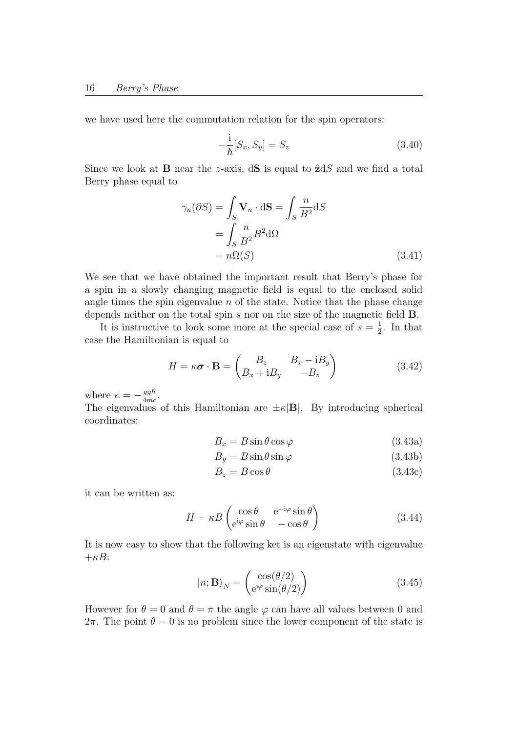we have used here the commutation relation for the spin operators:

$$
-\frac{i}{\hbar}[S_x, S_y] = S_z \tag{3.40}
$$

Since we look at **B** near the z-axis,  $dS$  is equal to  $\hat{z}dS$  and we find a total Berry phase equal to

$$
\gamma_n(\partial S) = \int_S \mathbf{V}_n \cdot d\mathbf{S} = \int_S \frac{n}{B^2} dS
$$
  
= 
$$
\int_S \frac{n}{B^2} B^2 d\Omega
$$
  
= 
$$
n\Omega(S)
$$
 (3.41)

We see that we have obtained the important result that Berry's phase for a spin in a slowly changing magnetic field is equal to the enclosed solid angle times the spin eigenvalue  $n$  of the state. Notice that the phase change depends neither on the total spin s nor on the size of the magnetic field B.

It is instructive to look some more at the special case of  $s=\frac{1}{2}$  $\frac{1}{2}$ . In that case the Hamiltonian is equal to

$$
H = \kappa \boldsymbol{\sigma} \cdot \mathbf{B} = \begin{pmatrix} B_z & B_x - iB_y \\ B_x + iB_y & -B_z \end{pmatrix}
$$
 (3.42)

where  $\kappa = -\frac{qg\hslash}{4mc}$  $\frac{qgh}{4mc}$ .

The eigenvalues of this Hamiltonian are  $\pm \kappa |\mathbf{B}|$ . By introducing spherical coordinates:

$$
B_x = B\sin\theta\cos\varphi\tag{3.43a}
$$

$$
B_y = B\sin\theta\sin\varphi\tag{3.43b}
$$

$$
B_z = B\cos\theta\tag{3.43c}
$$

it can be written as:

$$
H = \kappa B \begin{pmatrix} \cos \theta & e^{-i\varphi} \sin \theta \\ e^{i\varphi} \sin \theta & -\cos \theta \end{pmatrix}
$$
 (3.44)

It is now easy to show that the following ket is an eigenstate with eigenvalue  $+\kappa B$ :

$$
|n; \mathbf{B}\rangle_N = \begin{pmatrix} \cos(\theta/2) \\ e^{i\varphi}\sin(\theta/2) \end{pmatrix}
$$
 (3.45)

However for  $\theta = 0$  and  $\theta = \pi$  the angle  $\varphi$  can have all values between 0 and 2π. The point  $\theta = 0$  is no problem since the lower component of the state is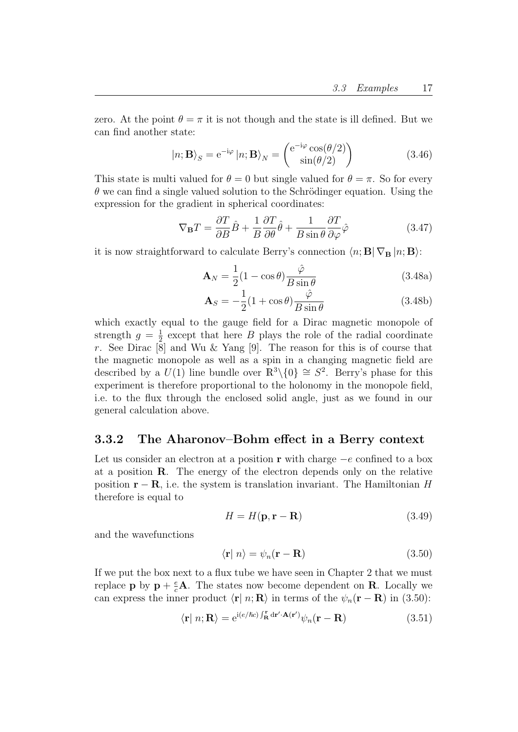zero. At the point  $\theta = \pi$  it is not though and the state is ill defined. But we can find another state:

$$
|n; \mathbf{B}\rangle_{S} = e^{-i\varphi} |n; \mathbf{B}\rangle_{N} = \begin{pmatrix} e^{-i\varphi} \cos(\theta/2) \\ \sin(\theta/2) \end{pmatrix}
$$
 (3.46)

This state is multi valued for  $\theta = 0$  but single valued for  $\theta = \pi$ . So for every  $\theta$  we can find a single valued solution to the Schrödinger equation. Using the expression for the gradient in spherical coordinates:

$$
\nabla_{\mathbf{B}}T = \frac{\partial T}{\partial B}\hat{B} + \frac{1}{B}\frac{\partial T}{\partial \theta}\hat{\theta} + \frac{1}{B\sin\theta}\frac{\partial T}{\partial \varphi}\hat{\varphi}
$$
(3.47)

it is now straightforward to calculate Berry's connection  $\langle n; \mathbf{B} | \nabla_{\mathbf{B}} | n; \mathbf{B} \rangle$ :

$$
\mathbf{A}_N = \frac{1}{2}(1 - \cos\theta)\frac{\hat{\varphi}}{B\sin\theta}
$$
 (3.48a)

$$
\mathbf{A}_S = -\frac{1}{2}(1 + \cos\theta)\frac{\hat{\varphi}}{B\sin\theta}
$$
 (3.48b)

which exactly equal to the gauge field for a Dirac magnetic monopole of strength  $g = \frac{1}{2}$  $\frac{1}{2}$  except that here B plays the role of the radial coordinate r. See Dirac [8] and Wu & Yang [9]. The reason for this is of course that the magnetic monopole as well as a spin in a changing magnetic field are described by a  $U(1)$  line bundle over  $\mathbb{R}^3 \setminus \{0\} \cong S^2$ . Berry's phase for this experiment is therefore proportional to the holonomy in the monopole field, i.e. to the flux through the enclosed solid angle, just as we found in our general calculation above.

#### 3.3.2 The Aharonov–Bohm effect in a Berry context

Let us consider an electron at a position r with charge  $-e$  confined to a box at a position R. The energy of the electron depends only on the relative position  $\mathbf{r} - \mathbf{R}$ , i.e. the system is translation invariant. The Hamiltonian H therefore is equal to

$$
H = H(\mathbf{p}, \mathbf{r} - \mathbf{R}) \tag{3.49}
$$

and the wavefunctions

$$
\langle \mathbf{r} | n \rangle = \psi_n(\mathbf{r} - \mathbf{R}) \tag{3.50}
$$

If we put the box next to a flux tube we have seen in Chapter 2 that we must replace **p** by  $\mathbf{p} + \frac{e}{c}\mathbf{A}$ . The states now become dependent on **R**. Locally we can express the inner product  $\langle \mathbf{r} | n; \mathbf{R} \rangle$  in terms of the  $\psi_n(\mathbf{r} - \mathbf{R})$  in (3.50):

$$
\langle \mathbf{r} | n; \mathbf{R} \rangle = e^{i(e/\hbar c) \int_{\mathbf{R}}^{\mathbf{r}} d\mathbf{r}' \cdot \mathbf{A}(\mathbf{r}')} \psi_n(\mathbf{r} - \mathbf{R})
$$
(3.51)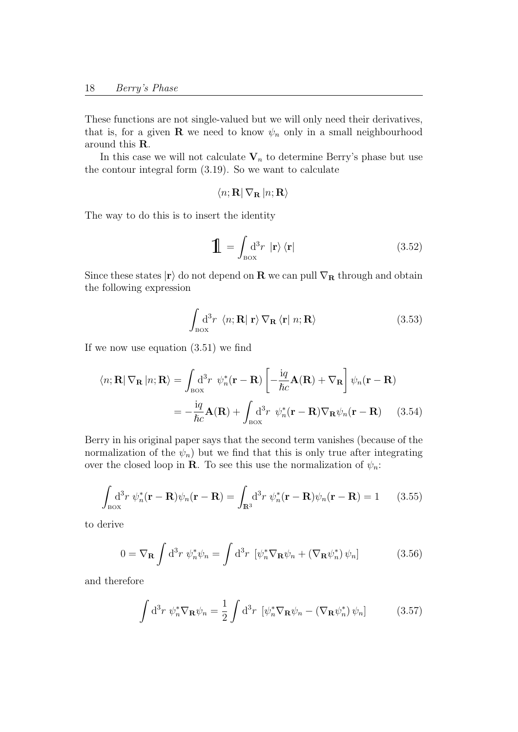These functions are not single-valued but we will only need their derivatives, that is, for a given **R** we need to know  $\psi_n$  only in a small neighbourhood around this R.

In this case we will not calculate  $V_n$  to determine Berry's phase but use the contour integral form (3.19). So we want to calculate

$$
\langle n;{\bf R}|\,\nabla_{\bf R}\,|n;{\bf R}\rangle
$$

The way to do this is to insert the identity

$$
\mathbf{1} = \int_{\text{Box}} d^3 r \, |\mathbf{r}\rangle \, \langle \mathbf{r}| \tag{3.52}
$$

Since these states  $|\mathbf{r}\rangle$  do not depend on **R** we can pull  $\nabla_{\mathbf{R}}$  through and obtain the following expression

$$
\int_{\text{Box}} d^3 r \langle n; \mathbf{R} | \mathbf{r} \rangle \nabla_{\mathbf{R}} \langle \mathbf{r} | n; \mathbf{R} \rangle \tag{3.53}
$$

If we now use equation (3.51) we find

$$
\langle n; \mathbf{R} | \nabla_{\mathbf{R}} | n; \mathbf{R} \rangle = \int_{\text{Box}} d^3 r \ \psi_n^* (\mathbf{r} - \mathbf{R}) \left[ -\frac{iq}{\hbar c} \mathbf{A}(\mathbf{R}) + \nabla_{\mathbf{R}} \right] \psi_n (\mathbf{r} - \mathbf{R})
$$

$$
= -\frac{iq}{\hbar c} \mathbf{A}(\mathbf{R}) + \int_{\text{Box}} d^3 r \ \psi_n^* (\mathbf{r} - \mathbf{R}) \nabla_{\mathbf{R}} \psi_n (\mathbf{r} - \mathbf{R}) \tag{3.54}
$$

Berry in his original paper says that the second term vanishes (because of the normalization of the  $\psi_n$ ) but we find that this is only true after integrating over the closed loop in **R**. To see this use the normalization of  $\psi_n$ :

$$
\int_{\text{Box}} d^3 r \, \psi_n^* (\mathbf{r} - \mathbf{R}) \psi_n (\mathbf{r} - \mathbf{R}) = \int_{\mathbb{R}^3} d^3 r \, \psi_n^* (\mathbf{r} - \mathbf{R}) \psi_n (\mathbf{r} - \mathbf{R}) = 1 \qquad (3.55)
$$

to derive

$$
0 = \nabla_{\mathbf{R}} \int d^3 r \, \psi_n^* \psi_n = \int d^3 r \, \left[ \psi_n^* \nabla_{\mathbf{R}} \psi_n + (\nabla_{\mathbf{R}} \psi_n^*) \psi_n \right] \tag{3.56}
$$

and therefore

$$
\int d^3r \ \psi_n^* \nabla_{\mathbf{R}} \psi_n = \frac{1}{2} \int d^3r \ [\psi_n^* \nabla_{\mathbf{R}} \psi_n - (\nabla_{\mathbf{R}} \psi_n^*) \psi_n]
$$
(3.57)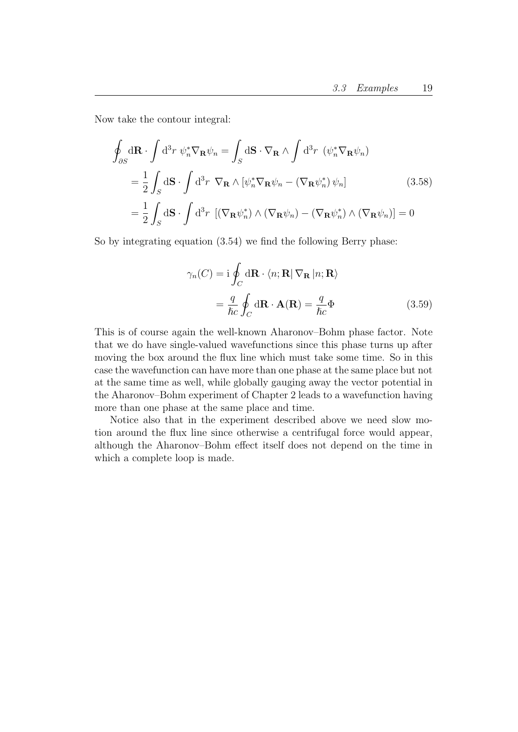Now take the contour integral:

$$
\oint_{\partial S} d\mathbf{R} \cdot \int d^3 r \ \psi_n^* \nabla_{\mathbf{R}} \psi_n = \int_S d\mathbf{S} \cdot \nabla_{\mathbf{R}} \wedge \int d^3 r \ (\psi_n^* \nabla_{\mathbf{R}} \psi_n)
$$
\n
$$
= \frac{1}{2} \int_S d\mathbf{S} \cdot \int d^3 r \ \nabla_{\mathbf{R}} \wedge [\psi_n^* \nabla_{\mathbf{R}} \psi_n - (\nabla_{\mathbf{R}} \psi_n^*) \psi_n]
$$
\n
$$
= \frac{1}{2} \int_S d\mathbf{S} \cdot \int d^3 r \ [(\nabla_{\mathbf{R}} \psi_n^*) \wedge (\nabla_{\mathbf{R}} \psi_n) - (\nabla_{\mathbf{R}} \psi_n^*) \wedge (\nabla_{\mathbf{R}} \psi_n)] = 0
$$
\n(3.58)

So by integrating equation (3.54) we find the following Berry phase:

$$
\gamma_n(C) = \mathbf{i} \oint_C d\mathbf{R} \cdot \langle n; \mathbf{R} | \nabla_{\mathbf{R}} | n; \mathbf{R} \rangle
$$

$$
= \frac{q}{\hbar c} \oint_C d\mathbf{R} \cdot \mathbf{A}(\mathbf{R}) = \frac{q}{\hbar c} \Phi
$$
(3.59)

This is of course again the well-known Aharonov–Bohm phase factor. Note that we do have single-valued wavefunctions since this phase turns up after moving the box around the flux line which must take some time. So in this case the wavefunction can have more than one phase at the same place but not at the same time as well, while globally gauging away the vector potential in the Aharonov–Bohm experiment of Chapter 2 leads to a wavefunction having more than one phase at the same place and time.

Notice also that in the experiment described above we need slow motion around the flux line since otherwise a centrifugal force would appear, although the Aharonov–Bohm effect itself does not depend on the time in which a complete loop is made.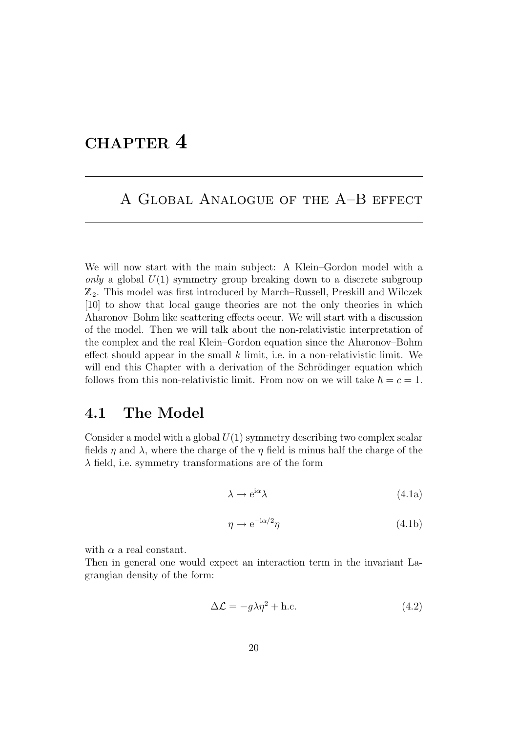## CHAPTER 4

### A Global Analogue of the A–B effect

We will now start with the main subject: A Klein–Gordon model with a only a global  $U(1)$  symmetry group breaking down to a discrete subgroup  $\mathbb{Z}_2$ . This model was first introduced by March–Russell, Preskill and Wilczek [10] to show that local gauge theories are not the only theories in which Aharonov–Bohm like scattering effects occur. We will start with a discussion of the model. Then we will talk about the non-relativistic interpretation of the complex and the real Klein–Gordon equation since the Aharonov–Bohm effect should appear in the small  $k$  limit, i.e. in a non-relativistic limit. We will end this Chapter with a derivation of the Schrödinger equation which follows from this non-relativistic limit. From now on we will take  $\hbar = c = 1$ .

#### 4.1 The Model

Consider a model with a global  $U(1)$  symmetry describing two complex scalar fields  $\eta$  and  $\lambda$ , where the charge of the  $\eta$  field is minus half the charge of the  $\lambda$  field, i.e. symmetry transformations are of the form

$$
\lambda \to e^{i\alpha} \lambda \tag{4.1a}
$$

$$
\eta \to e^{-i\alpha/2}\eta \tag{4.1b}
$$

with  $\alpha$  a real constant.

Then in general one would expect an interaction term in the invariant Lagrangian density of the form:

$$
\Delta \mathcal{L} = -g\lambda \eta^2 + \text{h.c.}
$$
 (4.2)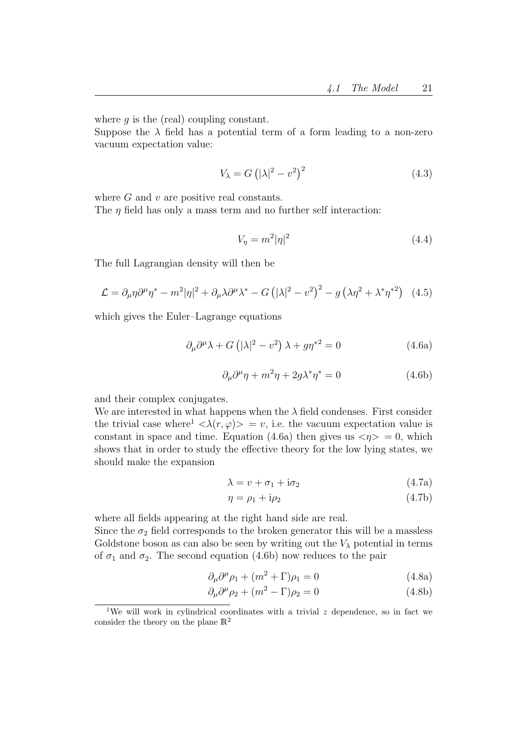where  $q$  is the (real) coupling constant.

Suppose the  $\lambda$  field has a potential term of a form leading to a non-zero vacuum expectation value:

$$
V_{\lambda} = G\left(|\lambda|^2 - v^2\right)^2\tag{4.3}
$$

where  $G$  and  $v$  are positive real constants.

The  $\eta$  field has only a mass term and no further self interaction:

$$
V_{\eta} = m^2 |\eta|^2 \tag{4.4}
$$

The full Lagrangian density will then be

$$
\mathcal{L} = \partial_{\mu}\eta \partial^{\mu}\eta^* - m^2 |\eta|^2 + \partial_{\mu}\lambda \partial^{\mu}\lambda^* - G\left(|\lambda|^2 - v^2\right)^2 - g\left(\lambda \eta^2 + \lambda^* \eta^{*2}\right) \tag{4.5}
$$

which gives the Euler–Lagrange equations

$$
\partial_{\mu}\partial^{\mu}\lambda + G\left(|\lambda|^2 - v^2\right)\lambda + g\eta^{*2} = 0\tag{4.6a}
$$

$$
\partial_{\mu}\partial^{\mu}\eta + m^2\eta + 2g\lambda^*\eta^* = 0 \tag{4.6b}
$$

and their complex conjugates.

We are interested in what happens when the  $\lambda$  field condenses. First consider the trivial case where<sup>1</sup>  $\langle \lambda(r,\varphi) \rangle = v$ , i.e. the vacuum expectation value is constant in space and time. Equation (4.6a) then gives us  $\langle \eta \rangle = 0$ , which shows that in order to study the effective theory for the low lying states, we should make the expansion

$$
\lambda = v + \sigma_1 + i\sigma_2 \tag{4.7a}
$$

$$
\eta = \rho_1 + i\rho_2 \tag{4.7b}
$$

where all fields appearing at the right hand side are real. Since the  $\sigma_2$  field corresponds to the broken generator this will be a massless Goldstone boson as can also be seen by writing out the  $V_{\lambda}$  potential in terms of  $\sigma_1$  and  $\sigma_2$ . The second equation (4.6b) now reduces to the pair

$$
\partial_{\mu}\partial^{\mu}\rho_1 + (m^2 + \Gamma)\rho_1 = 0 \qquad (4.8a)
$$

$$
\partial_{\mu}\partial^{\mu}\rho_2 + (m^2 - \Gamma)\rho_2 = 0 \tag{4.8b}
$$

<sup>&</sup>lt;sup>1</sup>We will work in cylindrical coordinates with a trivial z dependence, so in fact we consider the theory on the plane  $\mathbb{R}^2$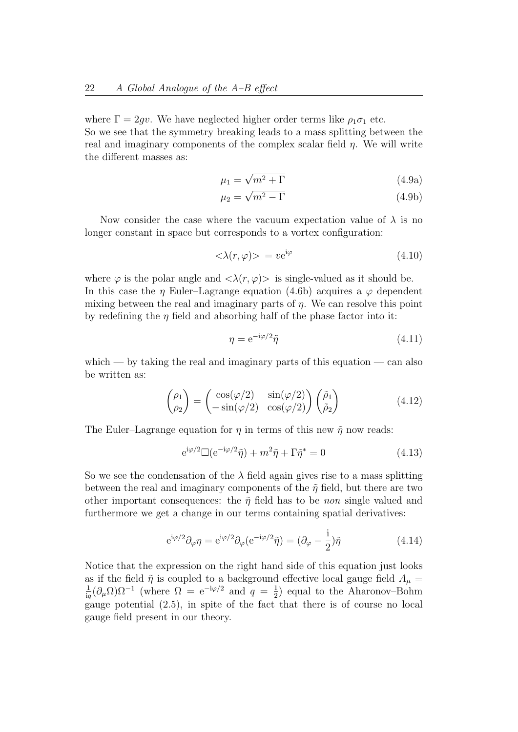where  $\Gamma = 2gv$ . We have neglected higher order terms like  $\rho_1 \sigma_1$  etc. So we see that the symmetry breaking leads to a mass splitting between the real and imaginary components of the complex scalar field  $\eta$ . We will write the different masses as:

$$
\mu_1 = \sqrt{m^2 + \Gamma} \tag{4.9a}
$$

$$
\mu_2 = \sqrt{m^2 - \Gamma} \tag{4.9b}
$$

Now consider the case where the vacuum expectation value of  $\lambda$  is no longer constant in space but corresponds to a vortex configuration:

$$
\langle \lambda(r,\varphi) \rangle = v e^{i\varphi} \tag{4.10}
$$

where  $\varphi$  is the polar angle and  $\langle \lambda(r,\varphi) \rangle$  is single-valued as it should be. In this case the  $\eta$  Euler–Lagrange equation (4.6b) acquires a  $\varphi$  dependent mixing between the real and imaginary parts of  $\eta$ . We can resolve this point by redefining the  $\eta$  field and absorbing half of the phase factor into it:

$$
\eta = e^{-i\varphi/2}\tilde{\eta}
$$
\n(4.11)

which — by taking the real and imaginary parts of this equation — can also be written as:

$$
\begin{pmatrix} \rho_1 \\ \rho_2 \end{pmatrix} = \begin{pmatrix} \cos(\varphi/2) & \sin(\varphi/2) \\ -\sin(\varphi/2) & \cos(\varphi/2) \end{pmatrix} \begin{pmatrix} \tilde{\rho}_1 \\ \tilde{\rho}_2 \end{pmatrix}
$$
(4.12)

The Euler–Lagrange equation for  $\eta$  in terms of this new  $\tilde{\eta}$  now reads:

$$
e^{i\varphi/2} \Box (e^{-i\varphi/2}\tilde{\eta}) + m^2 \tilde{\eta} + \Gamma \tilde{\eta}^* = 0 \qquad (4.13)
$$

So we see the condensation of the  $\lambda$  field again gives rise to a mass splitting between the real and imaginary components of the  $\tilde{\eta}$  field, but there are two other important consequences: the  $\tilde{\eta}$  field has to be non single valued and furthermore we get a change in our terms containing spatial derivatives:

$$
e^{i\varphi/2}\partial_{\varphi}\eta = e^{i\varphi/2}\partial_{\varphi}(e^{-i\varphi/2}\tilde{\eta}) = (\partial_{\varphi} - \frac{i}{2})\tilde{\eta}
$$
(4.14)

Notice that the expression on the right hand side of this equation just looks as if the field  $\tilde{\eta}$  is coupled to a background effective local gauge field  $A_{\mu} = \frac{1}{2} (\partial \Omega) Q^{-1}$  (where  $\Omega = e^{-i\varphi/2}$  and  $a = \frac{1}{2}$ ) equal to the Abaroney-Bohm  $\frac{1}{\text{i}q}(\partial_\mu \Omega)\Omega^{-1}$  (where  $\Omega = e^{-i\varphi/2}$  and  $q = \frac{1}{2}$  $\frac{1}{2}$ ) equal to the Aharonov–Bohm gauge potential (2.5), in spite of the fact that there is of course no local gauge field present in our theory.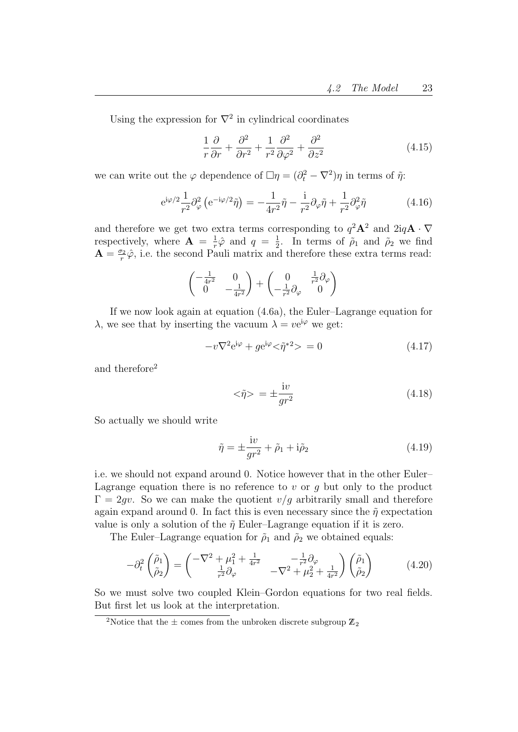Using the expression for  $\nabla^2$  in cylindrical coordinates

$$
\frac{1}{r}\frac{\partial}{\partial r} + \frac{\partial^2}{\partial r^2} + \frac{1}{r^2}\frac{\partial^2}{\partial \varphi^2} + \frac{\partial^2}{\partial z^2}
$$
(4.15)

we can write out the  $\varphi$  dependence of  $\Box \eta = (\partial_t^2 - \nabla^2)\eta$  in terms of  $\tilde{\eta}$ :

$$
e^{i\varphi/2}\frac{1}{r^2}\partial_{\varphi}^2\left(e^{-i\varphi/2}\tilde{\eta}\right) = -\frac{1}{4r^2}\tilde{\eta} - \frac{i}{r^2}\partial_{\varphi}\tilde{\eta} + \frac{1}{r^2}\partial_{\varphi}^2\tilde{\eta}
$$
(4.16)

and therefore we get two extra terms corresponding to  $q^2\mathbf{A}^2$  and  $2iq\mathbf{A} \cdot \nabla$ respectively, where  $\mathbf{A} = \frac{1}{r}$  $\frac{1}{r}\hat{\varphi}$  and  $q = \frac{1}{2}$  $\frac{1}{2}$ . In terms of  $\rho_1$  and  $\rho_2$  we find  $\mathbf{A} = \frac{\sigma_2}{r}$  $\frac{v_2}{r}\hat{\varphi}$ , i.e. the second Pauli matrix and therefore these extra terms read:

$$
\begin{pmatrix} -\frac{1}{4r^2} & 0\\ 0 & -\frac{1}{4r^2} \end{pmatrix} + \begin{pmatrix} 0 & \frac{1}{r^2} \partial_\varphi\\ -\frac{1}{r^2} \partial_\varphi & 0 \end{pmatrix}
$$

If we now look again at equation (4.6a), the Euler–Lagrange equation for  $\lambda$ , we see that by inserting the vacuum  $\lambda = v e^{i\varphi}$  we get:

$$
-v\nabla^2 e^{i\varphi} + g e^{i\varphi} < \tilde{\eta}^{*2} > = 0
$$
\n(4.17)

and therefore<sup>2</sup>

$$
\langle \tilde{\eta} \rangle = \pm \frac{\mathrm{i}v}{gr^2} \tag{4.18}
$$

So actually we should write

$$
\tilde{\eta} = \pm \frac{iv}{gr^2} + \tilde{\rho}_1 + i\tilde{\rho}_2 \tag{4.19}
$$

i.e. we should not expand around 0. Notice however that in the other Euler– Lagrange equation there is no reference to v or q but only to the product  $\Gamma = 2qv$ . So we can make the quotient  $v/q$  arbitrarily small and therefore again expand around 0. In fact this is even necessary since the  $\tilde{\eta}$  expectation value is only a solution of the  $\tilde{\eta}$  Euler–Lagrange equation if it is zero.

The Euler–Lagrange equation for  $\tilde{\rho}_1$  and  $\tilde{\rho}_2$  we obtained equals:

$$
-\partial_t^2 \begin{pmatrix} \tilde{\rho}_1 \\ \tilde{\rho}_2 \end{pmatrix} = \begin{pmatrix} -\nabla^2 + \mu_1^2 + \frac{1}{4r^2} & -\frac{1}{r^2} \partial_\varphi \\ \frac{1}{r^2} \partial_\varphi & -\nabla^2 + \mu_2^2 + \frac{1}{4r^2} \end{pmatrix} \begin{pmatrix} \tilde{\rho}_1 \\ \tilde{\rho}_2 \end{pmatrix} (4.20)
$$

So we must solve two coupled Klein–Gordon equations for two real fields. But first let us look at the interpretation.

<sup>&</sup>lt;sup>2</sup>Notice that the  $\pm$  comes from the unbroken discrete subgroup  $\mathbb{Z}_2$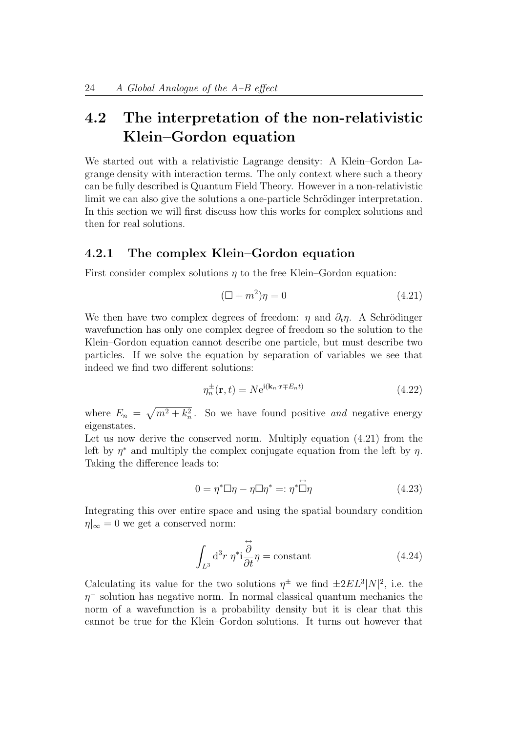## 4.2 The interpretation of the non-relativistic Klein–Gordon equation

We started out with a relativistic Lagrange density: A Klein–Gordon Lagrange density with interaction terms. The only context where such a theory can be fully described is Quantum Field Theory. However in a non-relativistic limit we can also give the solutions a one-particle Schrödinger interpretation. In this section we will first discuss how this works for complex solutions and then for real solutions.

#### 4.2.1 The complex Klein–Gordon equation

First consider complex solutions  $n$  to the free Klein–Gordon equation:

$$
(\Box + m^2)\eta = 0\tag{4.21}
$$

We then have two complex degrees of freedom:  $\eta$  and  $\partial_t \eta$ . A Schrödinger wavefunction has only one complex degree of freedom so the solution to the Klein–Gordon equation cannot describe one particle, but must describe two particles. If we solve the equation by separation of variables we see that indeed we find two different solutions:

$$
\eta_n^{\pm}(\mathbf{r},t) = N e^{i(\mathbf{k}_n \cdot \mathbf{r} \mp E_n t)}
$$
\n(4.22)

where  $E_n = \sqrt{m^2 + k_n^2}$ . So we have found positive and negative energy eigenstates.

Let us now derive the conserved norm. Multiply equation (4.21) from the left by  $\eta^*$  and multiply the complex conjugate equation from the left by  $\eta$ . Taking the difference leads to:

$$
0 = \eta^* \Box \eta - \eta \Box \eta^* =: \eta^* \overset{\leftrightarrow}{\Box} \eta \tag{4.23}
$$

Integrating this over entire space and using the spatial boundary condition  $\eta|_{\infty} = 0$  we get a conserved norm:

$$
\int_{L^3} d^3r \; \eta^* i \frac{\partial}{\partial t} \eta = \text{constant} \tag{4.24}
$$

Calculating its value for the two solutions  $\eta^{\pm}$  we find  $\pm 2EL^3|N|^2$ , i.e. the  $\eta$ <sup>-</sup> solution has negative norm. In normal classical quantum mechanics the norm of a wavefunction is a probability density but it is clear that this cannot be true for the Klein–Gordon solutions. It turns out however that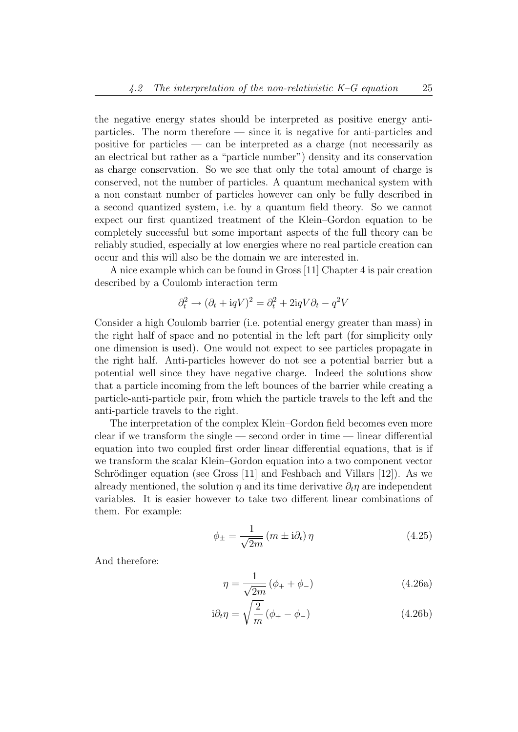the negative energy states should be interpreted as positive energy antiparticles. The norm therefore — since it is negative for anti-particles and positive for particles — can be interpreted as a charge (not necessarily as an electrical but rather as a "particle number") density and its conservation as charge conservation. So we see that only the total amount of charge is conserved, not the number of particles. A quantum mechanical system with a non constant number of particles however can only be fully described in a second quantized system, i.e. by a quantum field theory. So we cannot expect our first quantized treatment of the Klein–Gordon equation to be completely successful but some important aspects of the full theory can be reliably studied, especially at low energies where no real particle creation can occur and this will also be the domain we are interested in.

A nice example which can be found in Gross [11] Chapter 4 is pair creation described by a Coulomb interaction term

$$
\partial_t^2 \to (\partial_t + \mathrm{i} q V)^2 = \partial_t^2 + 2\mathrm{i} q V \partial_t - q^2 V
$$

Consider a high Coulomb barrier (i.e. potential energy greater than mass) in the right half of space and no potential in the left part (for simplicity only one dimension is used). One would not expect to see particles propagate in the right half. Anti-particles however do not see a potential barrier but a potential well since they have negative charge. Indeed the solutions show that a particle incoming from the left bounces of the barrier while creating a particle-anti-particle pair, from which the particle travels to the left and the anti-particle travels to the right.

The interpretation of the complex Klein–Gordon field becomes even more clear if we transform the single — second order in time — linear differential equation into two coupled first order linear differential equations, that is if we transform the scalar Klein–Gordon equation into a two component vector Schrödinger equation (see Gross  $[11]$  and Feshbach and Villars  $[12]$ ). As we already mentioned, the solution  $\eta$  and its time derivative  $\partial_t \eta$  are independent variables. It is easier however to take two different linear combinations of them. For example:

$$
\phi_{\pm} = \frac{1}{\sqrt{2m}} \left( m \pm i \partial_t \right) \eta \tag{4.25}
$$

And therefore:

$$
\eta = \frac{1}{\sqrt{2m}} (\phi_+ + \phi_-) \tag{4.26a}
$$

$$
i\partial_t \eta = \sqrt{\frac{2}{m}} \left( \phi_+ - \phi_- \right) \tag{4.26b}
$$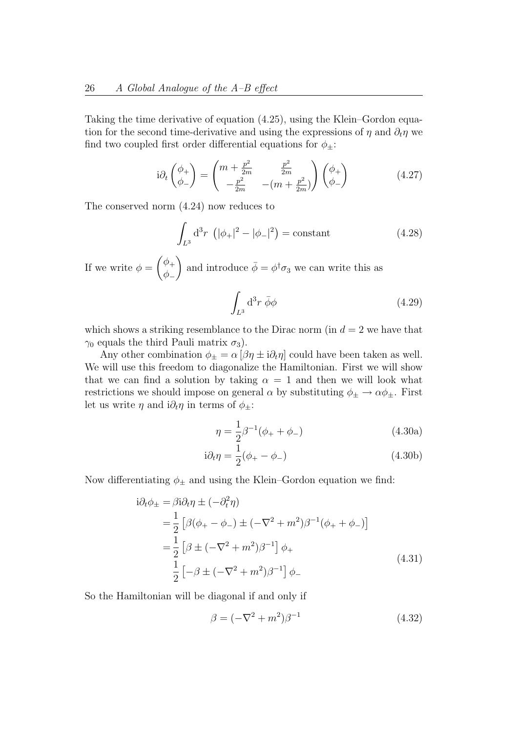Taking the time derivative of equation (4.25), using the Klein–Gordon equation for the second time-derivative and using the expressions of  $\eta$  and  $\partial_t \eta$  we find two coupled first order differential equations for  $\phi_{\pm}$ :

$$
i\partial_t \begin{pmatrix} \phi_+ \\ \phi_- \end{pmatrix} = \begin{pmatrix} m + \frac{p^2}{2m} & \frac{p^2}{2m} \\ -\frac{p^2}{2m} & -(m + \frac{p^2}{2m}) \end{pmatrix} \begin{pmatrix} \phi_+ \\ \phi_- \end{pmatrix}
$$
 (4.27)

The conserved norm (4.24) now reduces to

$$
\int_{L^3} d^3r \, (\vert \phi_+ \vert^2 - \vert \phi_- \vert^2) = \text{constant} \tag{4.28}
$$

If we write  $\phi = \begin{pmatrix} \phi_+ & \phi_+ & \phi_+ \end{pmatrix}$  $\phi_-\$ ) and introduce  $\bar{\phi} = \phi^{\dagger} \sigma_3$  we can write this as Z  $d^3r \,\bar{\phi}\phi$  (4.29)

 $L^3$ 

which shows a striking resemblance to the Dirac norm (in  $d = 2$  we have that  $\gamma_0$  equals the third Pauli matrix  $\sigma_3$ ).

Any other combination  $\phi_{\pm} = \alpha [\beta \eta \pm i \partial_t \eta]$  could have been taken as well. We will use this freedom to diagonalize the Hamiltonian. First we will show that we can find a solution by taking  $\alpha = 1$  and then we will look what restrictions we should impose on general  $\alpha$  by substituting  $\phi_{\pm} \rightarrow \alpha \phi_{\pm}$ . First let us write  $\eta$  and  $i\partial_t \eta$  in terms of  $\phi_{\pm}$ :

$$
\eta = \frac{1}{2}\beta^{-1}(\phi_+ + \phi_-) \tag{4.30a}
$$

$$
i\partial_t \eta = \frac{1}{2}(\phi_+ - \phi_-) \tag{4.30b}
$$

Now differentiating  $\phi_{\pm}$  and using the Klein–Gordon equation we find:

$$
i\partial_t \phi_{\pm} = \beta i \partial_t \eta \pm (-\partial_t^2 \eta)
$$
  
=  $\frac{1}{2} [\beta(\phi_+ - \phi_-) \pm (-\nabla^2 + m^2)\beta^{-1}(\phi_+ + \phi_-)]$   
=  $\frac{1}{2} [\beta \pm (-\nabla^2 + m^2)\beta^{-1}] \phi_+$   
 $\frac{1}{2} [-\beta \pm (-\nabla^2 + m^2)\beta^{-1}] \phi_-$  (4.31)

So the Hamiltonian will be diagonal if and only if

$$
\beta = (-\nabla^2 + m^2)\beta^{-1} \tag{4.32}
$$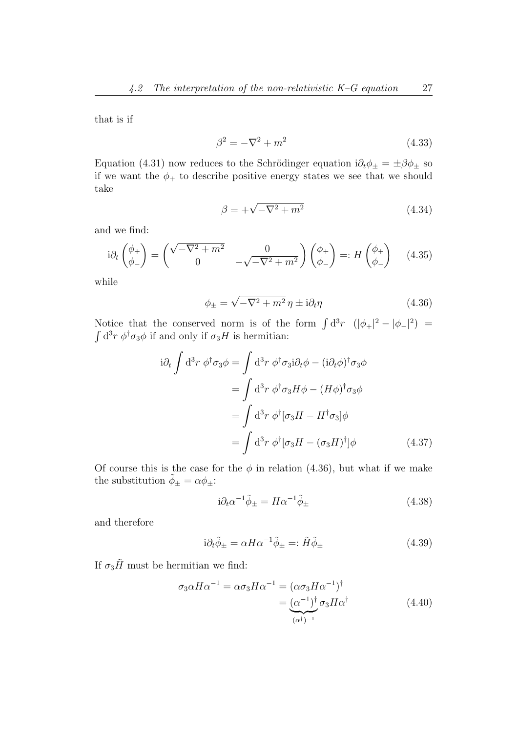that is if

$$
\beta^2 = -\nabla^2 + m^2\tag{4.33}
$$

Equation (4.31) now reduces to the Schrödinger equation  $i\partial_t \phi_{\pm} = \pm \beta \phi_{\pm}$  so if we want the  $\phi_+$  to describe positive energy states we see that we should take

$$
\beta = +\sqrt{-\nabla^2 + m^2} \tag{4.34}
$$

and we find:

$$
i\partial_t \begin{pmatrix} \phi_+ \\ \phi_- \end{pmatrix} = \begin{pmatrix} \sqrt{-\nabla^2 + m^2} & 0 \\ 0 & -\sqrt{-\nabla^2 + m^2} \end{pmatrix} \begin{pmatrix} \phi_+ \\ \phi_- \end{pmatrix} =: H \begin{pmatrix} \phi_+ \\ \phi_- \end{pmatrix} \quad (4.35)
$$

while

$$
\phi_{\pm} = \sqrt{-\nabla^2 + m^2} \eta \pm i\partial_t \eta \tag{4.36}
$$

Notice that the conserved norm is of the form  $\int d^3r \ (\vert \phi_+ \vert^2 - \vert \phi_- \vert^2) =$  $\int d^3r \phi^{\dagger} \sigma_3 \phi$  if and only if  $\sigma_3 H$  is hermitian:

$$
i\partial_t \int d^3r \; \phi^\dagger \sigma_3 \phi = \int d^3r \; \phi^\dagger \sigma_3 i \partial_t \phi - (i \partial_t \phi)^\dagger \sigma_3 \phi
$$

$$
= \int d^3r \; \phi^\dagger \sigma_3 H \phi - (H\phi)^\dagger \sigma_3 \phi
$$

$$
= \int d^3r \; \phi^\dagger [\sigma_3 H - H^\dagger \sigma_3] \phi
$$

$$
= \int d^3r \; \phi^\dagger [\sigma_3 H - (\sigma_3 H)^\dagger] \phi \qquad (4.37)
$$

Of course this is the case for the  $\phi$  in relation (4.36), but what if we make the substitution  $\tilde{\phi}_{\pm} = \alpha \phi_{\pm}$ :

$$
i\partial_t \alpha^{-1} \tilde{\phi}_{\pm} = H \alpha^{-1} \tilde{\phi}_{\pm} \tag{4.38}
$$

and therefore

$$
i\partial_t \tilde{\phi}_{\pm} = \alpha H \alpha^{-1} \tilde{\phi}_{\pm} =: \tilde{H} \tilde{\phi}_{\pm}
$$
\n(4.39)

If  $\sigma_3\tilde{H}$  must be hermitian we find:

$$
\sigma_3 \alpha H \alpha^{-1} = \alpha \sigma_3 H \alpha^{-1} = (\alpha \sigma_3 H \alpha^{-1})^{\dagger}
$$

$$
= (\alpha^{-1})^{\dagger} \sigma_3 H \alpha^{\dagger}
$$
(4.40)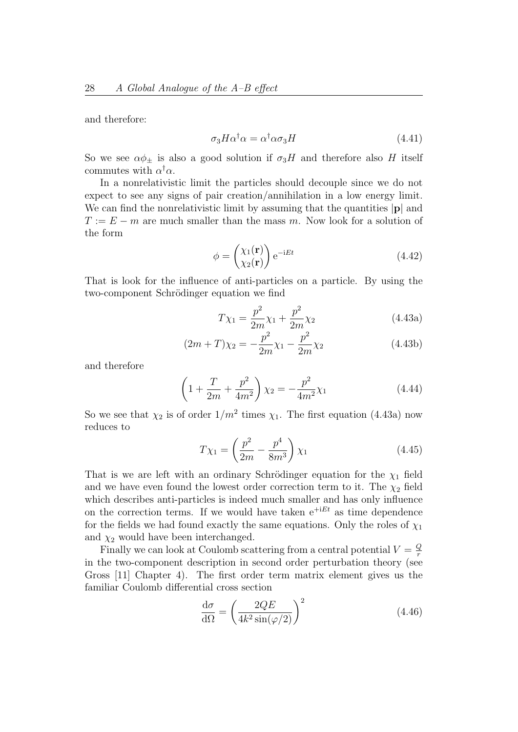and therefore:

$$
\sigma_3 H \alpha^\dagger \alpha = \alpha^\dagger \alpha \sigma_3 H \tag{4.41}
$$

So we see  $\alpha \phi_{\pm}$  is also a good solution if  $\sigma_3H$  and therefore also H itself commutes with  $\alpha^{\dagger} \alpha$ .

In a nonrelativistic limit the particles should decouple since we do not expect to see any signs of pair creation/annihilation in a low energy limit. We can find the nonrelativistic limit by assuming that the quantities  $|\mathbf{p}|$  and  $T := E - m$  are much smaller than the mass m. Now look for a solution of the form

$$
\phi = \begin{pmatrix} \chi_1(\mathbf{r}) \\ \chi_2(\mathbf{r}) \end{pmatrix} e^{-iEt} \tag{4.42}
$$

That is look for the influence of anti-particles on a particle. By using the two-component Schrödinger equation we find

$$
T\chi_1 = \frac{p^2}{2m}\chi_1 + \frac{p^2}{2m}\chi_2\tag{4.43a}
$$

$$
(2m+T)\chi_2 = -\frac{p^2}{2m}\chi_1 - \frac{p^2}{2m}\chi_2
$$
\n(4.43b)

and therefore

$$
\left(1 + \frac{T}{2m} + \frac{p^2}{4m^2}\right)\chi_2 = -\frac{p^2}{4m^2}\chi_1\tag{4.44}
$$

So we see that  $\chi_2$  is of order  $1/m^2$  times  $\chi_1$ . The first equation (4.43a) now reduces to

$$
T\chi_1 = \left(\frac{p^2}{2m} - \frac{p^4}{8m^3}\right)\chi_1\tag{4.45}
$$

That is we are left with an ordinary Schrödinger equation for the  $\chi_1$  field and we have even found the lowest order correction term to it. The  $\chi_2$  field which describes anti-particles is indeed much smaller and has only influence on the correction terms. If we would have taken  $e^{+iEt}$  as time dependence for the fields we had found exactly the same equations. Only the roles of  $\chi_1$ and  $\chi_2$  would have been interchanged.

Finally we can look at Coulomb scattering from a central potential  $V = \frac{Q}{r}$ r in the two-component description in second order perturbation theory (see Gross [11] Chapter 4). The first order term matrix element gives us the familiar Coulomb differential cross section

$$
\frac{\mathrm{d}\sigma}{\mathrm{d}\Omega} = \left(\frac{2QE}{4k^2\sin(\varphi/2)}\right)^2\tag{4.46}
$$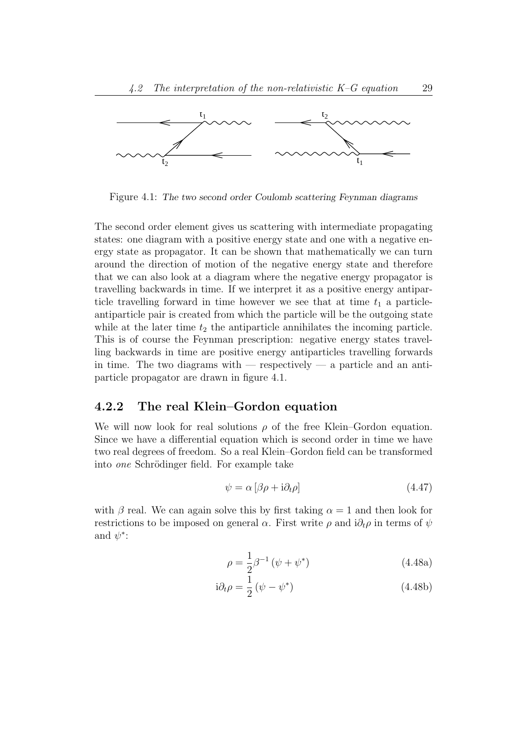

Figure 4.1: The two second order Coulomb scattering Feynman diagrams

The second order element gives us scattering with intermediate propagating states: one diagram with a positive energy state and one with a negative energy state as propagator. It can be shown that mathematically we can turn around the direction of motion of the negative energy state and therefore that we can also look at a diagram where the negative energy propagator is travelling backwards in time. If we interpret it as a positive energy antiparticle travelling forward in time however we see that at time  $t_1$  a particleantiparticle pair is created from which the particle will be the outgoing state while at the later time  $t_2$  the antiparticle annihilates the incoming particle. This is of course the Feynman prescription: negative energy states travelling backwards in time are positive energy antiparticles travelling forwards in time. The two diagrams with  $-$  respectively  $-$  a particle and an antiparticle propagator are drawn in figure 4.1.

#### 4.2.2 The real Klein–Gordon equation

We will now look for real solutions  $\rho$  of the free Klein–Gordon equation. Since we have a differential equation which is second order in time we have two real degrees of freedom. So a real Klein–Gordon field can be transformed into *one* Schrödinger field. For example take

$$
\psi = \alpha \left[ \beta \rho + i \partial_t \rho \right] \tag{4.47}
$$

with  $\beta$  real. We can again solve this by first taking  $\alpha = 1$  and then look for restrictions to be imposed on general  $\alpha$ . First write  $\rho$  and  $i\partial_t \rho$  in terms of  $\psi$ and  $\psi^*$ :

$$
\rho = \frac{1}{2}\beta^{-1}(\psi + \psi^*)
$$
\n(4.48a)

$$
i\partial_t \rho = \frac{1}{2} \left( \psi - \psi^* \right) \tag{4.48b}
$$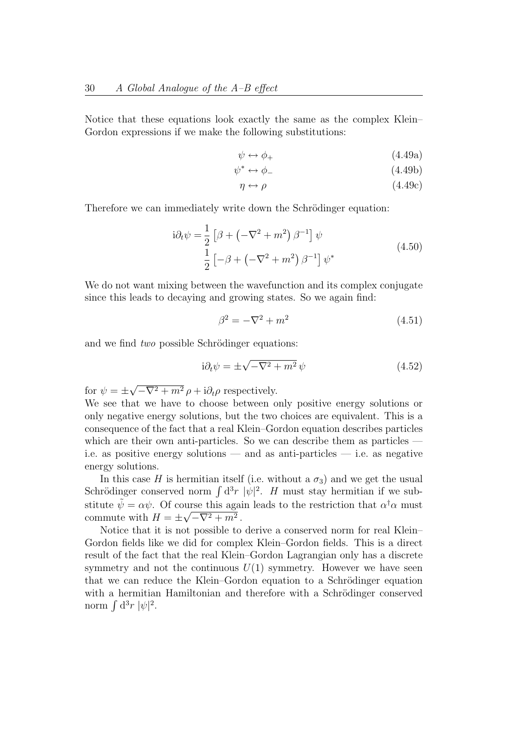Notice that these equations look exactly the same as the complex Klein– Gordon expressions if we make the following substitutions:

$$
\psi \leftrightarrow \phi_+ \tag{4.49a}
$$

 $\psi^* \leftrightarrow \phi_-$  (4.49b)

$$
\eta \leftrightarrow \rho \tag{4.49c}
$$

Therefore we can immediately write down the Schrödinger equation:

$$
i\partial_t \psi = \frac{1}{2} \left[ \beta + \left( -\nabla^2 + m^2 \right) \beta^{-1} \right] \psi
$$
  

$$
\frac{1}{2} \left[ -\beta + \left( -\nabla^2 + m^2 \right) \beta^{-1} \right] \psi^*
$$
\n(4.50)

We do not want mixing between the wavefunction and its complex conjugate since this leads to decaying and growing states. So we again find:

$$
\beta^2 = -\nabla^2 + m^2\tag{4.51}
$$

and we find  $two$  possible Schrödinger equations:

$$
i\partial_t \psi = \pm \sqrt{-\nabla^2 + m^2} \psi \tag{4.52}
$$

for  $\psi = \pm$  $-\nabla^2 + m^2 \rho + i \partial_t \rho$  respectively.

We see that we have to choose between only positive energy solutions or only negative energy solutions, but the two choices are equivalent. This is a consequence of the fact that a real Klein–Gordon equation describes particles which are their own anti-particles. So we can describe them as particles i.e. as positive energy solutions — and as anti-particles — i.e. as negative energy solutions.

In this case H is hermitian itself (i.e. without a  $\sigma_3$ ) and we get the usual Schrödinger conserved norm  $\int d^3r |\psi|^2$ . H must stay hermitian if we substitute  $\tilde{\psi} = \alpha \psi$ . Of course this again leads to the restriction that  $\alpha^{\dagger} \alpha$  must commute with  $H = \pm \sqrt{-\nabla^2 + m^2}$ .

Notice that it is not possible to derive a conserved norm for real Klein– Gordon fields like we did for complex Klein–Gordon fields. This is a direct result of the fact that the real Klein–Gordon Lagrangian only has a discrete symmetry and not the continuous  $U(1)$  symmetry. However we have seen that we can reduce the Klein–Gordon equation to a Schrödinger equation with a hermitian Hamiltonian and therefore with a Schrödinger conserved norm  $\int d^3r \ |\psi|^2$ .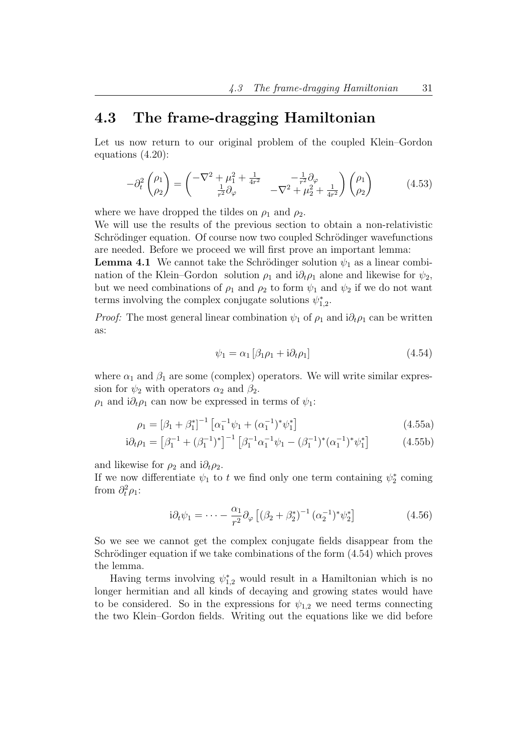### 4.3 The frame-dragging Hamiltonian

Let us now return to our original problem of the coupled Klein–Gordon equations (4.20):

$$
-\partial_t^2 \begin{pmatrix} \rho_1 \\ \rho_2 \end{pmatrix} = \begin{pmatrix} -\nabla^2 + \mu_1^2 + \frac{1}{4r^2} & -\frac{1}{r^2} \partial_\varphi \\ \frac{1}{r^2} \partial_\varphi & -\nabla^2 + \mu_2^2 + \frac{1}{4r^2} \end{pmatrix} \begin{pmatrix} \rho_1 \\ \rho_2 \end{pmatrix} \tag{4.53}
$$

where we have dropped the tildes on  $\rho_1$  and  $\rho_2$ .

We will use the results of the previous section to obtain a non-relativistic Schrödinger equation. Of course now two coupled Schrödinger wavefunctions are needed. Before we proceed we will first prove an important lemma:

**Lemma 4.1** We cannot take the Schrödinger solution  $\psi_1$  as a linear combination of the Klein–Gordon solution  $\rho_1$  and  $i\partial_t \rho_1$  alone and likewise for  $\psi_2$ , but we need combinations of  $\rho_1$  and  $\rho_2$  to form  $\psi_1$  and  $\psi_2$  if we do not want terms involving the complex conjugate solutions  $\psi_1^*$  $_{1,2}^*$ .

*Proof:* The most general linear combination  $\psi_1$  of  $\rho_1$  and  $i\partial_t \rho_1$  can be written as:

$$
\psi_1 = \alpha_1 \left[ \beta_1 \rho_1 + i \partial_t \rho_1 \right] \tag{4.54}
$$

where  $\alpha_1$  and  $\beta_1$  are some (complex) operators. We will write similar expression for  $\psi_2$  with operators  $\alpha_2$  and  $\beta_2$ .

 $\rho_1$  and  $i\partial_t \rho_1$  can now be expressed in terms of  $\psi_1$ :

$$
\rho_1 = [\beta_1 + \beta_1^*]^{-1} \left[ \alpha_1^{-1} \psi_1 + (\alpha_1^{-1})^* \psi_1^* \right]
$$
\n(4.55a)

$$
i\partial_t \rho_1 = \left[\beta_1^{-1} + (\beta_1^{-1})^*\right]^{-1} \left[\beta_1^{-1} \alpha_1^{-1} \psi_1 - (\beta_1^{-1})^* (\alpha_1^{-1})^* \psi_1^*\right]
$$
(4.55b)

and likewise for  $\rho_2$  and i $\partial_t \rho_2$ .

If we now differentiate  $\psi_1$  to t we find only one term containing  $\psi_2^*$  $v_2^*$  coming from  $\partial_t^2 \rho_1$ :

$$
i\partial_t \psi_1 = \dots - \frac{\alpha_1}{r^2} \partial_\varphi \left[ (\beta_2 + \beta_2^*)^{-1} (\alpha_2^{-1})^* \psi_2^* \right] \tag{4.56}
$$

So we see we cannot get the complex conjugate fields disappear from the Schrödinger equation if we take combinations of the form  $(4.54)$  which proves the lemma.

Having terms involving  $\psi_{1,2}^*$  would result in a Hamiltonian which is no longer hermitian and all kinds of decaying and growing states would have to be considered. So in the expressions for  $\psi_{1,2}$  we need terms connecting the two Klein–Gordon fields. Writing out the equations like we did before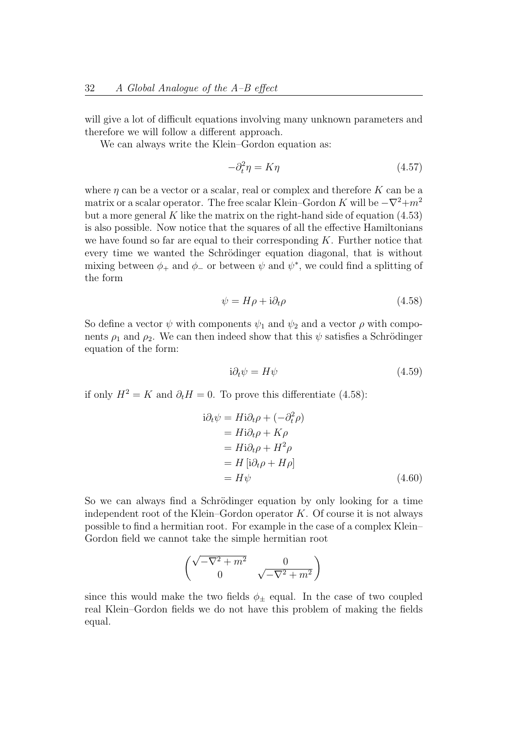will give a lot of difficult equations involving many unknown parameters and therefore we will follow a different approach.

We can always write the Klein–Gordon equation as:

$$
-\partial_t^2 \eta = K \eta \tag{4.57}
$$

where  $\eta$  can be a vector or a scalar, real or complex and therefore K can be a matrix or a scalar operator. The free scalar Klein–Gordon K will be  $-\nabla^2 + m^2$ but a more general  $K$  like the matrix on the right-hand side of equation  $(4.53)$ is also possible. Now notice that the squares of all the effective Hamiltonians we have found so far are equal to their corresponding  $K$ . Further notice that every time we wanted the Schrödinger equation diagonal, that is without mixing between  $\phi_+$  and  $\phi_-$  or between  $\psi$  and  $\psi^*$ , we could find a splitting of the form

$$
\psi = H\rho + \mathrm{i}\partial_t\rho \tag{4.58}
$$

So define a vector  $\psi$  with components  $\psi_1$  and  $\psi_2$  and a vector  $\rho$  with components  $\rho_1$  and  $\rho_2$ . We can then indeed show that this  $\psi$  satisfies a Schrödinger equation of the form:

$$
i\partial_t \psi = H\psi \tag{4.59}
$$

if only  $H^2 = K$  and  $\partial_t H = 0$ . To prove this differentiate (4.58):

$$
i\partial_t \psi = H i \partial_t \rho + (-\partial_t^2 \rho)
$$
  
=  $H i \partial_t \rho + K \rho$   
=  $H i \partial_t \rho + H^2 \rho$   
=  $H [i \partial_t \rho + H \rho]$   
=  $H \psi$  (4.60)

So we can always find a Schrödinger equation by only looking for a time independent root of the Klein–Gordon operator  $K$ . Of course it is not always possible to find a hermitian root. For example in the case of a complex Klein– Gordon field we cannot take the simple hermitian root

$$
\begin{pmatrix}\n\sqrt{-\nabla^2 + m^2} & 0 \\
0 & \sqrt{-\nabla^2 + m^2}\n\end{pmatrix}
$$

since this would make the two fields  $\phi_+$  equal. In the case of two coupled real Klein–Gordon fields we do not have this problem of making the fields equal.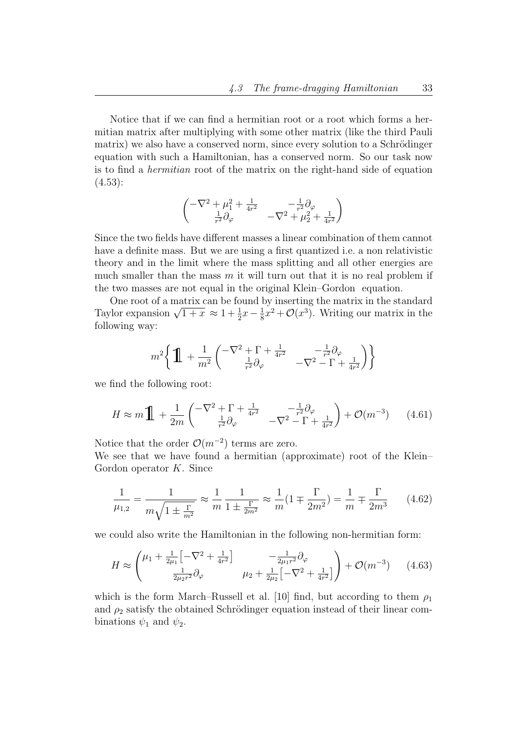Notice that if we can find a hermitian root or a root which forms a hermitian matrix after multiplying with some other matrix (like the third Pauli matrix) we also have a conserved norm, since every solution to a Schrödinger equation with such a Hamiltonian, has a conserved norm. So our task now is to find a hermitian root of the matrix on the right-hand side of equation (4.53):

$$
\begin{pmatrix} -\nabla^2 + \mu_1^2 + \frac{1}{4r^2} & -\frac{1}{r^2}\partial_\varphi \\ \frac{1}{r^2}\partial_\varphi & -\nabla^2 + \mu_2^2 + \frac{1}{4r^2} \end{pmatrix}
$$

Since the two fields have different masses a linear combination of them cannot have a definite mass. But we are using a first quantized i.e. a non relativistic theory and in the limit where the mass splitting and all other energies are much smaller than the mass  $m$  it will turn out that it is no real problem if the two masses are not equal in the original Klein–Gordon equation.

One root of a matrix can be found by inserting the matrix in the standard One root of a matrix can be found l<br>Taylor expansion  $\sqrt{1+x} \approx 1 + \frac{1}{2}x - \frac{1}{8}$  $\frac{1}{8}x^2 + \mathcal{O}(x^3)$ . Writing our matrix in the following way:

$$
m^2 \bigg\{ \prod_{r=1}^n \left( \frac{-\nabla^2 + \Gamma + \frac{1}{4r^2}}{\frac{1}{r^2} \partial_\varphi} - \frac{-\frac{1}{r^2} \partial_\varphi}{-\nabla^2 - \Gamma + \frac{1}{4r^2}} \right) \bigg\}
$$

we find the following root:

$$
H \approx m \prod_{\tau} + \frac{1}{2m} \begin{pmatrix} -\nabla^2 + \Gamma + \frac{1}{4r^2} & -\frac{1}{r^2} \partial_{\varphi} \\ \frac{1}{r^2} \partial_{\varphi} & -\nabla^2 - \Gamma + \frac{1}{4r^2} \end{pmatrix} + \mathcal{O}(m^{-3}) \qquad (4.61)
$$

Notice that the order  $\mathcal{O}(m^{-2})$  terms are zero.

We see that we have found a hermitian (approximate) root of the Klein– Gordon operator  $K$ . Since

$$
\frac{1}{\mu_{1,2}} = \frac{1}{m\sqrt{1 \pm \frac{\Gamma}{m^2}}} \approx \frac{1}{m} \frac{1}{1 \pm \frac{\Gamma}{2m^2}} \approx \frac{1}{m} (1 \mp \frac{\Gamma}{2m^2}) = \frac{1}{m} \mp \frac{\Gamma}{2m^3}
$$
(4.62)

we could also write the Hamiltonian in the following non-hermitian form:

$$
H \approx \begin{pmatrix} \mu_1 + \frac{1}{2\mu_1} \left[ -\nabla^2 + \frac{1}{4r^2} \right] & -\frac{1}{2\mu_1 r^2} \partial_\varphi \\ \frac{1}{2\mu_2 r^2} \partial_\varphi & \mu_2 + \frac{1}{2\mu_2} \left[ -\nabla^2 + \frac{1}{4r^2} \right] \end{pmatrix} + \mathcal{O}(m^{-3}) \qquad (4.63)
$$

which is the form March–Russell et al. [10] find, but according to them  $\rho_1$ and  $\rho_2$  satisfy the obtained Schrödinger equation instead of their linear combinations  $\psi_1$  and  $\psi_2$ .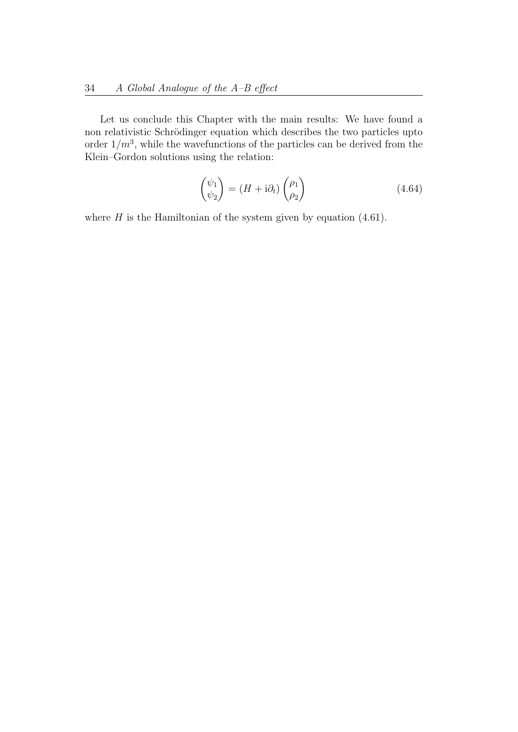Let us conclude this Chapter with the main results: We have found a non relativistic Schrödinger equation which describes the two particles upto order  $1/m^3$ , while the wavefunctions of the particles can be derived from the Klein–Gordon solutions using the relation:

$$
\begin{pmatrix} \psi_1 \\ \psi_2 \end{pmatrix} = (H + i\partial_t) \begin{pmatrix} \rho_1 \\ \rho_2 \end{pmatrix} \tag{4.64}
$$

where  $H$  is the Hamiltonian of the system given by equation  $(4.61)$ .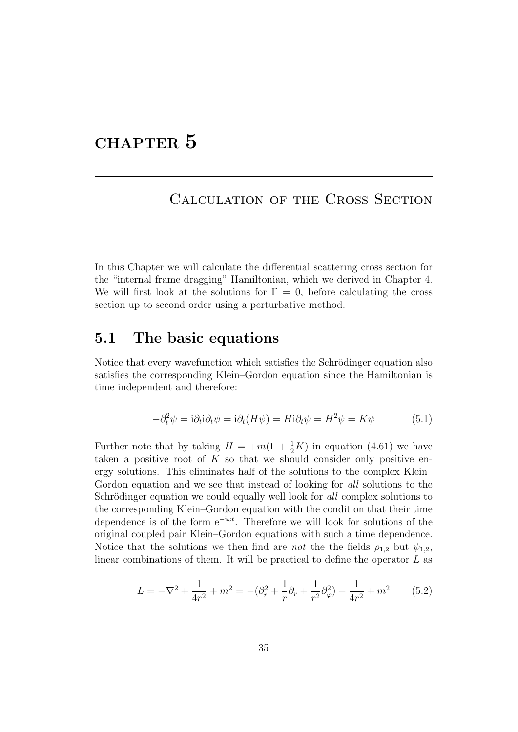## CHAPTER 5

### Calculation of the Cross Section

In this Chapter we will calculate the differential scattering cross section for the "internal frame dragging" Hamiltonian, which we derived in Chapter 4. We will first look at the solutions for  $\Gamma = 0$ , before calculating the cross section up to second order using a perturbative method.

### 5.1 The basic equations

Notice that every wavefunction which satisfies the Schrödinger equation also satisfies the corresponding Klein–Gordon equation since the Hamiltonian is time independent and therefore:

$$
-\partial_t^2 \psi = i \partial_t i \partial_t \psi = i \partial_t (H\psi) = H i \partial_t \psi = H^2 \psi = K\psi \tag{5.1}
$$

Further note that by taking  $H = +m(1 + \frac{1}{2}K)$  in equation (4.61) we have taken a positive root of  $K$  so that we should consider only positive energy solutions. This eliminates half of the solutions to the complex Klein– Gordon equation and we see that instead of looking for all solutions to the Schrödinger equation we could equally well look for all complex solutions to the corresponding Klein–Gordon equation with the condition that their time dependence is of the form  $e^{-i\omega t}$ . Therefore we will look for solutions of the original coupled pair Klein–Gordon equations with such a time dependence. Notice that the solutions we then find are *not* the the fields  $\rho_{1,2}$  but  $\psi_{1,2}$ , linear combinations of them. It will be practical to define the operator  $L$  as

$$
L = -\nabla^2 + \frac{1}{4r^2} + m^2 = -(\partial_r^2 + \frac{1}{r}\partial_r + \frac{1}{r^2}\partial_\varphi^2) + \frac{1}{4r^2} + m^2 \tag{5.2}
$$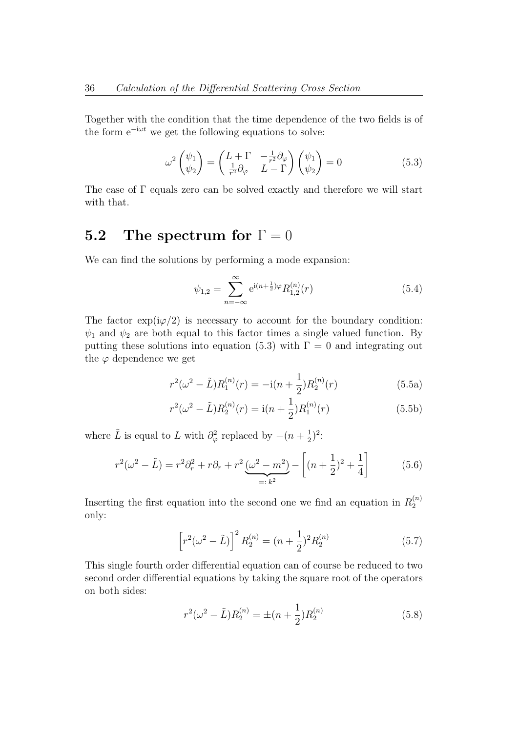Together with the condition that the time dependence of the two fields is of the form  $e^{-i\omega t}$  we get the following equations to solve:

$$
\omega^2 \begin{pmatrix} \psi_1 \\ \psi_2 \end{pmatrix} = \begin{pmatrix} L + \Gamma & -\frac{1}{r^2} \partial_{\varphi} \\ \frac{1}{r^2} \partial_{\varphi} & L - \Gamma \end{pmatrix} \begin{pmatrix} \psi_1 \\ \psi_2 \end{pmatrix} = 0 \tag{5.3}
$$

The case of Γ equals zero can be solved exactly and therefore we will start with that.

### 5.2 The spectrum for  $\Gamma = 0$

We can find the solutions by performing a mode expansion:

$$
\psi_{1,2} = \sum_{n=-\infty}^{\infty} e^{i(n+\frac{1}{2})\varphi} R_{1,2}^{(n)}(r)
$$
\n(5.4)

The factor  $\exp(i\varphi/2)$  is necessary to account for the boundary condition:  $\psi_1$  and  $\psi_2$  are both equal to this factor times a single valued function. By putting these solutions into equation (5.3) with  $\Gamma = 0$  and integrating out the  $\varphi$  dependence we get

$$
r^{2}(\omega^{2} - \tilde{L})R_{1}^{(n)}(r) = -i(n + \frac{1}{2})R_{2}^{(n)}(r)
$$
\n(5.5a)

$$
r^{2}(\omega^{2} - \tilde{L})R_{2}^{(n)}(r) = \mathrm{i}(n + \frac{1}{2})R_{1}^{(n)}(r)
$$
\n(5.5b)

where  $\tilde{L}$  is equal to L with  $\partial_{\varphi}^{2}$  replaced by  $-(n+\frac{1}{2})$  $(\frac{1}{2})^2$ :

$$
r^{2}(\omega^{2} - \tilde{L}) = r^{2}\partial_{r}^{2} + r\partial_{r} + r^{2}\underbrace{(\omega^{2} - m^{2})}_{=:k^{2}} - \left[ (n + \frac{1}{2})^{2} + \frac{1}{4} \right]
$$
(5.6)

Inserting the first equation into the second one we find an equation in  $R_2^{(n)}$  $\mathbf{c}$ only:

$$
\left[r^2(\omega^2 - \tilde{L})\right]^2 R_2^{(n)} = (n + \frac{1}{2})^2 R_2^{(n)}
$$
\n(5.7)

This single fourth order differential equation can of course be reduced to two second order differential equations by taking the square root of the operators on both sides:

$$
r^{2}(\omega^{2} - \tilde{L})R_{2}^{(n)} = \pm (n + \frac{1}{2})R_{2}^{(n)}
$$
\n(5.8)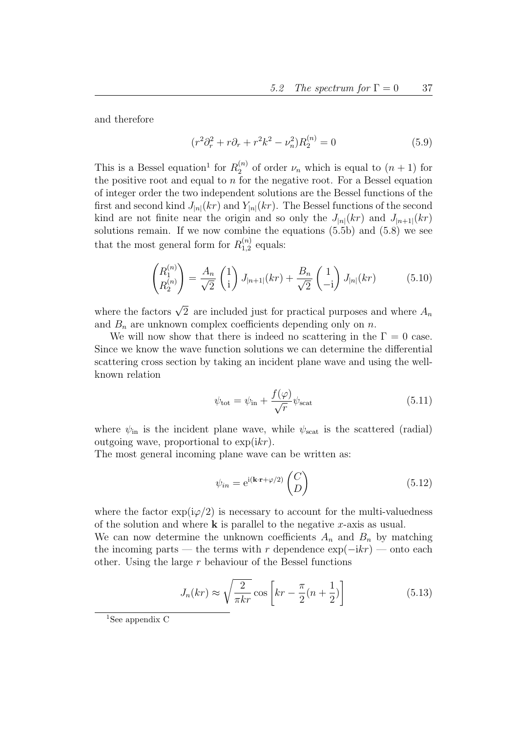and therefore

$$
(r^2 \partial_r^2 + r \partial_r + r^2 k^2 - \nu_n^2) R_2^{(n)} = 0 \tag{5.9}
$$

This is a Bessel equation<sup>1</sup> for  $R_2^{(n)}$  $\chi_2^{(n)}$  of order  $\nu_n$  which is equal to  $(n+1)$  for the positive root and equal to  $n$  for the negative root. For a Bessel equation of integer order the two independent solutions are the Bessel functions of the first and second kind  $J_{|n|}(kr)$  and  $Y_{|n|}(kr)$ . The Bessel functions of the second kind are not finite near the origin and so only the  $J_{|n|}(kr)$  and  $J_{|n+1|}(kr)$ solutions remain. If we now combine the equations  $(5.5b)$  and  $(5.8)$  we see that the most general form for  $R_{1,2}^{(n)}$  $t_{1,2}^{(n)}$  equals:

$$
\begin{pmatrix} R_1^{(n)} \\ R_2^{(n)} \end{pmatrix} = \frac{A_n}{\sqrt{2}} \begin{pmatrix} 1 \\ 1 \end{pmatrix} J_{|n+1|}(kr) + \frac{B_n}{\sqrt{2}} \begin{pmatrix} 1 \\ -1 \end{pmatrix} J_{|n|}(kr) \tag{5.10}
$$

where the factors  $\sqrt{2}$  are included just for practical purposes and where  $A_n$ and  $B_n$  are unknown complex coefficients depending only on n.

We will now show that there is indeed no scattering in the  $\Gamma = 0$  case. Since we know the wave function solutions we can determine the differential scattering cross section by taking an incident plane wave and using the wellknown relation

$$
\psi_{\text{tot}} = \psi_{\text{in}} + \frac{f(\varphi)}{\sqrt{r}} \psi_{\text{scat}} \tag{5.11}
$$

where  $\psi_{\rm in}$  is the incident plane wave, while  $\psi_{\rm scat}$  is the scattered (radial) outgoing wave, proportional to  $\exp(ikr)$ .

The most general incoming plane wave can be written as:

$$
\psi_{in} = e^{i(\mathbf{k}\cdot\mathbf{r} + \varphi/2)} \begin{pmatrix} C \\ D \end{pmatrix}
$$
 (5.12)

where the factor  $\exp(i\varphi/2)$  is necessary to account for the multi-valuedness of the solution and where  $k$  is parallel to the negative x-axis as usual.

We can now determine the unknown coefficients  $A_n$  and  $B_n$  by matching the incoming parts — the terms with r dependence  $\exp(-ikr)$  — onto each other. Using the large  $r$  behaviour of the Bessel functions

$$
J_n(kr) \approx \sqrt{\frac{2}{\pi kr}} \cos \left[ kr - \frac{\pi}{2} (n + \frac{1}{2}) \right]
$$
 (5.13)

<sup>&</sup>lt;sup>1</sup>See appendix  $C$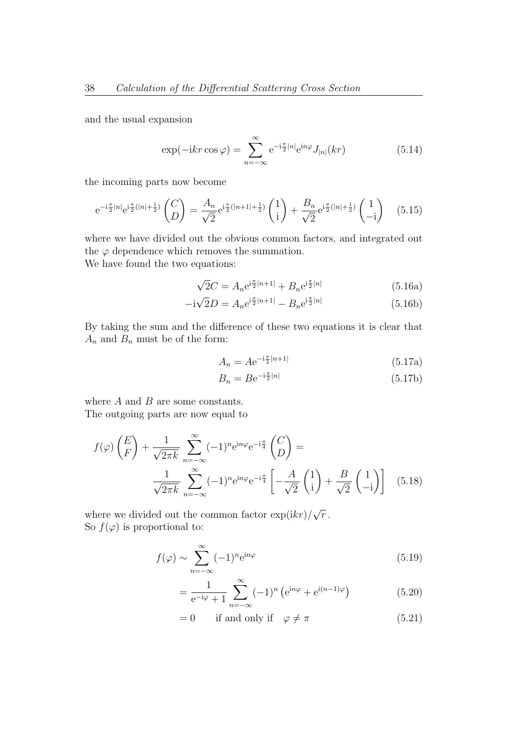and the usual expansion

$$
\exp(-ikr\cos\varphi) = \sum_{n=-\infty}^{\infty} e^{-i\frac{\pi}{2}|n|} e^{in\varphi} J_{|n|}(kr)
$$
(5.14)

the incoming parts now become

$$
e^{-i\frac{\pi}{2}|n|}e^{i\frac{\pi}{2}(|n|+\frac{1}{2})}\begin{pmatrix}C\\D\end{pmatrix} = \frac{A_n}{\sqrt{2}}e^{i\frac{\pi}{2}(|n+1|+\frac{1}{2})}\begin{pmatrix}1\\i\end{pmatrix} + \frac{B_n}{\sqrt{2}}e^{i\frac{\pi}{2}(|n|+\frac{1}{2})}\begin{pmatrix}1\\-i\end{pmatrix} \quad (5.15)
$$

where we have divided out the obvious common factors, and integrated out the  $\varphi$  dependence which removes the summation. We have found the two equations:

$$
\sqrt{2}C = A_n e^{i\frac{\pi}{2}|n+1|} + B_n e^{i\frac{\pi}{2}|n|}
$$
(5.16a)

$$
-i\sqrt{2}D = A_n e^{i\frac{\pi}{2}|n+1|} - B_n e^{i\frac{\pi}{2}|n|}
$$
(5.16b)

By taking the sum and the difference of these two equations it is clear that  $A_n$  and  $B_n$  must be of the form:

$$
A_n = A e^{-i\frac{\pi}{2}|n+1|}
$$
 (5.17a)

$$
B_n = Be^{-i\frac{\pi}{2}|n|} \tag{5.17b}
$$

where  $A$  and  $B$  are some constants. The outgoing parts are now equal to

$$
f(\varphi)\left(\frac{E}{F}\right) + \frac{1}{\sqrt{2\pi k}} \sum_{n=-\infty}^{\infty} (-1)^n e^{in\varphi} e^{-i\frac{\pi}{4}} \left(\frac{C}{D}\right) =
$$
  

$$
\frac{1}{\sqrt{2\pi k}} \sum_{n=-\infty}^{\infty} (-1)^n e^{in\varphi} e^{-i\frac{\pi}{4}} \left[ -\frac{A}{\sqrt{2}} \left(\frac{1}{i}\right) + \frac{B}{\sqrt{2}} \left(\frac{1}{-i}\right) \right] \quad (5.18)
$$

where we divided out the common factor  $\exp(ikr)/$  $\overline{r}$  . So  $f(\varphi)$  is proportional to:

$$
f(\varphi) \sim \sum_{n=-\infty}^{\infty} (-1)^n e^{in\varphi}
$$
 (5.19)

$$
= \frac{1}{e^{-i\varphi} + 1} \sum_{n = -\infty}^{\infty} (-1)^n \left( e^{in\varphi} + e^{i(n-1)\varphi} \right)
$$
(5.20)

 $= 0$  if and only if  $\varphi \neq \pi$  (5.21)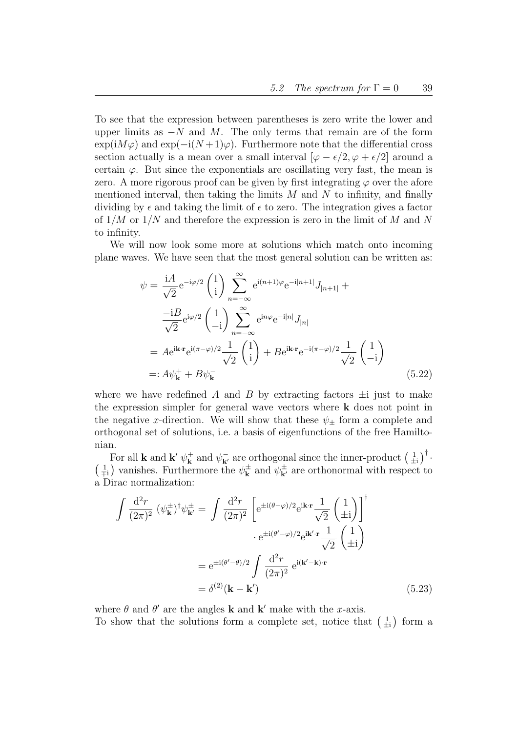To see that the expression between parentheses is zero write the lower and upper limits as  $-N$  and M. The only terms that remain are of the form  $\exp(iM\varphi)$  and  $\exp(-i(N+1)\varphi)$ . Furthermore note that the differential cross section actually is a mean over a small interval  $[\varphi - \epsilon/2, \varphi + \epsilon/2]$  around a certain  $\varphi$ . But since the exponentials are oscillating very fast, the mean is zero. A more rigorous proof can be given by first integrating  $\varphi$  over the afore mentioned interval, then taking the limits  $M$  and  $N$  to infinity, and finally dividing by  $\epsilon$  and taking the limit of  $\epsilon$  to zero. The integration gives a factor of  $1/M$  or  $1/N$  and therefore the expression is zero in the limit of M and N to infinity.

We will now look some more at solutions which match onto incoming plane waves. We have seen that the most general solution can be written as:

$$
\psi = \frac{\mathrm{i}A}{\sqrt{2}} e^{-\mathrm{i}\varphi/2} \begin{pmatrix} 1 \\ \mathrm{i} \end{pmatrix} \sum_{n=-\infty}^{\infty} e^{\mathrm{i}(n+1)\varphi} e^{-\mathrm{i}|n+1|} J_{|n+1|} +
$$
  
\n
$$
\frac{-\mathrm{i}B}{\sqrt{2}} e^{\mathrm{i}\varphi/2} \begin{pmatrix} 1 \\ -\mathrm{i} \end{pmatrix} \sum_{n=-\infty}^{\infty} e^{\mathrm{i}n\varphi} e^{-\mathrm{i}|n|} J_{|n|}
$$
  
\n
$$
= A e^{\mathrm{i} \mathbf{k} \cdot \mathbf{r}} e^{\mathrm{i}(\pi - \varphi)/2} \frac{1}{\sqrt{2}} \begin{pmatrix} 1 \\ \mathrm{i} \end{pmatrix} + B e^{\mathrm{i} \mathbf{k} \cdot \mathbf{r}} e^{-\mathrm{i}(\pi - \varphi)/2} \frac{1}{\sqrt{2}} \begin{pmatrix} 1 \\ -\mathrm{i} \end{pmatrix}
$$
  
\n
$$
= A \psi_{\mathbf{k}}^{+} + B \psi_{\mathbf{k}}^{-}
$$
 (5.22)

where we have redefined A and B by extracting factors  $\pm i$  just to make the expression simpler for general wave vectors where k does not point in the negative x-direction. We will show that these  $\psi_{\pm}$  form a complete and orthogonal set of solutions, i.e. a basis of eigenfunctions of the free Hamiltonian.

For all **k** and **k**'  $\psi_{\mathbf{k}}^{+}$ <sup>+</sup><sub>**k**</sub> and  $\psi_{\mathbf{k}'}^-$  are orthogonal since the inner-product  $\left(\begin{smallmatrix} 1 \\ \pm \mathrm{i} \end{smallmatrix}\right)^{\dagger}$ .  $\left(\frac{1}{\mp i}\right)$  vanishes. Furthermore the  $\psi_{\mathbf{k}}^{\pm}$  $\frac{1}{\mathbf{k}}$  and  $\psi_{\mathbf{k}'}^{\pm}$  are orthonormal with respect to a Dirac normalization:

$$
\int \frac{d^2r}{(2\pi)^2} \left(\psi_{\mathbf{k}}^{\pm}\right)^{\dagger} \psi_{\mathbf{k}'}^{\pm} = \int \frac{d^2r}{(2\pi)^2} \left[e^{\pm i(\theta-\varphi)/2} e^{i\mathbf{k}\cdot\mathbf{r}} \frac{1}{\sqrt{2}} \begin{pmatrix} 1\\ \pm i \end{pmatrix}\right]^{\dagger} \cdot e^{\pm i(\theta'-\varphi)/2} e^{i\mathbf{k}'\cdot\mathbf{r}} \frac{1}{\sqrt{2}} \begin{pmatrix} 1\\ \pm i \end{pmatrix}
$$

$$
= e^{\pm i(\theta'-\theta)/2} \int \frac{d^2r}{(2\pi)^2} e^{i(\mathbf{k}'-\mathbf{k})\cdot\mathbf{r}}
$$

$$
= \delta^{(2)}(\mathbf{k}-\mathbf{k}') \tag{5.23}
$$

where  $\theta$  and  $\theta'$  are the angles **k** and **k**' make with the x-axis. To show that the solutions form a complete set, notice that  $\begin{pmatrix} 1 \\ \pm i \end{pmatrix}$  form a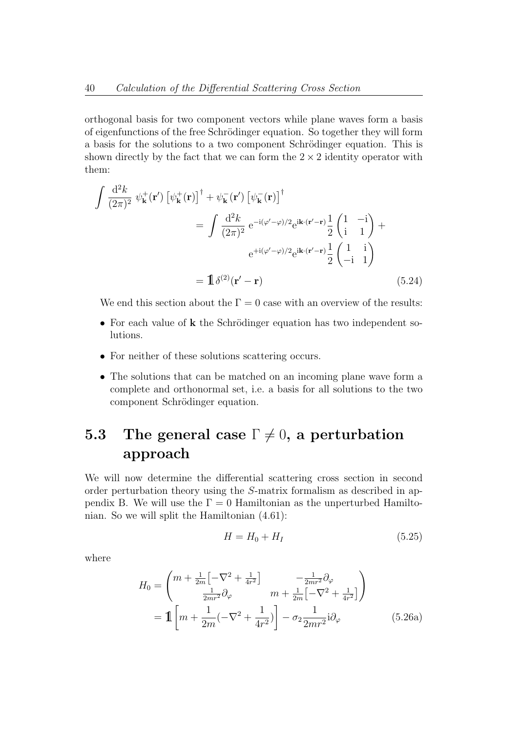orthogonal basis for two component vectors while plane waves form a basis of eigenfunctions of the free Schrödinger equation. So together they will form a basis for the solutions to a two component Schrödinger equation. This is shown directly by the fact that we can form the  $2 \times 2$  identity operator with them:

$$
\int \frac{d^2 k}{(2\pi)^2} \psi_{\mathbf{k}}^+(\mathbf{r}') \left[ \psi_{\mathbf{k}}^+(\mathbf{r}) \right]^\dagger + \psi_{\mathbf{k}}^-(\mathbf{r}') \left[ \psi_{\mathbf{k}}^-(\mathbf{r}) \right]^\dagger
$$
\n
$$
= \int \frac{d^2 k}{(2\pi)^2} e^{-i(\varphi' - \varphi)/2} e^{i\mathbf{k} \cdot (\mathbf{r}' - \mathbf{r})} \frac{1}{2} \begin{pmatrix} 1 & -i \\ i & 1 \end{pmatrix} + e^{+i(\varphi' - \varphi)/2} e^{i\mathbf{k} \cdot (\mathbf{r}' - \mathbf{r})} \frac{1}{2} \begin{pmatrix} 1 & i \\ -i & 1 \end{pmatrix}
$$
\n
$$
= \mathbb{1} \delta^{(2)}(\mathbf{r}' - \mathbf{r}) \tag{5.24}
$$

We end this section about the  $\Gamma = 0$  case with an overview of the results:

- For each value of  $k$  the Schrödinger equation has two independent solutions.
- For neither of these solutions scattering occurs.
- The solutions that can be matched on an incoming plane wave form a complete and orthonormal set, i.e. a basis for all solutions to the two component Schrödinger equation.

# 5.3 The general case  $\Gamma \neq 0$ , a perturbation approach

We will now determine the differential scattering cross section in second order perturbation theory using the S-matrix formalism as described in appendix B. We will use the  $\Gamma = 0$  Hamiltonian as the unperturbed Hamiltonian. So we will split the Hamiltonian (4.61):

$$
H = H_0 + H_I \tag{5.25}
$$

where

$$
H_0 = \begin{pmatrix} m + \frac{1}{2m} \left[ -\nabla^2 + \frac{1}{4r^2} \right] & -\frac{1}{2mr^2} \partial_\varphi \\ \frac{1}{2mr^2} \partial_\varphi & m + \frac{1}{2m} \left[ -\nabla^2 + \frac{1}{4r^2} \right] \end{pmatrix}
$$
  
=  $\mathbf{1} \left[ m + \frac{1}{2m} (-\nabla^2 + \frac{1}{4r^2}) \right] - \sigma_2 \frac{1}{2mr^2} i \partial_\varphi$  (5.26a)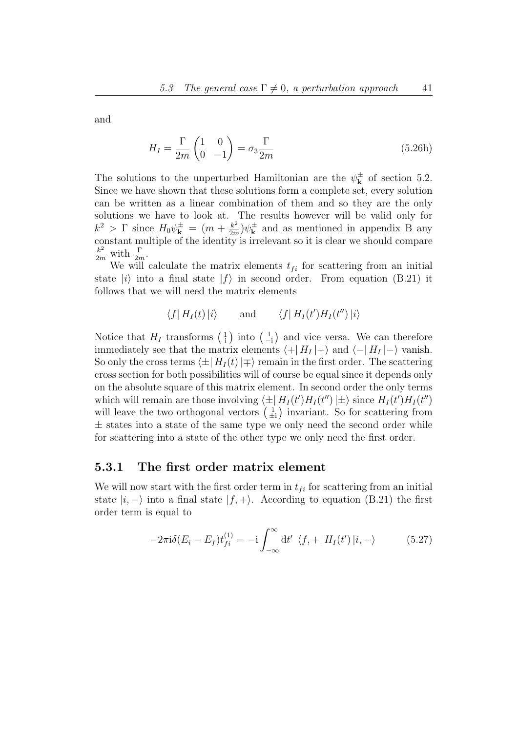and

$$
H_I = \frac{\Gamma}{2m} \begin{pmatrix} 1 & 0\\ 0 & -1 \end{pmatrix} = \sigma_3 \frac{\Gamma}{2m}
$$
 (5.26b)

The solutions to the unperturbed Hamiltonian are the  $\psi_{\mathbf{k}}^{\pm}$  $\frac{1}{k}$  of section 5.2. Since we have shown that these solutions form a complete set, every solution can be written as a linear combination of them and so they are the only solutions we have to look at. The results however will be valid only for  $k^2 > \Gamma$  since  $H_0 \psi_{\mathbf{k}}^{\pm} = (m + \frac{k^2}{2m})$  $\frac{k^2}{2m}$ ) $\psi_{\mathbf{k}}^{\pm}$  $\frac{1}{k}$  and as mentioned in appendix B any constant multiple of the identity is irrelevant so it is clear we should compare  $rac{k^2}{2m}$  with  $rac{\Gamma}{2m}$ .

We will calculate the matrix elements  $t_{fi}$  for scattering from an initial state  $|i\rangle$  into a final state  $|f\rangle$  in second order. From equation (B.21) it follows that we will need the matrix elements

$$
\langle f | H_I(t) | i \rangle
$$
 and  $\langle f | H_I(t') H_I(t'') | i \rangle$ 

Notice that  $H_I$  transforms  $\begin{pmatrix} 1 \\ 1 \end{pmatrix}$  into  $\begin{pmatrix} 1 \\ -1 \end{pmatrix}$  and vice versa. We can therefore immediately see that the matrix elements  $\langle +| H_I |+\rangle$  and  $\langle -| H_I |- \rangle$  vanish. So only the cross terms  $\langle \pm | H_I (t) | \mp \rangle$  remain in the first order. The scattering cross section for both possibilities will of course be equal since it depends only on the absolute square of this matrix element. In second order the only terms which will remain are those involving  $\langle \pm | H_I (t') H_I (t'') | \pm \rangle$  since  $H_I (t') H_I (t'')$ will leave the two orthogonal vectors  $\begin{pmatrix} 1 \\ \pm i \end{pmatrix}$  invariant. So for scattering from  $\pm$  states into a state of the same type we only need the second order while for scattering into a state of the other type we only need the first order.

#### 5.3.1 The first order matrix element

We will now start with the first order term in  $t_{fi}$  for scattering from an initial state  $|i, -\rangle$  into a final state  $|f, +\rangle$ . According to equation (B.21) the first order term is equal to

$$
-2\pi i \delta(E_i - E_f) t_{fi}^{(1)} = -i \int_{-\infty}^{\infty} dt' \langle f, + | H_I(t') | i, - \rangle \tag{5.27}
$$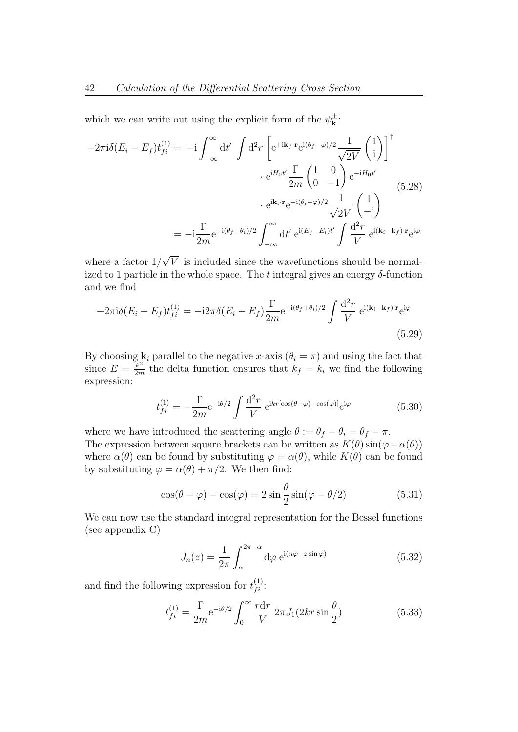which we can write out using the explicit form of the  $\psi_{\mathbf{k}}^{\pm}$  $\mathbf{k}^{\pm}$  :

$$
-2\pi i \delta (E_i - E_f) t_{fi}^{(1)} = -i \int_{-\infty}^{\infty} dt' \int d^2 r \left[ e^{+i\mathbf{k}_f \cdot \mathbf{r}} e^{i(\theta_f - \varphi)/2} \frac{1}{\sqrt{2V}} \begin{pmatrix} 1 \\ i \end{pmatrix} \right]^{\dagger} \cdot e^{iH_0 t'} \frac{\Gamma}{2m} \begin{pmatrix} 1 & 0 \\ 0 & -1 \end{pmatrix} e^{-iH_0 t'} \cdot e^{i(\mathbf{k}_i \cdot \mathbf{r}} e^{-i(\theta_i - \varphi)/2} \frac{1}{\sqrt{2V}} \begin{pmatrix} 1 \\ -i \end{pmatrix}
$$
  

$$
= -i \frac{\Gamma}{2m} e^{-i(\theta_f + \theta_i)/2} \int_{-\infty}^{\infty} dt' e^{i(E_f - E_i)t'} \int \frac{d^2 r}{V} e^{i(\mathbf{k}_i - \mathbf{k}_f) \cdot \mathbf{r}} e^{i\varphi}
$$

where a factor 1/ V is included since the wavefunctions should be normalized to 1 particle in the whole space. The t integral gives an energy  $\delta$ -function and we find

$$
-2\pi i\delta(E_i - E_f)t_{fi}^{(1)} = -i2\pi\delta(E_i - E_f)\frac{\Gamma}{2m}e^{-i(\theta_f + \theta_i)/2} \int \frac{d^2r}{V} e^{i(\mathbf{k}_i - \mathbf{k}_f)\cdot\mathbf{r}}e^{i\varphi}
$$
\n(5.29)

By choosing  $\mathbf{k}_i$  parallel to the negative x-axis  $(\theta_i = \pi)$  and using the fact that since  $E = \frac{k^2}{2m}$  $\frac{k^2}{2m}$  the delta function ensures that  $k_f = k_i$  we find the following expression:

$$
t_{fi}^{(1)} = -\frac{\Gamma}{2m} e^{-i\theta/2} \int \frac{\mathrm{d}^2 r}{V} e^{ikr[\cos(\theta - \varphi) - \cos(\varphi)]} e^{i\varphi}
$$
(5.30)

where we have introduced the scattering angle  $\theta := \theta_f - \theta_i = \theta_f - \pi$ . The expression between square brackets can be written as  $K(\theta) \sin(\varphi - \alpha(\theta))$ where  $\alpha(\theta)$  can be found by substituting  $\varphi = \alpha(\theta)$ , while  $K(\theta)$  can be found by substituting  $\varphi = \alpha(\theta) + \pi/2$ . We then find:

$$
\cos(\theta - \varphi) - \cos(\varphi) = 2\sin\frac{\theta}{2}\sin(\varphi - \theta/2)
$$
\n(5.31)

We can now use the standard integral representation for the Bessel functions (see appendix C)

$$
J_n(z) = \frac{1}{2\pi} \int_{\alpha}^{2\pi + \alpha} d\varphi \ e^{i(n\varphi - z\sin\varphi)} \tag{5.32}
$$

and find the following expression for  $t_{fi}^{(1)}$ :

$$
t_{fi}^{(1)} = \frac{\Gamma}{2m} e^{-i\theta/2} \int_0^\infty \frac{r \, dr}{V} \, 2\pi J_1(2kr \sin \frac{\theta}{2}) \tag{5.33}
$$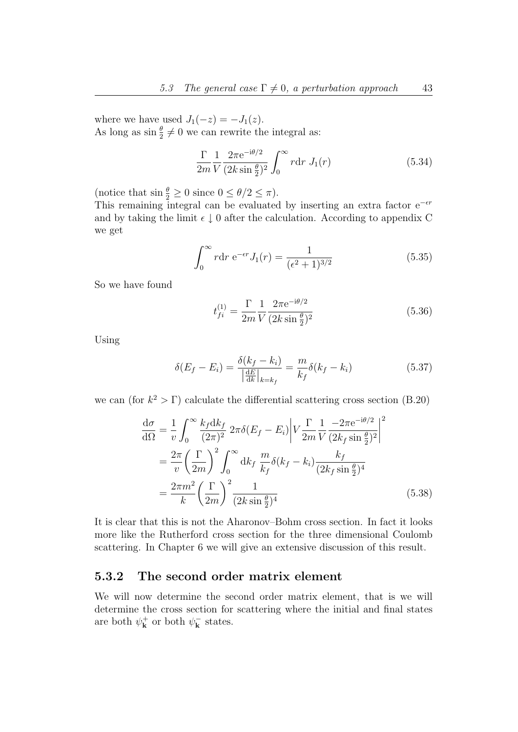where we have used  $J_1(-z) = -J_1(z)$ . As long as  $\sin \frac{\theta}{2} \neq 0$  we can rewrite the integral as:

$$
\frac{\Gamma}{2m} \frac{1}{V} \frac{2\pi e^{-i\theta/2}}{(2k\sin\frac{\theta}{2})^2} \int_0^\infty r dr J_1(r)
$$
\n(5.34)

(notice that  $\sin \frac{\theta}{2} \ge 0$  since  $0 \le \theta/2 \le \pi$ ).

This remaining integral can be evaluated by inserting an extra factor  $e^{-\epsilon r}$ and by taking the limit  $\epsilon \downarrow 0$  after the calculation. According to appendix C we get

$$
\int_0^\infty r dr \ e^{-\epsilon r} J_1(r) = \frac{1}{(\epsilon^2 + 1)^{3/2}}\tag{5.35}
$$

So we have found

$$
t_{fi}^{(1)} = \frac{\Gamma}{2m} \frac{1}{V} \frac{2\pi e^{-i\theta/2}}{(2k\sin\frac{\theta}{2})^2}
$$
(5.36)

Using

$$
\delta(E_f - E_i) = \frac{\delta(k_f - k_i)}{\left|\frac{dE}{dk}\right|_{k=k_f}} = \frac{m}{k_f} \delta(k_f - k_i)
$$
\n(5.37)

we can (for  $k^2 > \Gamma$ ) calculate the differential scattering cross section (B.20)

$$
\frac{d\sigma}{d\Omega} = \frac{1}{v} \int_0^\infty \frac{k_f dk_f}{(2\pi)^2} 2\pi \delta(E_f - E_i) \left| V \frac{\Gamma}{2m} \frac{1}{V} \frac{-2\pi e^{-i\theta/2}}{(2k_f \sin \frac{\theta}{2})^2} \right|^2
$$

$$
= \frac{2\pi}{v} \left( \frac{\Gamma}{2m} \right)^2 \int_0^\infty dk_f \frac{m}{k_f} \delta(k_f - k_i) \frac{k_f}{(2k_f \sin \frac{\theta}{2})^4}
$$

$$
= \frac{2\pi m^2}{k} \left( \frac{\Gamma}{2m} \right)^2 \frac{1}{(2k \sin \frac{\theta}{2})^4}
$$
(5.38)

It is clear that this is not the Aharonov–Bohm cross section. In fact it looks more like the Rutherford cross section for the three dimensional Coulomb scattering. In Chapter 6 we will give an extensive discussion of this result.

#### 5.3.2 The second order matrix element

We will now determine the second order matrix element, that is we will determine the cross section for scattering where the initial and final states are both  $\psi_{\mathbf{k}}^{+}$  $\psi_{\mathbf{k}}^{+}$  or both  $\psi_{\mathbf{k}}^{-}$  $\bar{\mathbf{k}}$  states.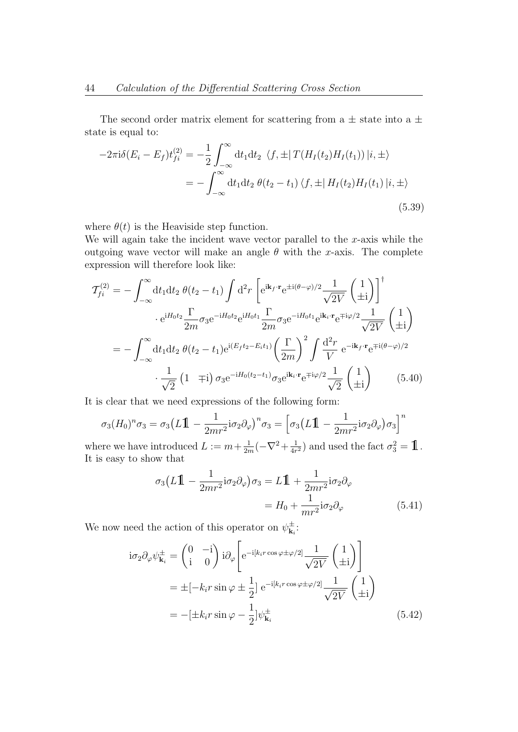The second order matrix element for scattering from a  $\pm$  state into a  $\pm$ state is equal to:

$$
-2\pi i \delta(E_i - E_f) t_{fi}^{(2)} = -\frac{1}{2} \int_{-\infty}^{\infty} dt_1 dt_2 \ \langle f, \pm | T(H_I(t_2) H_I(t_1)) | i, \pm \rangle
$$
  
= 
$$
- \int_{-\infty}^{\infty} dt_1 dt_2 \ \theta(t_2 - t_1) \langle f, \pm | H_I(t_2) H_I(t_1) | i, \pm \rangle
$$
(5.39)

where  $\theta(t)$  is the Heaviside step function.

We will again take the incident wave vector parallel to the  $x$ -axis while the outgoing wave vector will make an angle  $\theta$  with the x-axis. The complete expression will therefore look like:

$$
\mathcal{T}_{fi}^{(2)} = -\int_{-\infty}^{\infty} dt_1 dt_2 \ \theta(t_2 - t_1) \int d^2 r \left[ e^{i\mathbf{k}_f \cdot \mathbf{r}} e^{\pm i(\theta - \varphi)/2} \frac{1}{\sqrt{2V}} \begin{pmatrix} 1 \\ \pm i \end{pmatrix} \right]^{\dagger} \cdot e^{iH_0 t_2} \frac{\Gamma}{2m} \sigma_3 e^{-iH_0 t_2} e^{iH_0 t_1} \frac{\Gamma}{2m} \sigma_3 e^{-iH_0 t_1} e^{i\mathbf{k}_i \cdot \mathbf{r}} e^{\mp i\varphi/2} \frac{1}{\sqrt{2V}} \begin{pmatrix} 1 \\ \pm i \end{pmatrix} \n= -\int_{-\infty}^{\infty} dt_1 dt_2 \ \theta(t_2 - t_1) e^{i(E_f t_2 - E_i t_1)} \left( \frac{\Gamma}{2m} \right)^2 \int \frac{d^2 r}{V} e^{-i\mathbf{k}_f \cdot \mathbf{r}} e^{\mp i(\theta - \varphi)/2} \cdot \frac{1}{\sqrt{2}} \left( 1 \ \mp i \right) \sigma_3 e^{-iH_0 (t_2 - t_1)} \sigma_3 e^{i\mathbf{k}_i \cdot \mathbf{r}} e^{\mp i\varphi/2} \frac{1}{\sqrt{2}} \begin{pmatrix} 1 \\ \pm i \end{pmatrix}
$$
\n(5.40)

It is clear that we need expressions of the following form:

$$
\sigma_3(H_0)^n \sigma_3 = \sigma_3(L\mathbb{1} - \frac{1}{2mr^2}i\sigma_2\partial_\varphi)^n \sigma_3 = \left[\sigma_3(L\mathbb{1} - \frac{1}{2mr^2}i\sigma_2\partial_\varphi)\sigma_3\right]^n
$$

where we have introduced  $L := m + \frac{1}{2r}$  $\frac{1}{2m}(-\nabla^2 + \frac{1}{4r})$  $\frac{1}{4r^2}$  and used the fact  $\sigma_3^2 = \mathbf{1}$ . It is easy to show that

$$
\sigma_3(L\mathbb{1} - \frac{1}{2mr^2}\mathbf{i}\sigma_2\partial_\varphi)\sigma_3 = L\mathbb{1} + \frac{1}{2mr^2}\mathbf{i}\sigma_2\partial_\varphi
$$

$$
= H_0 + \frac{1}{mr^2}\mathbf{i}\sigma_2\partial_\varphi
$$
(5.41)

We now need the action of this operator on  $\psi_{\mathbf{k}}^{\pm}$  $\mathbf{k}_i^{\pm}$  :

$$
i\sigma_2 \partial_\varphi \psi_{\mathbf{k}_i}^{\pm} = \begin{pmatrix} 0 & -i \\ i & 0 \end{pmatrix} i\partial_\varphi \left[ e^{-i[k_i r \cos \varphi \pm \varphi/2]} \frac{1}{\sqrt{2V}} \begin{pmatrix} 1 \\ \pm i \end{pmatrix} \right]
$$
  
=  $\pm [-k_i r \sin \varphi \pm \frac{1}{2}] e^{-i[k_i r \cos \varphi \pm \varphi/2]} \frac{1}{\sqrt{2V}} \begin{pmatrix} 1 \\ \pm i \end{pmatrix}$   
=  $-[\pm k_i r \sin \varphi - \frac{1}{2}] \psi_{\mathbf{k}_i}^{\pm}$  (5.42)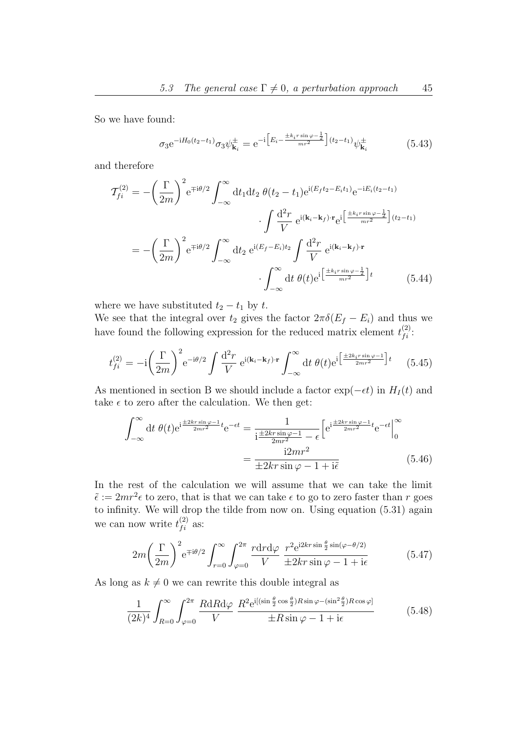So we have found:

$$
\sigma_3 e^{-iH_0(t_2 - t_1)} \sigma_3 \psi_{\mathbf{k}_i}^{\pm} = e^{-i \left[ E_i - \frac{\pm k_i r \sin \varphi - \frac{1}{2}}{mr^2} \right] (t_2 - t_1)} \psi_{\mathbf{k}_i}^{\pm}
$$
(5.43)

and therefore

$$
\mathcal{T}_{fi}^{(2)} = -\left(\frac{\Gamma}{2m}\right)^2 e^{\mp i\theta/2} \int_{-\infty}^{\infty} dt_1 dt_2 \ \theta(t_2 - t_1) e^{i(E_f t_2 - E_i t_1)} e^{-iE_i(t_2 - t_1)}
$$

$$
\cdot \int \frac{d^2 r}{V} e^{i(\mathbf{k}_i - \mathbf{k}_f) \cdot \mathbf{r}} e^{i\left[\frac{\pm k_i r \sin \varphi - \frac{1}{2}}{mr^2}\right](t_2 - t_1)}
$$

$$
= -\left(\frac{\Gamma}{2m}\right)^2 e^{\mp i\theta/2} \int_{-\infty}^{\infty} dt_2 e^{i(E_f - E_i)t_2} \int \frac{d^2 r}{V} e^{i(\mathbf{k}_i - \mathbf{k}_f) \cdot \mathbf{r}} \cdot \int_{-\infty}^{\infty} dt \ \theta(t) e^{i\left[\frac{\pm k_i r \sin \varphi - \frac{1}{2}}{mr^2}\right]t} \tag{5.44}
$$

where we have substituted  $t_2 - t_1$  by t.

We see that the integral over  $t_2$  gives the factor  $2\pi\delta(E_f - E_i)$  and thus we have found the following expression for the reduced matrix element  $t_{fi}^{(2)}$ :

$$
t_{fi}^{(2)} = -\mathrm{i} \left(\frac{\Gamma}{2m}\right)^2 \mathrm{e}^{-\mathrm{i}\theta/2} \int \frac{\mathrm{d}^2 r}{V} \,\mathrm{e}^{\mathrm{i}(\mathbf{k}_i - \mathbf{k}_f)\cdot\mathbf{r}} \int_{-\infty}^{\infty} \mathrm{d}t \,\theta(t) \mathrm{e}^{\mathrm{i} \left[\frac{\pm 2k_i r \sin \varphi - 1}{2mr^2}\right] t} \qquad (5.45)
$$

As mentioned in section B we should include a factor  $\exp(-\epsilon t)$  in  $H_I(t)$  and take  $\epsilon$  to zero after the calculation. We then get:

$$
\int_{-\infty}^{\infty} dt \,\theta(t)e^{i\frac{\pm 2kr\sin\varphi - 1}{2mr^2}t}e^{-\epsilon t} = \frac{1}{i\frac{\pm 2kr\sin\varphi - 1}{2mr^2} - \epsilon} \left[e^{i\frac{\pm 2kr\sin\varphi - 1}{2mr^2}t}e^{-\epsilon t}\right]_{0}^{\infty}
$$

$$
= \frac{i2mr^2}{\pm 2kr\sin\varphi - 1 + i\tilde{\epsilon}} \tag{5.46}
$$

In the rest of the calculation we will assume that we can take the limit  $\tilde{\epsilon} := 2mr^2\epsilon$  to zero, that is that we can take  $\epsilon$  to go to zero faster than r goes to infinity. We will drop the tilde from now on. Using equation (5.31) again we can now write  $t_{fi}^{(2)}$  as:

$$
2m\left(\frac{\Gamma}{2m}\right)^2 e^{\mp i\theta/2} \int_{r=0}^{\infty} \int_{\varphi=0}^{2\pi} \frac{r dr d\varphi}{V} \frac{r^2 e^{i2kr \sin\frac{\theta}{2} \sin(\varphi - \theta/2)}}{\pm 2kr \sin\varphi - 1 + i\epsilon}
$$
(5.47)

As long as  $k \neq 0$  we can rewrite this double integral as

$$
\frac{1}{(2k)^4} \int_{R=0}^{\infty} \int_{\varphi=0}^{2\pi} \frac{R \, \mathrm{d}R \, \mathrm{d}\varphi}{V} \, \frac{R^2 \, \mathrm{e}^{\mathrm{i}[(\sin\frac{\theta}{2}\cos\frac{\theta}{2})R\sin\varphi - (\sin^2\frac{\theta}{2})R\cos\varphi]}{\pm R\sin\varphi - 1 + \mathrm{i}\epsilon} \tag{5.48}
$$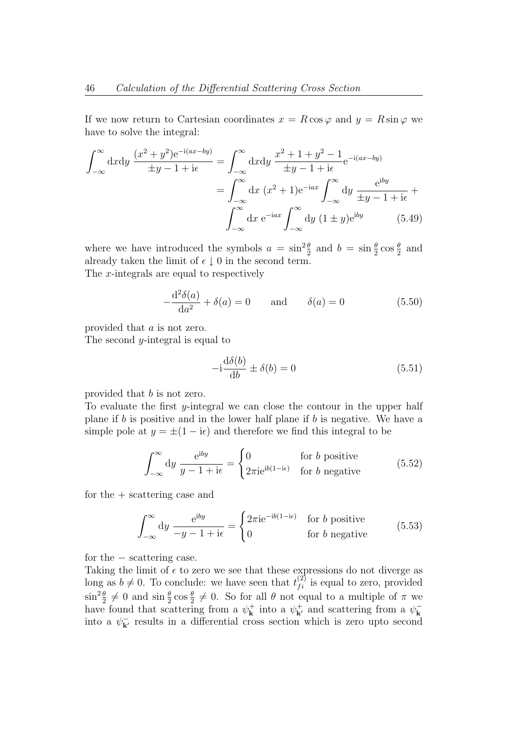If we now return to Cartesian coordinates  $x = R \cos \varphi$  and  $y = R \sin \varphi$  we have to solve the integral:

$$
\int_{-\infty}^{\infty} dx dy \frac{(x^2 + y^2)e^{-i(ax - by)}}{\pm y - 1 + i\epsilon} = \int_{-\infty}^{\infty} dx dy \frac{x^2 + 1 + y^2 - 1}{\pm y - 1 + i\epsilon} e^{-i(ax - by)}
$$

$$
= \int_{-\infty}^{\infty} dx (x^2 + 1)e^{-iax} \int_{-\infty}^{\infty} dy \frac{e^{iby}}{\pm y - 1 + i\epsilon} + \int_{-\infty}^{\infty} dx e^{-iax} \int_{-\infty}^{\infty} dy (1 \pm y)e^{iby}
$$
(5.49)

where we have introduced the symbols  $a = \sin^2 \frac{\theta}{2}$  and  $b = \sin \frac{\theta}{2} \cos \frac{\theta}{2}$  and already taken the limit of  $\epsilon \downarrow 0$  in the second term. The x-integrals are equal to respectively

$$
-\frac{\mathrm{d}^2 \delta(a)}{\mathrm{d}a^2} + \delta(a) = 0 \quad \text{and} \quad \delta(a) = 0 \tag{5.50}
$$

provided that a is not zero.

The second  $y$ -integral is equal to

$$
-i\frac{\mathrm{d}\delta(b)}{\mathrm{d}b} \pm \delta(b) = 0\tag{5.51}
$$

provided that b is not zero.

To evaluate the first  $y$ -integral we can close the contour in the upper half plane if  $b$  is positive and in the lower half plane if  $b$  is negative. We have a simple pole at  $y = \pm (1 - i\epsilon)$  and therefore we find this integral to be

$$
\int_{-\infty}^{\infty} dy \frac{e^{iby}}{y - 1 + i\epsilon} = \begin{cases} 0 & \text{for } b \text{ positive} \\ 2\pi i e^{ib(1 - i\epsilon)} & \text{for } b \text{ negative} \end{cases}
$$
(5.52)

for the + scattering case and

$$
\int_{-\infty}^{\infty} dy \frac{e^{iby}}{-y - 1 + i\epsilon} = \begin{cases} 2\pi i e^{-ib(1 - i\epsilon)} & \text{for } b \text{ positive} \\ 0 & \text{for } b \text{ negative} \end{cases}
$$
(5.53)

for the − scattering case.

Taking the limit of  $\epsilon$  to zero we see that these expressions do not diverge as long as  $b \neq 0$ . To conclude: we have seen that  $t_{fi}^{(2)}$  is equal to zero, provided  $\sin^2 \frac{\theta}{2} \neq 0$  and  $\sin \frac{\theta}{2} \cos \frac{\theta}{2} \neq 0$ . So for all  $\theta$  not equal to a multiple of  $\pi$  we have found that scattering from a  $\psi_{\mathbf{k}}^{+}$  $\mathbf{k}^+$  into a  $\psi_{\mathbf{k}'}^+$  and scattering from a  $\psi_{\mathbf{k}}^$ k into a  $\psi_{\mathbf{k}'}^-$  results in a differential cross section which is zero upto second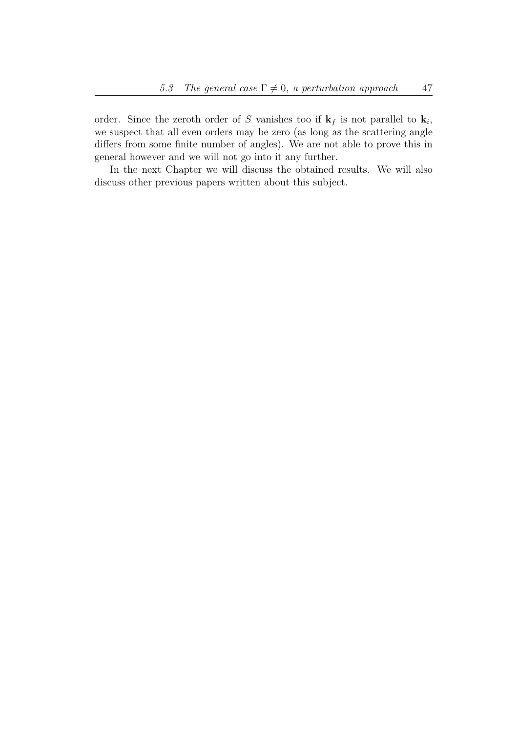order. Since the zeroth order of S vanishes too if  $\mathbf{k}_f$  is not parallel to  $\mathbf{k}_i$ , we suspect that all even orders may be zero (as long as the scattering angle differs from some finite number of angles). We are not able to prove this in general however and we will not go into it any further.

In the next Chapter we will discuss the obtained results. We will also discuss other previous papers written about this subject.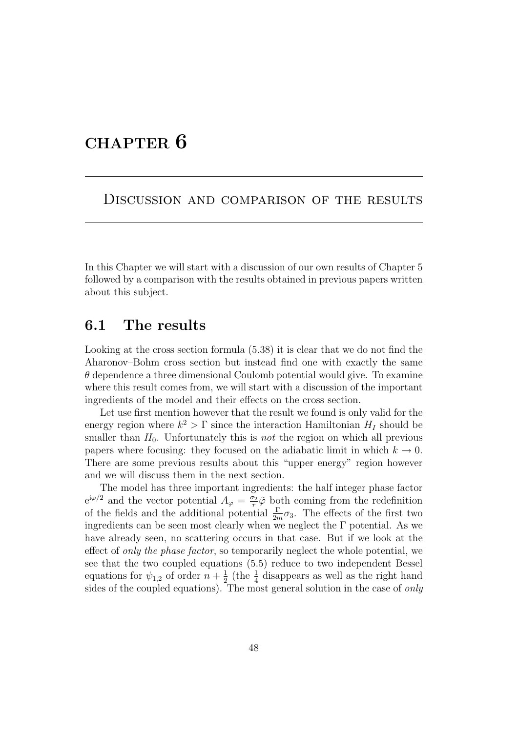# CHAPTER 6

Discussion and comparison of the results

In this Chapter we will start with a discussion of our own results of Chapter 5 followed by a comparison with the results obtained in previous papers written about this subject.

#### 6.1 The results

Looking at the cross section formula (5.38) it is clear that we do not find the Aharonov–Bohm cross section but instead find one with exactly the same  $\theta$  dependence a three dimensional Coulomb potential would give. To examine where this result comes from, we will start with a discussion of the important ingredients of the model and their effects on the cross section.

Let use first mention however that the result we found is only valid for the energy region where  $k^2 > \Gamma$  since the interaction Hamiltonian  $H_I$  should be smaller than  $H_0$ . Unfortunately this is *not* the region on which all previous papers where focusing: they focused on the adiabatic limit in which  $k \to 0$ . There are some previous results about this "upper energy" region however and we will discuss them in the next section.

The model has three important ingredients: the half integer phase factor  $e^{i\varphi/2}$  and the vector potential  $A_{\varphi} = \frac{\sigma_2}{r}$  $\frac{\sigma_2}{r}$  both coming from the redefinition of the fields and the additional potential  $\frac{\Gamma}{2m}\sigma_3$ . The effects of the first two ingredients can be seen most clearly when we neglect the  $\Gamma$  potential. As we have already seen, no scattering occurs in that case. But if we look at the effect of *only the phase factor*, so temporarily neglect the whole potential, we see that the two coupled equations (5.5) reduce to two independent Bessel equations for  $\psi_{1,2}$  of order  $n+\frac{1}{2}$  $\frac{1}{2}$  (the  $\frac{1}{4}$  disappears as well as the right hand sides of the coupled equations). The most general solution in the case of only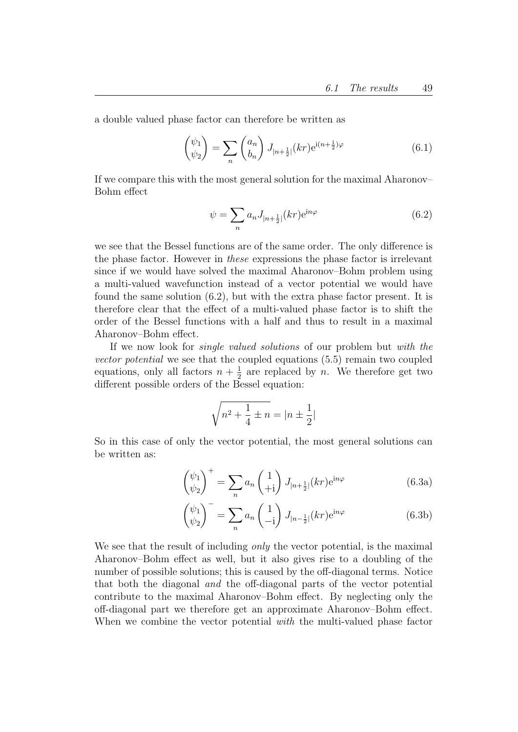a double valued phase factor can therefore be written as

$$
\begin{pmatrix} \psi_1 \\ \psi_2 \end{pmatrix} = \sum_n \begin{pmatrix} a_n \\ b_n \end{pmatrix} J_{|n + \frac{1}{2}|} (kr) e^{i(n + \frac{1}{2})\varphi} \tag{6.1}
$$

If we compare this with the most general solution for the maximal Aharonov– Bohm effect

$$
\psi = \sum_{n} a_n J_{|n + \frac{1}{2}|}(kr) e^{in\varphi}
$$
\n(6.2)

we see that the Bessel functions are of the same order. The only difference is the phase factor. However in these expressions the phase factor is irrelevant since if we would have solved the maximal Aharonov–Bohm problem using a multi-valued wavefunction instead of a vector potential we would have found the same solution (6.2), but with the extra phase factor present. It is therefore clear that the effect of a multi-valued phase factor is to shift the order of the Bessel functions with a half and thus to result in a maximal Aharonov–Bohm effect.

If we now look for *single valued solutions* of our problem but with the vector potential we see that the coupled equations (5.5) remain two coupled equations, only all factors  $n + \frac{1}{2}$  $\frac{1}{2}$  are replaced by *n*. We therefore get two different possible orders of the Bessel equation:

$$
\sqrt{n^2 + \frac{1}{4} \pm n} = |n \pm \frac{1}{2}|
$$

So in this case of only the vector potential, the most general solutions can be written as:

$$
\begin{pmatrix} \psi_1 \\ \psi_2 \end{pmatrix}^+ = \sum_n a_n \begin{pmatrix} 1 \\ +i \end{pmatrix} J_{|n+\frac{1}{2}|}(kr) e^{in\varphi} \tag{6.3a}
$$

$$
\begin{pmatrix} \psi_1 \\ \psi_2 \end{pmatrix}^- = \sum_n a_n \begin{pmatrix} 1 \\ -i \end{pmatrix} J_{|n-\frac{1}{2}|}(kr) e^{in\varphi} \tag{6.3b}
$$

We see that the result of including *only* the vector potential, is the maximal Aharonov–Bohm effect as well, but it also gives rise to a doubling of the number of possible solutions; this is caused by the off-diagonal terms. Notice that both the diagonal and the off-diagonal parts of the vector potential contribute to the maximal Aharonov–Bohm effect. By neglecting only the off-diagonal part we therefore get an approximate Aharonov–Bohm effect. When we combine the vector potential *with* the multi-valued phase factor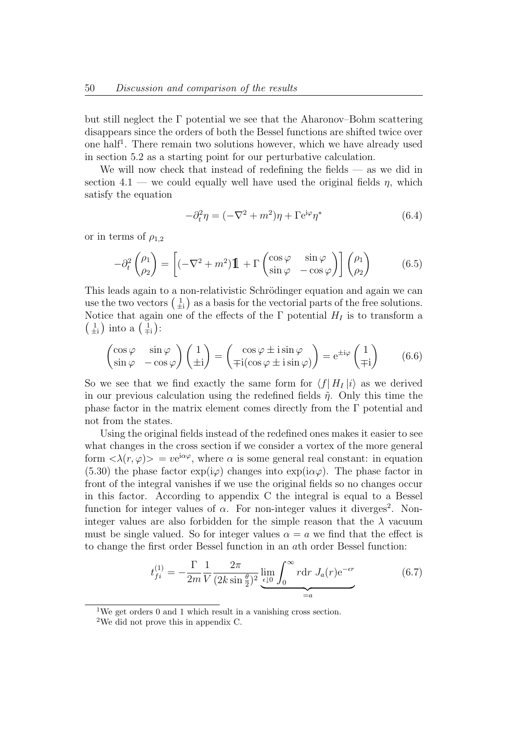but still neglect the  $\Gamma$  potential we see that the Aharonov–Bohm scattering disappears since the orders of both the Bessel functions are shifted twice over one half<sup>1</sup>. There remain two solutions however, which we have already used in section 5.2 as a starting point for our perturbative calculation.

We will now check that instead of redefining the fields — as we did in section 4.1 — we could equally well have used the original fields  $\eta$ , which satisfy the equation

$$
-\partial_t^2 \eta = (-\nabla^2 + m^2)\eta + \Gamma e^{i\varphi} \eta^*
$$
\n(6.4)

or in terms of  $\rho_{1,2}$ 

$$
-\partial_t^2 \begin{pmatrix} \rho_1 \\ \rho_2 \end{pmatrix} = \left[ (-\nabla^2 + m^2) \mathbf{1} + \Gamma \begin{pmatrix} \cos \varphi & \sin \varphi \\ \sin \varphi & -\cos \varphi \end{pmatrix} \right] \begin{pmatrix} \rho_1 \\ \rho_2 \end{pmatrix}
$$
 (6.5)

This leads again to a non-relativistic Schrödinger equation and again we can use the two vectors  $\begin{pmatrix} 1 \\ \pm i \end{pmatrix}$  as a basis for the vectorial parts of the free solutions. Notice that again one of the effects of the  $\Gamma$  potential  $H_I$  is to transform a  $\left(\frac{1}{\pm i}\right)$  into a  $\left(\frac{1}{\mp i}\right)$ :

$$
\begin{pmatrix}\n\cos\varphi & \sin\varphi \\
\sin\varphi & -\cos\varphi\n\end{pmatrix}\n\begin{pmatrix}\n1 \\
\pm i\n\end{pmatrix} =\n\begin{pmatrix}\n\cos\varphi \pm i\sin\varphi \\
\mp i(\cos\varphi \pm i\sin\varphi)\n\end{pmatrix} = e^{\pm i\varphi}\n\begin{pmatrix}\n1 \\
\mp i\n\end{pmatrix}
$$
\n(6.6)

So we see that we find exactly the same form for  $\langle f | H_I | i \rangle$  as we derived in our previous calculation using the redefined fields  $\tilde{\eta}$ . Only this time the phase factor in the matrix element comes directly from the  $\Gamma$  potential and not from the states.

Using the original fields instead of the redefined ones makes it easier to see what changes in the cross section if we consider a vortex of the more general form  $\langle \lambda(r,\varphi) \rangle = v e^{i\alpha\varphi}$ , where  $\alpha$  is some general real constant: in equation (5.30) the phase factor  $\exp(i\varphi)$  changes into  $\exp(i\alpha\varphi)$ . The phase factor in front of the integral vanishes if we use the original fields so no changes occur in this factor. According to appendix C the integral is equal to a Bessel function for integer values of  $\alpha$ . For non-integer values it diverges<sup>2</sup>. Noninteger values are also forbidden for the simple reason that the  $\lambda$  vacuum must be single valued. So for integer values  $\alpha = a$  we find that the effect is to change the first order Bessel function in an ath order Bessel function:

$$
t_{fi}^{(1)} = -\frac{\Gamma}{2m} \frac{1}{V} \frac{2\pi}{(2k\sin\frac{\theta}{2})^2} \lim_{\epsilon \downarrow 0} \int_0^\infty r \mathrm{d}r \ J_a(r) \mathrm{e}^{-\epsilon r} \tag{6.7}
$$

<sup>1</sup>We get orders 0 and 1 which result in a vanishing cross section.

<sup>2</sup>We did not prove this in appendix C.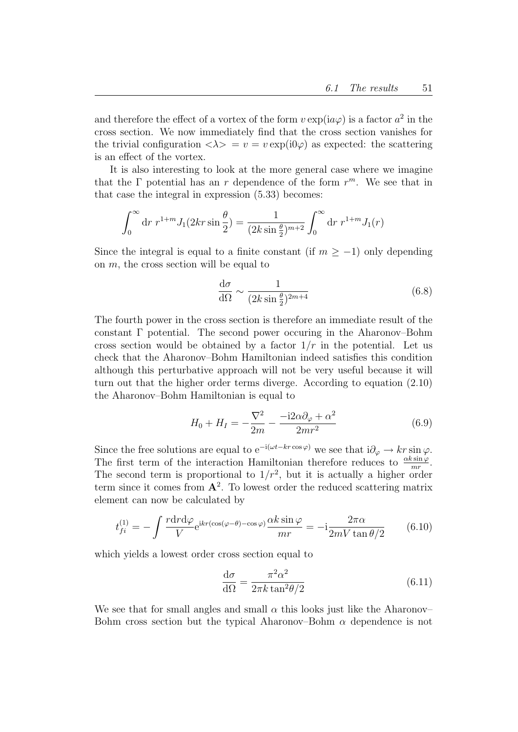and therefore the effect of a vortex of the form  $v \exp(i a \varphi)$  is a factor  $a^2$  in the cross section. We now immediately find that the cross section vanishes for the trivial configuration  $\langle \lambda \rangle = v = v \exp(i \omega)$  as expected: the scattering is an effect of the vortex.

It is also interesting to look at the more general case where we imagine that the  $\Gamma$  potential has an r dependence of the form  $r^m$ . We see that in that case the integral in expression (5.33) becomes:

$$
\int_0^\infty dr \ r^{1+m} J_1(2kr \sin \frac{\theta}{2}) = \frac{1}{(2k \sin \frac{\theta}{2})^{m+2}} \int_0^\infty dr \ r^{1+m} J_1(r)
$$

Since the integral is equal to a finite constant (if  $m \ge -1$ ) only depending on  $m$ , the cross section will be equal to

$$
\frac{d\sigma}{d\Omega} \sim \frac{1}{(2k\sin\frac{\theta}{2})^{2m+4}}\tag{6.8}
$$

The fourth power in the cross section is therefore an immediate result of the constant  $\Gamma$  potential. The second power occuring in the Aharonov–Bohm cross section would be obtained by a factor  $1/r$  in the potential. Let us check that the Aharonov–Bohm Hamiltonian indeed satisfies this condition although this perturbative approach will not be very useful because it will turn out that the higher order terms diverge. According to equation (2.10) the Aharonov–Bohm Hamiltonian is equal to

$$
H_0 + H_I = -\frac{\nabla^2}{2m} - \frac{-i2\alpha\partial_\varphi + \alpha^2}{2mr^2}
$$
\n(6.9)

Since the free solutions are equal to  $e^{-i(\omega t - kr \cos \varphi)}$  we see that  $i\partial_{\varphi} \to kr \sin \varphi$ . The first term of the interaction Hamiltonian therefore reduces to  $\frac{\alpha k \sin \varphi}{mr}$ . The second term is proportional to  $1/r^2$ , but it is actually a higher order term since it comes from  $A^2$ . To lowest order the reduced scattering matrix element can now be calculated by

$$
t_{fi}^{(1)} = -\int \frac{r \mathrm{d}r \mathrm{d}\varphi}{V} e^{ikr(\cos(\varphi - \theta) - \cos\varphi)} \frac{\alpha k \sin\varphi}{mr} = -i \frac{2\pi\alpha}{2mV \tan\theta/2} \tag{6.10}
$$

which yields a lowest order cross section equal to

$$
\frac{\mathrm{d}\sigma}{\mathrm{d}\Omega} = \frac{\pi^2 \alpha^2}{2\pi k \tan^2 \theta / 2} \tag{6.11}
$$

We see that for small angles and small  $\alpha$  this looks just like the Aharonov– Bohm cross section but the typical Aharonov–Bohm  $\alpha$  dependence is not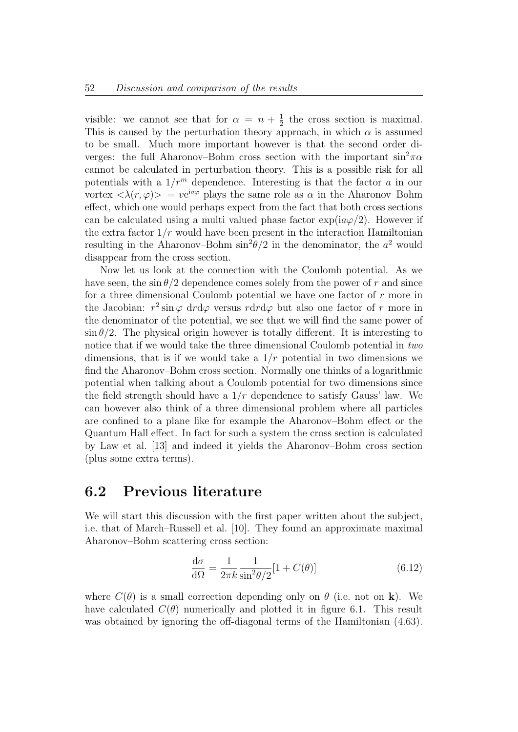visible: we cannot see that for  $\alpha = n + \frac{1}{2}$  $\frac{1}{2}$  the cross section is maximal. This is caused by the perturbation theory approach, in which  $\alpha$  is assumed to be small. Much more important however is that the second order diverges: the full Aharonov–Bohm cross section with the important  $\sin^2 \pi \alpha$ cannot be calculated in perturbation theory. This is a possible risk for all potentials with a  $1/r^m$  dependence. Interesting is that the factor a in our vortex  $\langle \lambda(r,\varphi) \rangle = v e^{i a \varphi}$  plays the same role as  $\alpha$  in the Aharonov–Bohm effect, which one would perhaps expect from the fact that both cross sections can be calculated using a multi valued phase factor  $\exp(i a \varphi/2)$ . However if the extra factor  $1/r$  would have been present in the interaction Hamiltonian resulting in the Aharonov–Bohm  $\sin^2\theta/2$  in the denominator, the  $a^2$  would disappear from the cross section.

Now let us look at the connection with the Coulomb potential. As we have seen, the  $\sin \theta/2$  dependence comes solely from the power of r and since for a three dimensional Coulomb potential we have one factor of  $r$  more in the Jacobian:  $r^2 \sin \varphi \, dr d\varphi$  versus  $r dr d\varphi$  but also one factor of r more in the denominator of the potential, we see that we will find the same power of  $\sin \theta/2$ . The physical origin however is totally different. It is interesting to notice that if we would take the three dimensional Coulomb potential in two dimensions, that is if we would take a  $1/r$  potential in two dimensions we find the Aharonov–Bohm cross section. Normally one thinks of a logarithmic potential when talking about a Coulomb potential for two dimensions since the field strength should have a  $1/r$  dependence to satisfy Gauss' law. We can however also think of a three dimensional problem where all particles are confined to a plane like for example the Aharonov–Bohm effect or the Quantum Hall effect. In fact for such a system the cross section is calculated by Law et al. [13] and indeed it yields the Aharonov–Bohm cross section (plus some extra terms).

#### 6.2 Previous literature

We will start this discussion with the first paper written about the subject, i.e. that of March–Russell et al. [10]. They found an approximate maximal Aharonov–Bohm scattering cross section:

$$
\frac{\mathrm{d}\sigma}{\mathrm{d}\Omega} = \frac{1}{2\pi k} \frac{1}{\sin^2(\theta/2)} [1 + C(\theta)] \tag{6.12}
$$

where  $C(\theta)$  is a small correction depending only on  $\theta$  (i.e. not on **k**). We have calculated  $C(\theta)$  numerically and plotted it in figure 6.1. This result was obtained by ignoring the off-diagonal terms of the Hamiltonian (4.63).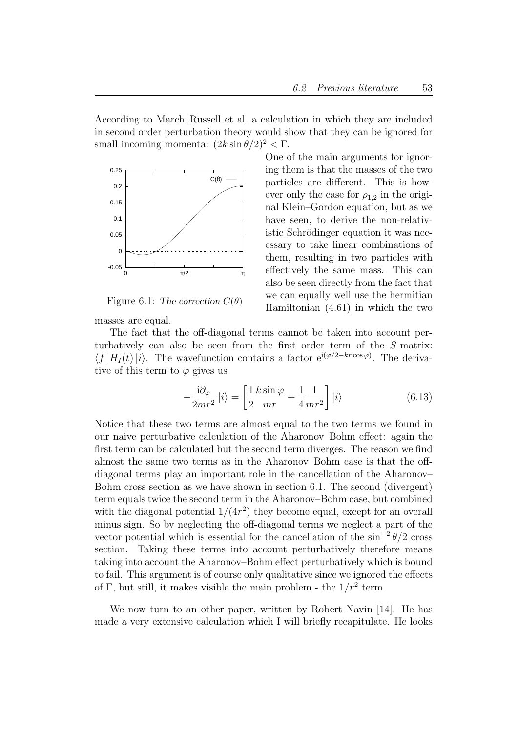One of the main arguments for ignor-

ing them is that the masses of the two particles are different. This is however only the case for  $\rho_{1,2}$  in the original Klein–Gordon equation, but as we have seen, to derive the non-relativistic Schrödinger equation it was necessary to take linear combinations of them, resulting in two particles with effectively the same mass. This can also be seen directly from the fact that we can equally well use the hermitian Hamiltonian (4.61) in which the two

According to March–Russell et al. a calculation in which they are included in second order perturbation theory would show that they can be ignored for small incoming momenta:  $(2k \sin \theta/2)^2 < \Gamma$ .



Figure 6.1: The correction  $C(\theta)$ 

masses are equal.

The fact that the off-diagonal terms cannot be taken into account perturbatively can also be seen from the first order term of the S-matrix:  $\langle f| H_I (t) |i \rangle$ . The wavefunction contains a factor  $e^{i(\varphi/2 - k r \cos \varphi)}$ . The derivative of this term to  $\varphi$  gives us

$$
-\frac{\mathrm{i}\partial_{\varphi}}{2mr^2}\left|i\right\rangle = \left[\frac{1}{2}\frac{k\sin\varphi}{mr} + \frac{1}{4}\frac{1}{mr^2}\right]\left|i\right\rangle\tag{6.13}
$$

Notice that these two terms are almost equal to the two terms we found in our naive perturbative calculation of the Aharonov–Bohm effect: again the first term can be calculated but the second term diverges. The reason we find almost the same two terms as in the Aharonov–Bohm case is that the offdiagonal terms play an important role in the cancellation of the Aharonov– Bohm cross section as we have shown in section 6.1. The second (divergent) term equals twice the second term in the Aharonov–Bohm case, but combined with the diagonal potential  $1/(4r^2)$  they become equal, except for an overall minus sign. So by neglecting the off-diagonal terms we neglect a part of the vector potential which is essential for the cancellation of the  $\sin^{-2}\theta/2$  cross section. Taking these terms into account perturbatively therefore means taking into account the Aharonov–Bohm effect perturbatively which is bound to fail. This argument is of course only qualitative since we ignored the effects of Γ, but still, it makes visible the main problem - the  $1/r^2$  term.

We now turn to an other paper, written by Robert Navin [14]. He has made a very extensive calculation which I will briefly recapitulate. He looks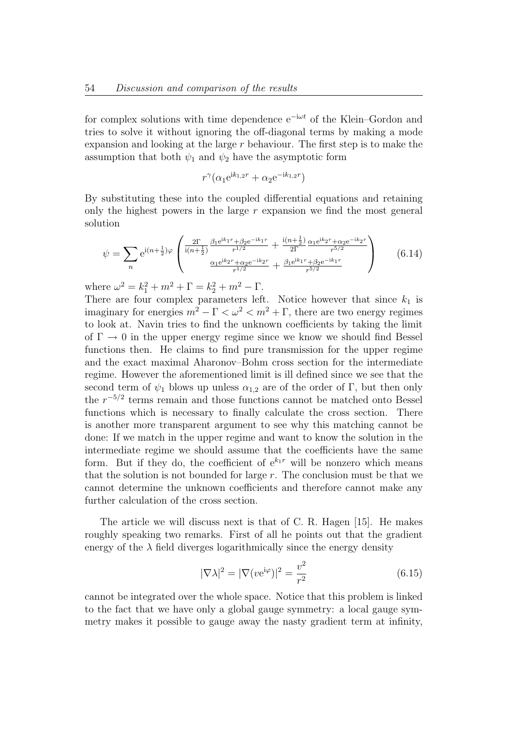for complex solutions with time dependence  $e^{-i\omega t}$  of the Klein–Gordon and tries to solve it without ignoring the off-diagonal terms by making a mode expansion and looking at the large  $r$  behaviour. The first step is to make the assumption that both  $\psi_1$  and  $\psi_2$  have the asymptotic form

$$
r^{\gamma}(\alpha_1 e^{ik_{1,2}r} + \alpha_2 e^{-ik_{1,2}r})
$$

By substituting these into the coupled differential equations and retaining only the highest powers in the large  $r$  expansion we find the most general solution

$$
\psi = \sum_{n} e^{i(n+\frac{1}{2})\varphi} \begin{pmatrix} \frac{2\Gamma}{i(n+\frac{1}{2})} \frac{\beta_1 e^{ik_1 r} + \beta_2 e^{-ik_1 r}}{r^{1/2}} + \frac{i(n+\frac{1}{2})}{2\Gamma} \frac{\alpha_1 e^{ik_2 r} + \alpha_2 e^{-ik_2 r}}{r^{5/2}}\\ \frac{\alpha_1 e^{ik_2 r} + \alpha_2 e^{-ik_2 r}}{r^{1/2}} + \frac{\beta_1 e^{ik_1 r} + \beta_2 e^{-ik_1 r}}{r^{5/2}} \end{pmatrix}
$$
(6.14)

where  $\omega^2 = k_1^2 + m^2 + \Gamma = k_2^2 + m^2 - \Gamma$ .

There are four complex parameters left. Notice however that since  $k_1$  is imaginary for energies  $m^2 - \Gamma < \omega^2 < m^2 + \Gamma$ , there are two energy regimes to look at. Navin tries to find the unknown coefficients by taking the limit of  $\Gamma \rightarrow 0$  in the upper energy regime since we know we should find Bessel functions then. He claims to find pure transmission for the upper regime and the exact maximal Aharonov–Bohm cross section for the intermediate regime. However the aforementioned limit is ill defined since we see that the second term of  $\psi_1$  blows up unless  $\alpha_{1,2}$  are of the order of Γ, but then only the  $r^{-5/2}$  terms remain and those functions cannot be matched onto Bessel functions which is necessary to finally calculate the cross section. There is another more transparent argument to see why this matching cannot be done: If we match in the upper regime and want to know the solution in the intermediate regime we should assume that the coefficients have the same form. But if they do, the coefficient of  $e^{k_1r}$  will be nonzero which means that the solution is not bounded for large  $r$ . The conclusion must be that we cannot determine the unknown coefficients and therefore cannot make any further calculation of the cross section.

The article we will discuss next is that of C. R. Hagen [15]. He makes roughly speaking two remarks. First of all he points out that the gradient energy of the  $\lambda$  field diverges logarithmically since the energy density

$$
|\nabla \lambda|^2 = |\nabla (v e^{i\varphi})|^2 = \frac{v^2}{r^2}
$$
\n(6.15)

cannot be integrated over the whole space. Notice that this problem is linked to the fact that we have only a global gauge symmetry: a local gauge symmetry makes it possible to gauge away the nasty gradient term at infinity,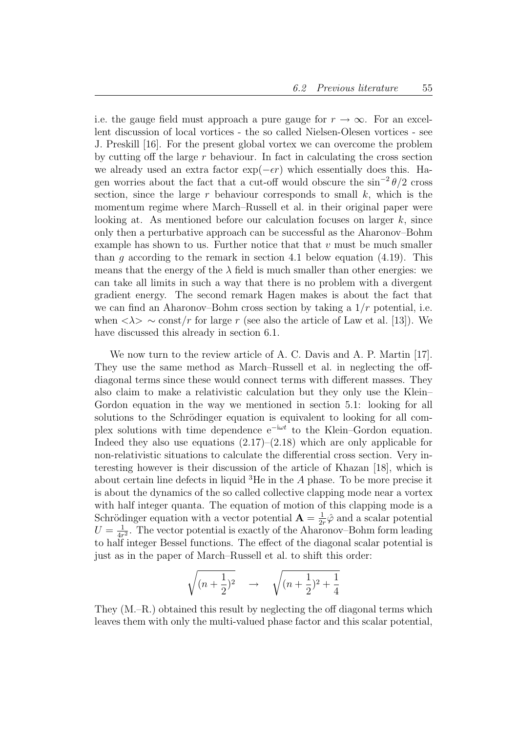i.e. the gauge field must approach a pure gauge for  $r \to \infty$ . For an excellent discussion of local vortices - the so called Nielsen-Olesen vortices - see J. Preskill [16]. For the present global vortex we can overcome the problem by cutting off the large  $r$  behaviour. In fact in calculating the cross section we already used an extra factor  $\exp(-\epsilon r)$  which essentially does this. Hagen worries about the fact that a cut-off would obscure the  $\sin^{-2}\theta/2$  cross section, since the large r behaviour corresponds to small  $k$ , which is the momentum regime where March–Russell et al. in their original paper were looking at. As mentioned before our calculation focuses on larger  $k$ , since only then a perturbative approach can be successful as the Aharonov–Bohm example has shown to us. Further notice that that  $v$  must be much smaller than q according to the remark in section 4.1 below equation  $(4.19)$ . This means that the energy of the  $\lambda$  field is much smaller than other energies: we can take all limits in such a way that there is no problem with a divergent gradient energy. The second remark Hagen makes is about the fact that we can find an Aharonov–Bohm cross section by taking a  $1/r$  potential, i.e. when  $\langle \lambda \rangle \sim \text{const}/r$  for large r (see also the article of Law et al. [13]). We have discussed this already in section 6.1.

We now turn to the review article of A. C. Davis and A. P. Martin [17]. They use the same method as March–Russell et al. in neglecting the offdiagonal terms since these would connect terms with different masses. They also claim to make a relativistic calculation but they only use the Klein– Gordon equation in the way we mentioned in section 5.1: looking for all solutions to the Schrödinger equation is equivalent to looking for all complex solutions with time dependence  $e^{-i\omega t}$  to the Klein–Gordon equation. Indeed they also use equations  $(2.17)$ – $(2.18)$  which are only applicable for non-relativistic situations to calculate the differential cross section. Very interesting however is their discussion of the article of Khazan [18], which is about certain line defects in liquid  ${}^{3}$ He in the A phase. To be more precise it is about the dynamics of the so called collective clapping mode near a vortex with half integer quanta. The equation of motion of this clapping mode is a Schrödinger equation with a vector potential  $\mathbf{A} = \frac{1}{2}$  $\frac{1}{2r}\hat{\varphi}$  and a scalar potential  $U=\frac{1}{4r}$  $\frac{1}{4r^2}$ . The vector potential is exactly of the Aharonov–Bohm form leading to half integer Bessel functions. The effect of the diagonal scalar potential is just as in the paper of March–Russell et al. to shift this order:

$$
\sqrt{(n+\frac{1}{2})^2} \quad \to \quad \sqrt{(n+\frac{1}{2})^2 + \frac{1}{4}}
$$

They (M.–R.) obtained this result by neglecting the off diagonal terms which leaves them with only the multi-valued phase factor and this scalar potential,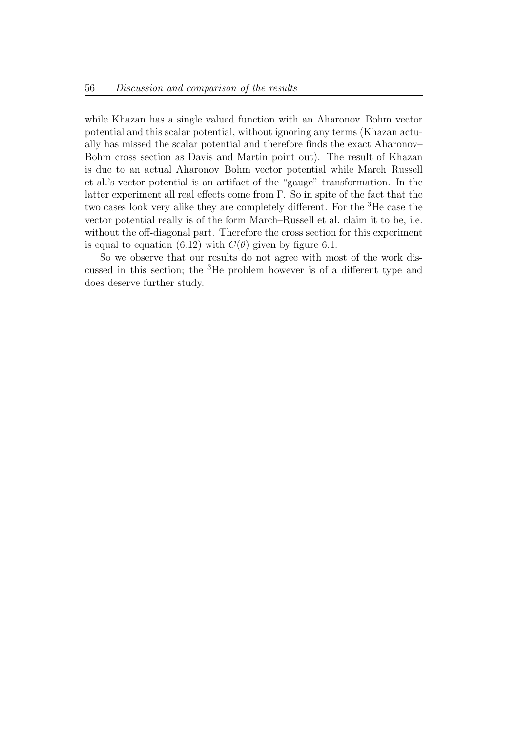while Khazan has a single valued function with an Aharonov–Bohm vector potential and this scalar potential, without ignoring any terms (Khazan actually has missed the scalar potential and therefore finds the exact Aharonov– Bohm cross section as Davis and Martin point out). The result of Khazan is due to an actual Aharonov–Bohm vector potential while March–Russell et al.'s vector potential is an artifact of the "gauge" transformation. In the latter experiment all real effects come from Γ. So in spite of the fact that the two cases look very alike they are completely different. For the <sup>3</sup>He case the vector potential really is of the form March–Russell et al. claim it to be, i.e. without the off-diagonal part. Therefore the cross section for this experiment is equal to equation (6.12) with  $C(\theta)$  given by figure 6.1.

So we observe that our results do not agree with most of the work discussed in this section; the <sup>3</sup>He problem however is of a different type and does deserve further study.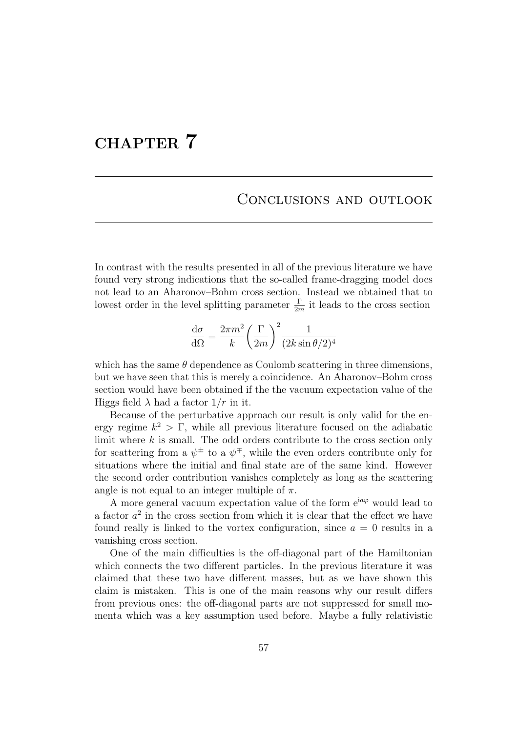# CHAPTER 7

#### Conclusions and outlook

In contrast with the results presented in all of the previous literature we have found very strong indications that the so-called frame-dragging model does not lead to an Aharonov–Bohm cross section. Instead we obtained that to lowest order in the level splitting parameter  $\frac{\Gamma}{2m}$  it leads to the cross section

$$
\frac{\mathrm{d}\sigma}{\mathrm{d}\Omega} = \frac{2\pi m^2}{k} \left(\frac{\Gamma}{2m}\right)^2 \frac{1}{(2k\sin\theta/2)^4}
$$

which has the same  $\theta$  dependence as Coulomb scattering in three dimensions, but we have seen that this is merely a coincidence. An Aharonov–Bohm cross section would have been obtained if the the vacuum expectation value of the Higgs field  $\lambda$  had a factor  $1/r$  in it.

Because of the perturbative approach our result is only valid for the energy regime  $k^2 > \Gamma$ , while all previous literature focused on the adiabatic limit where  $k$  is small. The odd orders contribute to the cross section only for scattering from a  $\psi^{\pm}$  to a  $\psi^{\mp}$ , while the even orders contribute only for situations where the initial and final state are of the same kind. However the second order contribution vanishes completely as long as the scattering angle is not equal to an integer multiple of  $\pi$ .

A more general vacuum expectation value of the form  $e^{ia\varphi}$  would lead to a factor  $a^2$  in the cross section from which it is clear that the effect we have found really is linked to the vortex configuration, since  $a = 0$  results in a vanishing cross section.

One of the main difficulties is the off-diagonal part of the Hamiltonian which connects the two different particles. In the previous literature it was claimed that these two have different masses, but as we have shown this claim is mistaken. This is one of the main reasons why our result differs from previous ones: the off-diagonal parts are not suppressed for small momenta which was a key assumption used before. Maybe a fully relativistic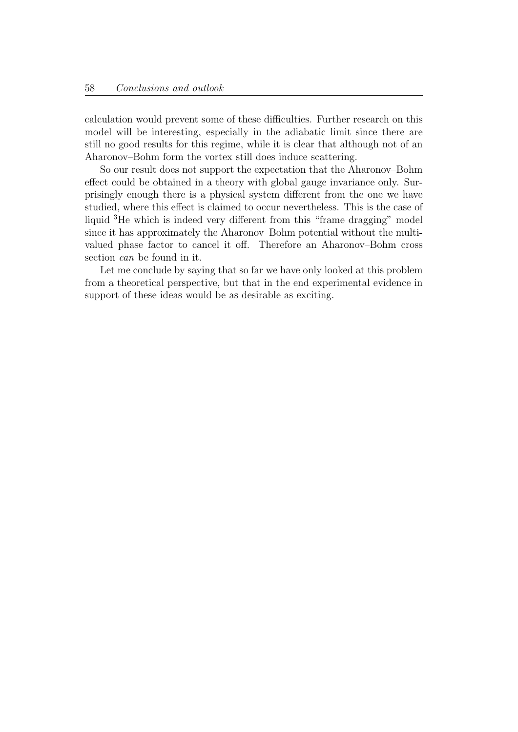calculation would prevent some of these difficulties. Further research on this model will be interesting, especially in the adiabatic limit since there are still no good results for this regime, while it is clear that although not of an Aharonov–Bohm form the vortex still does induce scattering.

So our result does not support the expectation that the Aharonov–Bohm effect could be obtained in a theory with global gauge invariance only. Surprisingly enough there is a physical system different from the one we have studied, where this effect is claimed to occur nevertheless. This is the case of liquid <sup>3</sup>He which is indeed very different from this "frame dragging" model since it has approximately the Aharonov–Bohm potential without the multivalued phase factor to cancel it off. Therefore an Aharonov–Bohm cross section can be found in it.

Let me conclude by saying that so far we have only looked at this problem from a theoretical perspective, but that in the end experimental evidence in support of these ideas would be as desirable as exciting.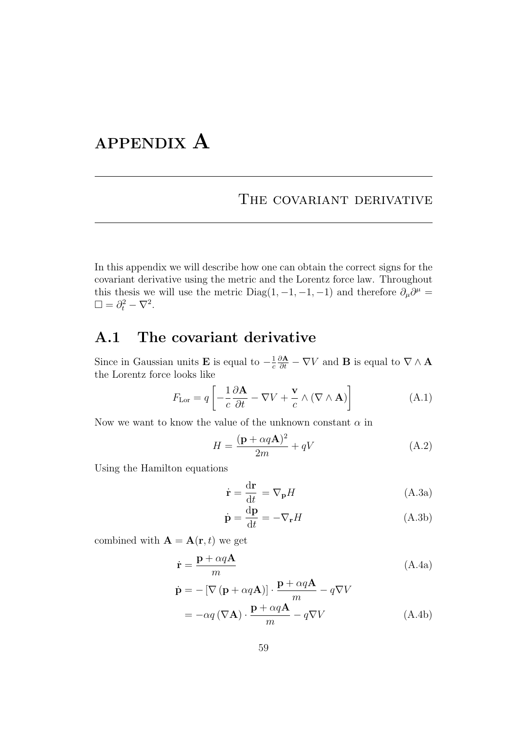# APPENDIX A

## THE COVARIANT DERIVATIVE

In this appendix we will describe how one can obtain the correct signs for the covariant derivative using the metric and the Lorentz force law. Throughout this thesis we will use the metric Diag(1, -1, -1, -1) and therefore  $\partial_{\mu}\partial^{\mu} =$  $\square = \partial_t^2 - \nabla^2.$ 

## A.1 The covariant derivative

Since in Gaussian units **E** is equal to  $-\frac{1}{c}$ c  $\frac{\partial \mathbf{A}}{\partial t} - \nabla V$  and **B** is equal to  $\nabla \wedge \mathbf{A}$ the Lorentz force looks like

$$
F_{\text{Lor}} = q \left[ -\frac{1}{c} \frac{\partial \mathbf{A}}{\partial t} - \nabla V + \frac{\mathbf{v}}{c} \wedge (\nabla \wedge \mathbf{A}) \right]
$$
(A.1)

Now we want to know the value of the unknown constant  $\alpha$  in

$$
H = \frac{(\mathbf{p} + \alpha q \mathbf{A})^2}{2m} + qV \tag{A.2}
$$

Using the Hamilton equations

$$
\dot{\mathbf{r}} = \frac{\mathrm{d}\mathbf{r}}{\mathrm{d}t} = \nabla_{\mathbf{p}}H\tag{A.3a}
$$

$$
\dot{\mathbf{p}} = \frac{\mathrm{d}\mathbf{p}}{\mathrm{d}t} = -\nabla_{\mathbf{r}}H\tag{A.3b}
$$

combined with  $\mathbf{A} = \mathbf{A}(\mathbf{r}, t)$  we get

$$
\dot{\mathbf{r}} = \frac{\mathbf{p} + \alpha q \mathbf{A}}{m} \tag{A.4a}
$$

$$
\dot{\mathbf{p}} = -[\nabla (\mathbf{p} + \alpha q \mathbf{A})] \cdot \frac{\mathbf{p} + \alpha q \mathbf{A}}{m} - q \nabla V
$$
  
=  $-\alpha q (\nabla \mathbf{A}) \cdot \frac{\mathbf{p} + \alpha q \mathbf{A}}{m} - q \nabla V$  (A.4b)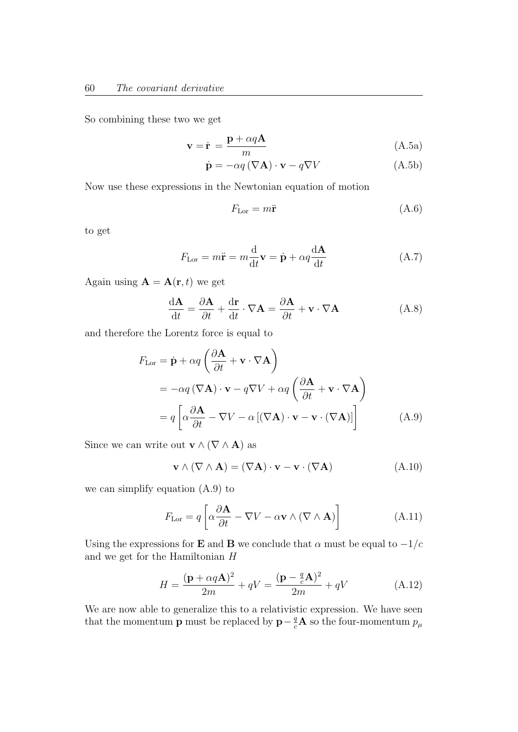So combining these two we get

$$
\mathbf{v} = \dot{\mathbf{r}} = \frac{\mathbf{p} + \alpha q \mathbf{A}}{m} \tag{A.5a}
$$

$$
\dot{\mathbf{p}} = -\alpha q \left( \nabla \mathbf{A} \right) \cdot \mathbf{v} - q \nabla V \tag{A.5b}
$$

Now use these expressions in the Newtonian equation of motion

$$
F_{\text{Lor}} = m\ddot{\mathbf{r}} \tag{A.6}
$$

to get

$$
F_{\text{Lor}} = m\ddot{\mathbf{r}} = m\frac{d}{dt}\mathbf{v} = \dot{\mathbf{p}} + \alpha q \frac{d\mathbf{A}}{dt}
$$
 (A.7)

Again using  $\mathbf{A} = \mathbf{A}(\mathbf{r}, t)$  we get

$$
\frac{\mathrm{d}\mathbf{A}}{\mathrm{d}t} = \frac{\partial \mathbf{A}}{\partial t} + \frac{\mathrm{d}\mathbf{r}}{\mathrm{d}t} \cdot \nabla \mathbf{A} = \frac{\partial \mathbf{A}}{\partial t} + \mathbf{v} \cdot \nabla \mathbf{A}
$$
(A.8)

and therefore the Lorentz force is equal to

$$
F_{\text{Lor}} = \dot{\mathbf{p}} + \alpha q \left( \frac{\partial \mathbf{A}}{\partial t} + \mathbf{v} \cdot \nabla \mathbf{A} \right)
$$
  
=  $-\alpha q (\nabla \mathbf{A}) \cdot \mathbf{v} - q \nabla V + \alpha q \left( \frac{\partial \mathbf{A}}{\partial t} + \mathbf{v} \cdot \nabla \mathbf{A} \right)$   
=  $q \left[ \alpha \frac{\partial \mathbf{A}}{\partial t} - \nabla V - \alpha \left[ (\nabla \mathbf{A}) \cdot \mathbf{v} - \mathbf{v} \cdot (\nabla \mathbf{A}) \right] \right]$  (A.9)

Since we can write out  $\mathbf{v} \wedge (\nabla \wedge \mathbf{A})$  as

$$
\mathbf{v} \wedge (\nabla \wedge \mathbf{A}) = (\nabla \mathbf{A}) \cdot \mathbf{v} - \mathbf{v} \cdot (\nabla \mathbf{A})
$$
 (A.10)

we can simplify equation (A.9) to

$$
F_{\text{Lor}} = q \left[ \alpha \frac{\partial \mathbf{A}}{\partial t} - \nabla V - \alpha \mathbf{v} \wedge (\nabla \wedge \mathbf{A}) \right]
$$
(A.11)

Using the expressions for **E** and **B** we conclude that  $\alpha$  must be equal to  $-1/c$ and we get for the Hamiltonian H

$$
H = \frac{(\mathbf{p} + \alpha q \mathbf{A})^2}{2m} + qV = \frac{(\mathbf{p} - \frac{q}{c} \mathbf{A})^2}{2m} + qV
$$
 (A.12)

We are now able to generalize this to a relativistic expression. We have seen that the momentum **p** must be replaced by  $\mathbf{p} - \frac{q}{c}\mathbf{A}$  so the four-momentum  $p_{\mu}$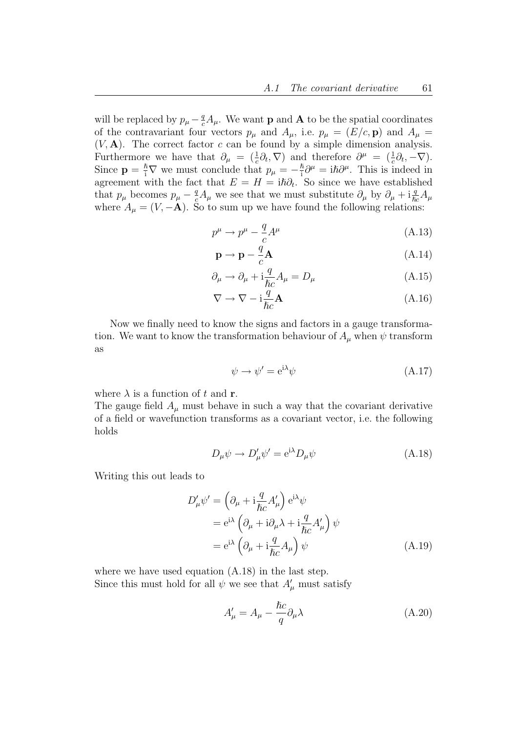will be replaced by  $p_{\mu} - \frac{q}{c} A_{\mu}$ . We want **p** and **A** to be the spatial coordinates of the contravariant four vectors  $p_{\mu}$  and  $A_{\mu}$ , i.e.  $p_{\mu} = (E/c, \mathbf{p})$  and  $A_{\mu} =$  $(V, A)$ . The correct factor c can be found by a simple dimension analysis. Furthermore we have that  $\partial_{\mu} = (\frac{1}{c}\partial_t, \nabla)$  and therefore  $\partial^{\mu} = (\frac{1}{c}\partial_t, -\nabla)$ . Since  $\mathbf{p} = \frac{\hbar}{i} \nabla$  we must conclude that  $p_{\mu} = -\frac{\hbar}{i}$  $\frac{\hbar}{i}\partial^{\mu} = i\hbar \partial^{\mu}$ . This is indeed in agreement with the fact that  $E = H = i\hbar \partial_t$ . So since we have established that  $p_\mu$  becomes  $p_\mu - \frac{q}{c}A_\mu$  we see that we must substitute  $\partial_\mu$  by  $\partial_\mu + i\frac{q}{\hbar c}A_\mu$ where  $A_{\mu} = (V, -\mathbf{A})$ . So to sum up we have found the following relations:

$$
p^{\mu} \to p^{\mu} - \frac{q}{c} A^{\mu} \tag{A.13}
$$

$$
\mathbf{p} \to \mathbf{p} - \frac{q}{c} \mathbf{A} \tag{A.14}
$$

$$
\partial_{\mu} \to \partial_{\mu} + i \frac{q}{\hbar c} A_{\mu} = D_{\mu}
$$
 (A.15)

$$
\nabla \to \nabla - i \frac{\dot{q}}{\hbar c} A \tag{A.16}
$$

Now we finally need to know the signs and factors in a gauge transformation. We want to know the transformation behaviour of  $A_\mu$  when  $\psi$  transform as

$$
\psi \to \psi' = e^{i\lambda} \psi \tag{A.17}
$$

where  $\lambda$  is a function of t and **r**.

The gauge field  $A_\mu$  must behave in such a way that the covariant derivative of a field or wavefunction transforms as a covariant vector, i.e. the following holds

$$
D_{\mu}\psi \to D'_{\mu}\psi' = e^{i\lambda}D_{\mu}\psi \tag{A.18}
$$

Writing this out leads to

$$
D'_{\mu}\psi' = \left(\partial_{\mu} + i\frac{q}{\hbar c}A'_{\mu}\right)e^{i\lambda}\psi
$$
  

$$
= e^{i\lambda}\left(\partial_{\mu} + i\partial_{\mu}\lambda + i\frac{q}{\hbar c}A'_{\mu}\right)\psi
$$
  

$$
= e^{i\lambda}\left(\partial_{\mu} + i\frac{q}{\hbar c}A_{\mu}\right)\psi
$$
(A.19)

where we have used equation (A.18) in the last step. Since this must hold for all  $\psi$  we see that  $A'_{\mu}$  must satisfy

$$
A'_{\mu} = A_{\mu} - \frac{\hbar c}{q} \partial_{\mu} \lambda \tag{A.20}
$$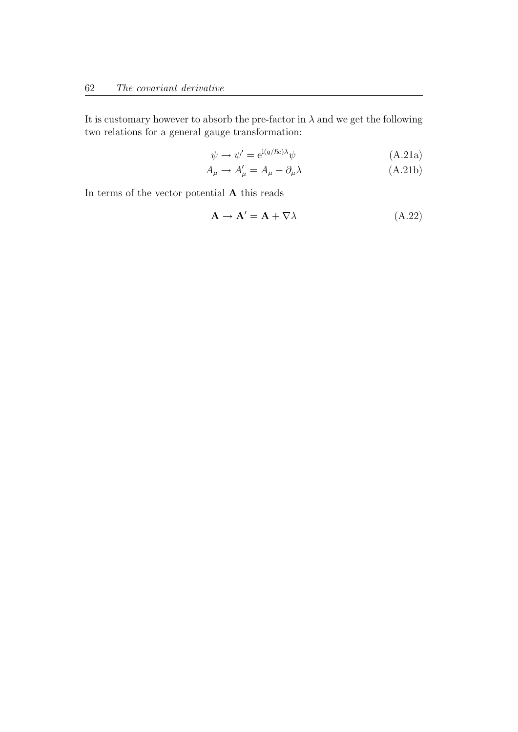It is customary however to absorb the pre-factor in  $\lambda$  and we get the following two relations for a general gauge transformation:

$$
\psi \to \psi' = e^{i(q/\hbar c)\lambda} \psi \tag{A.21a}
$$

$$
A_{\mu} \to A'_{\mu} = A_{\mu} - \partial_{\mu} \lambda \tag{A.21b}
$$

In terms of the vector potential  ${\bf A}$  this reads

$$
\mathbf{A} \to \mathbf{A}' = \mathbf{A} + \nabla \lambda \tag{A.22}
$$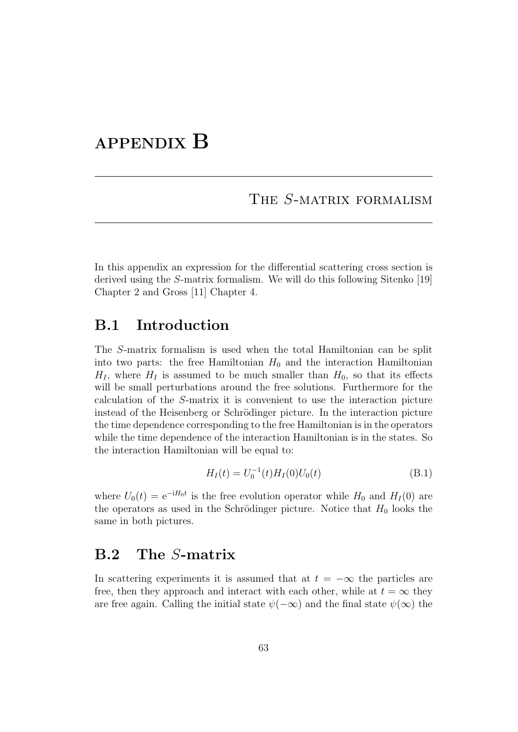# APPENDIX B

### THE S-MATRIX FORMALISM

In this appendix an expression for the differential scattering cross section is derived using the S-matrix formalism. We will do this following Sitenko [19] Chapter 2 and Gross [11] Chapter 4.

#### B.1 Introduction

The S-matrix formalism is used when the total Hamiltonian can be split into two parts: the free Hamiltonian  $H_0$  and the interaction Hamiltonian  $H<sub>I</sub>$ , where  $H<sub>I</sub>$  is assumed to be much smaller than  $H<sub>0</sub>$ , so that its effects will be small perturbations around the free solutions. Furthermore for the calculation of the S-matrix it is convenient to use the interaction picture instead of the Heisenberg or Schrödinger picture. In the interaction picture the time dependence corresponding to the free Hamiltonian is in the operators while the time dependence of the interaction Hamiltonian is in the states. So the interaction Hamiltonian will be equal to:

$$
H_I(t) = U_0^{-1}(t)H_I(0)U_0(t)
$$
\n(B.1)

where  $U_0(t) = e^{-iH_0t}$  is the free evolution operator while  $H_0$  and  $H_1(0)$  are the operators as used in the Schrödinger picture. Notice that  $H_0$  looks the same in both pictures.

## B.2 The S-matrix

In scattering experiments it is assumed that at  $t = -\infty$  the particles are free, then they approach and interact with each other, while at  $t = \infty$  they are free again. Calling the initial state  $\psi(-\infty)$  and the final state  $\psi(\infty)$  the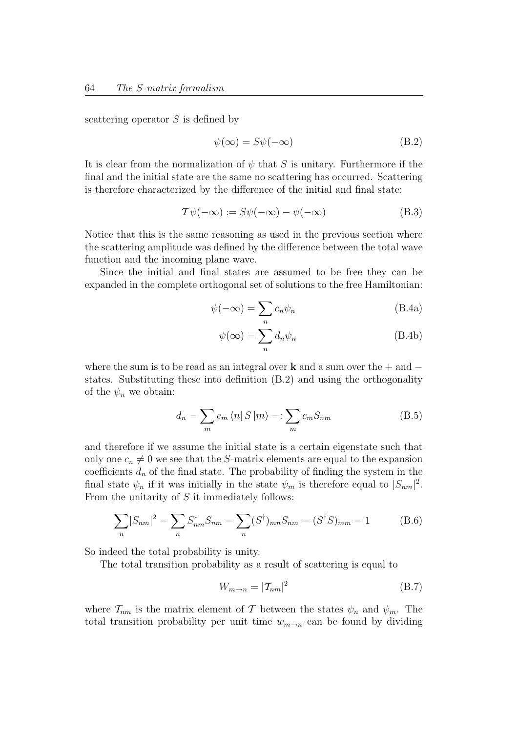scattering operator S is defined by

$$
\psi(\infty) = S\psi(-\infty) \tag{B.2}
$$

It is clear from the normalization of  $\psi$  that S is unitary. Furthermore if the final and the initial state are the same no scattering has occurred. Scattering is therefore characterized by the difference of the initial and final state:

$$
\mathcal{T}\psi(-\infty) := S\psi(-\infty) - \psi(-\infty)
$$
 (B.3)

Notice that this is the same reasoning as used in the previous section where the scattering amplitude was defined by the difference between the total wave function and the incoming plane wave.

Since the initial and final states are assumed to be free they can be expanded in the complete orthogonal set of solutions to the free Hamiltonian:

$$
\psi(-\infty) = \sum_{n} c_n \psi_n \tag{B.4a}
$$

$$
\psi(\infty) = \sum_{n} d_n \psi_n \tag{B.4b}
$$

where the sum is to be read as an integral over **k** and a sum over the  $+$  and  $$ states. Substituting these into definition (B.2) and using the orthogonality of the  $\psi_n$  we obtain:

$$
d_n = \sum_m c_m \langle n | S | m \rangle =: \sum_m c_m S_{nm}
$$
 (B.5)

and therefore if we assume the initial state is a certain eigenstate such that only one  $c_n \neq 0$  we see that the S-matrix elements are equal to the expansion coefficients  $d_n$  of the final state. The probability of finding the system in the final state  $\psi_n$  if it was initially in the state  $\psi_m$  is therefore equal to  $|S_{nm}|^2$ . From the unitarity of  $S$  it immediately follows:

$$
\sum_{n} |S_{nm}|^2 = \sum_{n} S_{nm}^* S_{nm} = \sum_{n} (S^{\dagger})_{mn} S_{nm} = (S^{\dagger} S)_{mm} = 1
$$
 (B.6)

So indeed the total probability is unity.

The total transition probability as a result of scattering is equal to

$$
W_{m \to n} = |\mathcal{T}_{nm}|^2 \tag{B.7}
$$

where  $\mathcal{T}_{nm}$  is the matrix element of T between the states  $\psi_n$  and  $\psi_m$ . The total transition probability per unit time  $w_{m\rightarrow n}$  can be found by dividing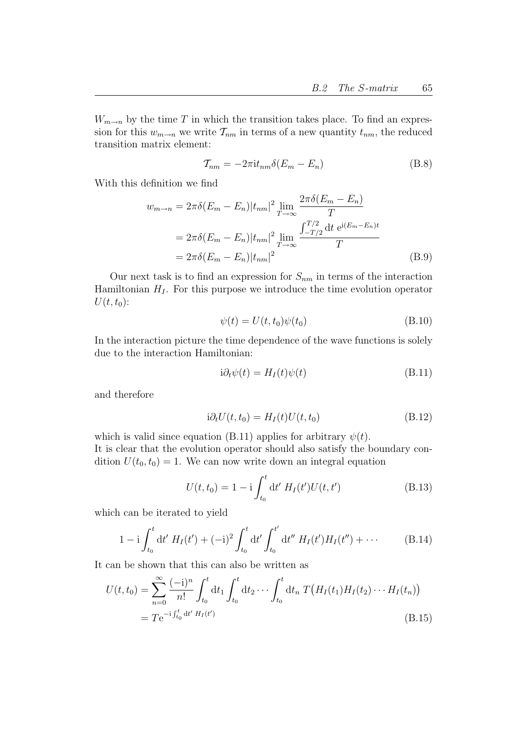$W_{m\rightarrow n}$  by the time  $T$  in which the transition takes place. To find an expression for this  $w_{m\to n}$  we write  $\mathcal{T}_{nm}$  in terms of a new quantity  $t_{nm}$ , the reduced transition matrix element:

$$
\mathcal{T}_{nm} = -2\pi i t_{nm} \delta(E_m - E_n) \tag{B.8}
$$

With this definition we find

$$
w_{m \to n} = 2\pi \delta (E_m - E_n) |t_{nm}|^2 \lim_{T \to \infty} \frac{2\pi \delta (E_m - E_n)}{T}
$$
  
=  $2\pi \delta (E_m - E_n) |t_{nm}|^2 \lim_{T \to \infty} \frac{\int_{-T/2}^{T/2} dt \ e^{i(E_m - E_n)t}}{T}$   
=  $2\pi \delta (E_m - E_n) |t_{nm}|^2$  (B.9)

Our next task is to find an expression for  $S_{nm}$  in terms of the interaction Hamiltonian  $H_I$ . For this purpose we introduce the time evolution operator  $U(t, t_0)$ :

$$
\psi(t) = U(t, t_0)\psi(t_0) \tag{B.10}
$$

In the interaction picture the time dependence of the wave functions is solely due to the interaction Hamiltonian:

$$
i\partial_t \psi(t) = H_I(t)\psi(t)
$$
 (B.11)

and therefore

$$
i\partial_t U(t, t_0) = H_I(t)U(t, t_0)
$$
\n(B.12)

which is valid since equation (B.11) applies for arbitrary  $\psi(t)$ . It is clear that the evolution operator should also satisfy the boundary condition  $U(t_0, t_0) = 1$ . We can now write down an integral equation

$$
U(t, t_0) = 1 - i \int_{t_0}^t dt' H_I(t') U(t, t')
$$
 (B.13)

which can be iterated to yield

$$
1 - i \int_{t_0}^t dt' H_I(t') + (-i)^2 \int_{t_0}^t dt' \int_{t_0}^{t'} dt'' H_I(t') H_I(t'') + \cdots
$$
 (B.14)

It can be shown that this can also be written as

$$
U(t, t_0) = \sum_{n=0}^{\infty} \frac{(-i)^n}{n!} \int_{t_0}^t dt_1 \int_{t_0}^t dt_2 \cdots \int_{t_0}^t dt_n T\big(H_I(t_1)H_I(t_2) \cdots H_I(t_n)\big) = T e^{-i \int_{t_0}^t dt' H_I(t')}
$$
\n(B.15)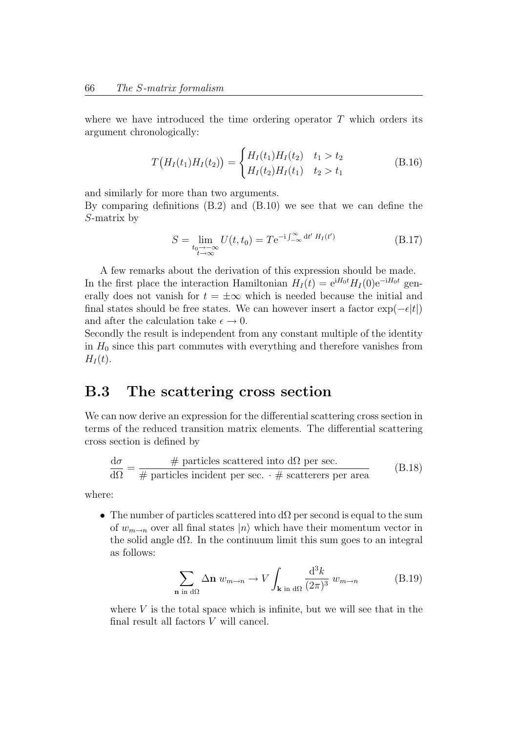where we have introduced the time ordering operator  $T$  which orders its argument chronologically:

$$
T\big(H_I(t_1)H_I(t_2)\big) = \begin{cases} H_I(t_1)H_I(t_2) & t_1 > t_2 \\ H_I(t_2)H_I(t_1) & t_2 > t_1 \end{cases}
$$
 (B.16)

and similarly for more than two arguments.

By comparing definitions (B.2) and (B.10) we see that we can define the S-matrix by

$$
S = \lim_{\substack{t_0 \to -\infty \\ t \to \infty}} U(t, t_0) = T e^{-i \int_{-\infty}^{\infty} dt' H_I(t')} \tag{B.17}
$$

A few remarks about the derivation of this expression should be made. In the first place the interaction Hamiltonian  $H_I(t) = e^{iH_0t} H_I(0)e^{-iH_0t}$  generally does not vanish for  $t = \pm \infty$  which is needed because the initial and final states should be free states. We can however insert a factor  $\exp(-\epsilon|t|)$ and after the calculation take  $\epsilon \to 0$ .

Secondly the result is independent from any constant multiple of the identity in  $H_0$  since this part commutes with everything and therefore vanishes from  $H_I(t)$ .

### B.3 The scattering cross section

We can now derive an expression for the differential scattering cross section in terms of the reduced transition matrix elements. The differential scattering cross section is defined by

$$
\frac{d\sigma}{d\Omega} = \frac{\text{# particles scattered into d}\Omega \text{ per sec.}}{\text{# particles incident per sec.} + \text{scatters per area}} \tag{B.18}
$$

where:

• The number of particles scattered into  $d\Omega$  per second is equal to the sum of  $w_{m\rightarrow n}$  over all final states  $|n\rangle$  which have their momentum vector in the solid angle  $d\Omega$ . In the continuum limit this sum goes to an integral as follows:

$$
\sum_{\mathbf{n} \text{ in d}\Omega} \Delta \mathbf{n} \ w_{m \to n} \to V \int_{\mathbf{k} \text{ in d}\Omega} \frac{\mathrm{d}^3 k}{(2\pi)^3} \ w_{m \to n} \tag{B.19}
$$

where  $V$  is the total space which is infinite, but we will see that in the final result all factors V will cancel.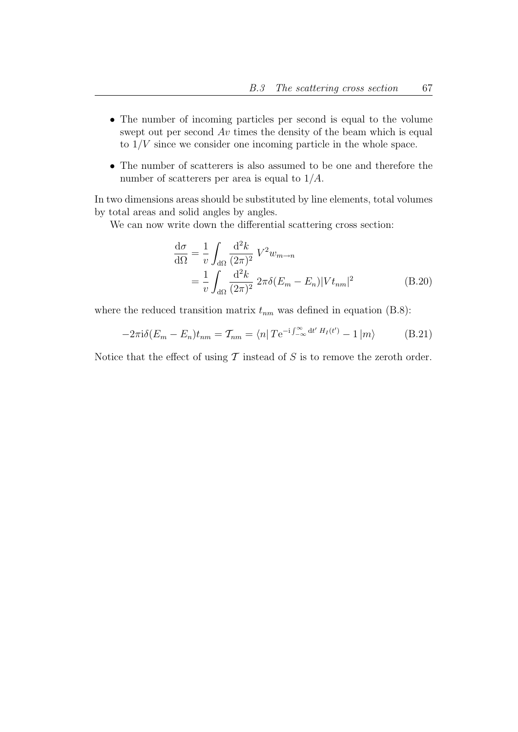- The number of incoming particles per second is equal to the volume swept out per second  $Av$  times the density of the beam which is equal to  $1/V$  since we consider one incoming particle in the whole space.
- The number of scatterers is also assumed to be one and therefore the number of scatterers per area is equal to 1/A.

In two dimensions areas should be substituted by line elements, total volumes by total areas and solid angles by angles.

We can now write down the differential scattering cross section:

$$
\frac{d\sigma}{d\Omega} = \frac{1}{v} \int_{d\Omega} \frac{d^2 k}{(2\pi)^2} V^2 w_{m \to n}
$$

$$
= \frac{1}{v} \int_{d\Omega} \frac{d^2 k}{(2\pi)^2} 2\pi \delta (E_m - E_n) |V t_{nm}|^2
$$
(B.20)

where the reduced transition matrix  $t_{nm}$  was defined in equation (B.8):

$$
-2\pi i\delta(E_m - E_n)t_{nm} = T_{nm} = \langle n|Te^{-i\int_{-\infty}^{\infty} dt' H_I(t')} - 1|m\rangle
$$
 (B.21)

Notice that the effect of using  $\mathcal T$  instead of  $S$  is to remove the zeroth order.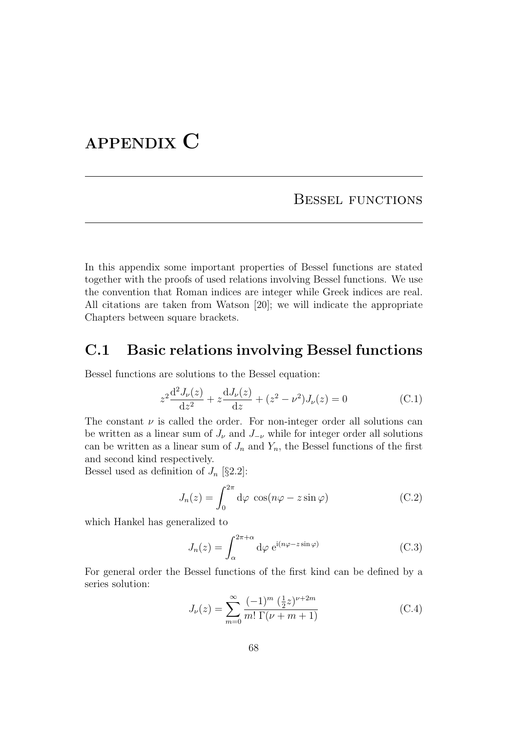## APPENDIX C

Bessel functions

In this appendix some important properties of Bessel functions are stated together with the proofs of used relations involving Bessel functions. We use the convention that Roman indices are integer while Greek indices are real. All citations are taken from Watson [20]; we will indicate the appropriate Chapters between square brackets.

## C.1 Basic relations involving Bessel functions

Bessel functions are solutions to the Bessel equation:

$$
z^{2} \frac{d^{2} J_{\nu}(z)}{dz^{2}} + z \frac{d J_{\nu}(z)}{dz} + (z^{2} - \nu^{2}) J_{\nu}(z) = 0
$$
 (C.1)

The constant  $\nu$  is called the order. For non-integer order all solutions can be written as a linear sum of  $J_{\nu}$  and  $J_{-\nu}$  while for integer order all solutions can be written as a linear sum of  $J_n$  and  $Y_n$ , the Bessel functions of the first and second kind respectively.

Bessel used as definition of  $J_n$  [§2.2]:

$$
J_n(z) = \int_0^{2\pi} d\varphi \, \cos(n\varphi - z\sin\varphi) \tag{C.2}
$$

which Hankel has generalized to

$$
J_n(z) = \int_{\alpha}^{2\pi + \alpha} d\varphi \ e^{i(n\varphi - z\sin\varphi)} \tag{C.3}
$$

For general order the Bessel functions of the first kind can be defined by a series solution:

$$
J_{\nu}(z) = \sum_{m=0}^{\infty} \frac{(-1)^m \left(\frac{1}{2}z\right)^{\nu+2m}}{m! \Gamma(\nu+m+1)}
$$
(C.4)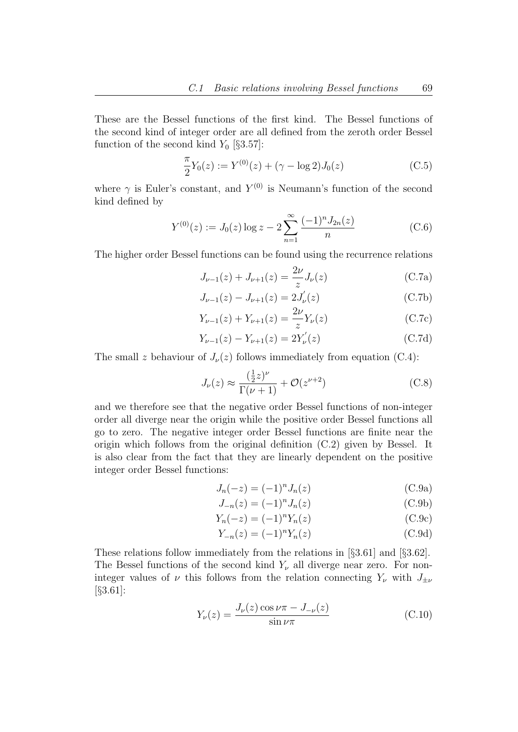These are the Bessel functions of the first kind. The Bessel functions of the second kind of integer order are all defined from the zeroth order Bessel function of the second kind  $Y_0$  [§3.57]:

$$
\frac{\pi}{2}Y_0(z) := Y^{(0)}(z) + (\gamma - \log 2)J_0(z)
$$
\n(C.5)

where  $\gamma$  is Euler's constant, and  $Y^{(0)}$  is Neumann's function of the second kind defined by

$$
Y^{(0)}(z) := J_0(z) \log z - 2 \sum_{n=1}^{\infty} \frac{(-1)^n J_{2n}(z)}{n}
$$
 (C.6)

The higher order Bessel functions can be found using the recurrence relations

$$
J_{\nu-1}(z) + J_{\nu+1}(z) = \frac{2\nu}{z} J_{\nu}(z)
$$
 (C.7a)

$$
J_{\nu-1}(z) - J_{\nu+1}(z) = 2J_{\nu}'(z)
$$
\n(C.7b)

$$
Y_{\nu-1}(z) + Y_{\nu+1}(z) = \frac{2\nu}{z} Y_{\nu}(z)
$$
 (C.7c)

$$
Y_{\nu-1}(z) - Y_{\nu+1}(z) = 2Y_{\nu}'(z)
$$
\n(C.7d)

The small z behaviour of  $J_{\nu}(z)$  follows immediately from equation (C.4):

$$
J_{\nu}(z) \approx \frac{\left(\frac{1}{2}z\right)^{\nu}}{\Gamma(\nu+1)} + \mathcal{O}(z^{\nu+2})
$$
\n(C.8)

and we therefore see that the negative order Bessel functions of non-integer order all diverge near the origin while the positive order Bessel functions all go to zero. The negative integer order Bessel functions are finite near the origin which follows from the original definition (C.2) given by Bessel. It is also clear from the fact that they are linearly dependent on the positive integer order Bessel functions:

$$
J_n(-z) = (-1)^n J_n(z)
$$
 (C.9a)

$$
J_{-n}(z) = (-1)^n J_n(z)
$$
 (C.9b)

$$
Y_n(-z) = (-1)^n Y_n(z)
$$
 (C.9c)

$$
Y_{-n}(z) = (-1)^n Y_n(z)
$$
 (C.9d)

These relations follow immediately from the relations in [§3.61] and [§3.62]. The Bessel functions of the second kind  $Y_{\nu}$  all diverge near zero. For noninteger values of  $\nu$  this follows from the relation connecting  $Y_{\nu}$  with  $J_{\pm \nu}$ [§3.61]:

$$
Y_{\nu}(z) = \frac{J_{\nu}(z)\cos\nu\pi - J_{-\nu}(z)}{\sin\nu\pi}
$$
(C.10)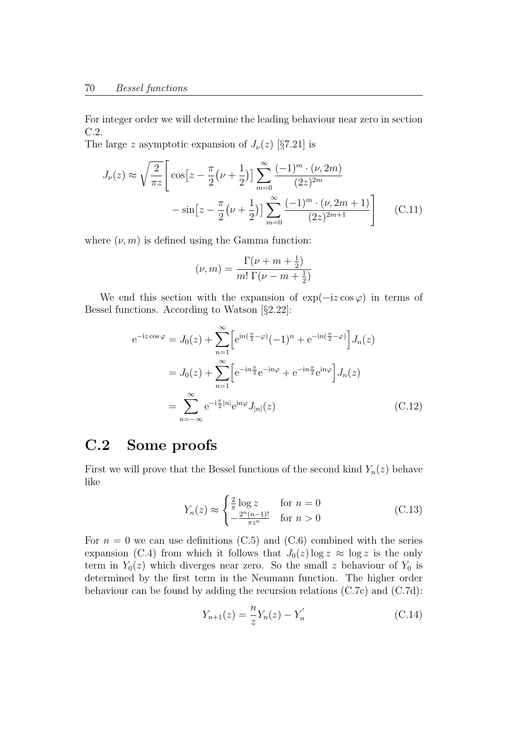For integer order we will determine the leading behaviour near zero in section C.2.

The large z asymptotic expansion of  $J_{\nu}(z)$  [§7.21] is

$$
J_{\nu}(z) \approx \sqrt{\frac{2}{\pi z}} \left[ \cos \left[ z - \frac{\pi}{2} \left( \nu + \frac{1}{2} \right) \right] \sum_{m=0}^{\infty} \frac{(-1)^m \cdot (\nu, 2m)}{(2z)^{2m}} -\sin \left[ z - \frac{\pi}{2} \left( \nu + \frac{1}{2} \right) \right] \sum_{m=0}^{\infty} \frac{(-1)^m \cdot (\nu, 2m+1)}{(2z)^{2m+1}} \right] \tag{C.11}
$$

where  $(\nu, m)$  is defined using the Gamma function:

$$
(\nu, m) = \frac{\Gamma(\nu + m + \frac{1}{2})}{m! \Gamma(\nu - m + \frac{1}{2})}
$$

We end this section with the expansion of  $\exp(-iz \cos \varphi)$  in terms of Bessel functions. According to Watson [§2.22]:

$$
e^{-iz\cos\varphi} = J_0(z) + \sum_{n=1}^{\infty} \left[ e^{in(\frac{\pi}{2} - \varphi)} (-1)^n + e^{-in(\frac{\pi}{2} - \varphi)} \right] J_n(z)
$$
  

$$
= J_0(z) + \sum_{n=1}^{\infty} \left[ e^{-in\frac{\pi}{2}} e^{-in\varphi} + e^{-in\frac{\pi}{2}} e^{in\varphi} \right] J_n(z)
$$
  

$$
= \sum_{n=-\infty}^{\infty} e^{-i\frac{\pi}{2}|n|} e^{in\varphi} J_{|n|}(z)
$$
(C.12)

## C.2 Some proofs

First we will prove that the Bessel functions of the second kind  $Y_n(z)$  behave like

$$
Y_n(z) \approx \begin{cases} \frac{2}{\pi} \log z & \text{for } n = 0\\ -\frac{2^n (n-1)!}{\pi z^n} & \text{for } n > 0 \end{cases} \tag{C.13}
$$

For  $n = 0$  we can use definitions (C.5) and (C.6) combined with the series expansion (C.4) from which it follows that  $J_0(z) \log z \approx \log z$  is the only term in  $Y_0(z)$  which diverges near zero. So the small z behaviour of  $Y_0$  is determined by the first term in the Neumann function. The higher order behaviour can be found by adding the recursion relations (C.7c) and (C.7d):

$$
Y_{n+1}(z) = \frac{n}{z} Y_n(z) - Y'_n \tag{C.14}
$$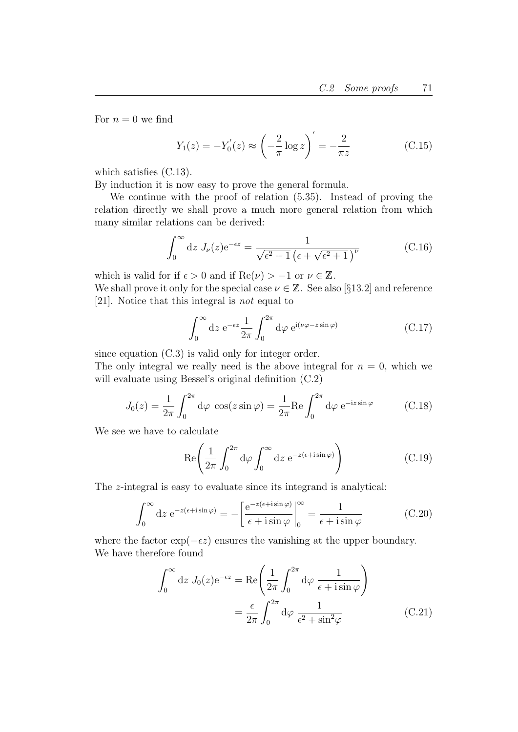For  $n = 0$  we find

$$
Y_1(z) = -Y'_0(z) \approx \left(-\frac{2}{\pi} \log z\right)' = -\frac{2}{\pi z}
$$
 (C.15)

which satisfies (C.13).

By induction it is now easy to prove the general formula.

We continue with the proof of relation (5.35). Instead of proving the relation directly we shall prove a much more general relation from which many similar relations can be derived:

$$
\int_0^\infty dz J_\nu(z) e^{-\epsilon z} = \frac{1}{\sqrt{\epsilon^2 + 1} \left(\epsilon + \sqrt{\epsilon^2 + 1}\right)^{\nu}}
$$
(C.16)

which is valid for if  $\epsilon > 0$  and if  $\text{Re}(\nu) > -1$  or  $\nu \in \mathbb{Z}$ .

We shall prove it only for the special case  $\nu \in \mathbb{Z}$ . See also [§13.2] and reference [21]. Notice that this integral is not equal to

$$
\int_0^\infty dz \ e^{-\epsilon z} \frac{1}{2\pi} \int_0^{2\pi} d\varphi \ e^{i(\nu\varphi - z\sin\varphi)} \tag{C.17}
$$

since equation (C.3) is valid only for integer order.

The only integral we really need is the above integral for  $n = 0$ , which we will evaluate using Bessel's original definition (C.2)

$$
J_0(z) = \frac{1}{2\pi} \int_0^{2\pi} d\varphi \cos(z \sin \varphi) = \frac{1}{2\pi} \text{Re} \int_0^{2\pi} d\varphi e^{-iz \sin \varphi}
$$
 (C.18)

We see we have to calculate

$$
\text{Re}\left(\frac{1}{2\pi} \int_0^{2\pi} \mathrm{d}\varphi \int_0^\infty \mathrm{d}z \, \mathrm{e}^{-z(\epsilon + i\sin\varphi)}\right) \tag{C.19}
$$

The z-integral is easy to evaluate since its integrand is analytical:

$$
\int_0^\infty dz \ e^{-z(\epsilon + i\sin\varphi)} = -\left[\frac{e^{-z(\epsilon + i\sin\varphi)}}{\epsilon + i\sin\varphi}\right]_0^\infty = \frac{1}{\epsilon + i\sin\varphi} \tag{C.20}
$$

where the factor  $\exp(-\epsilon z)$  ensures the vanishing at the upper boundary. We have therefore found

$$
\int_0^\infty dz J_0(z)e^{-\epsilon z} = \text{Re}\left(\frac{1}{2\pi} \int_0^{2\pi} d\varphi \frac{1}{\epsilon + i \sin \varphi}\right)
$$

$$
= \frac{\epsilon}{2\pi} \int_0^{2\pi} d\varphi \frac{1}{\epsilon^2 + \sin^2 \varphi}
$$
(C.21)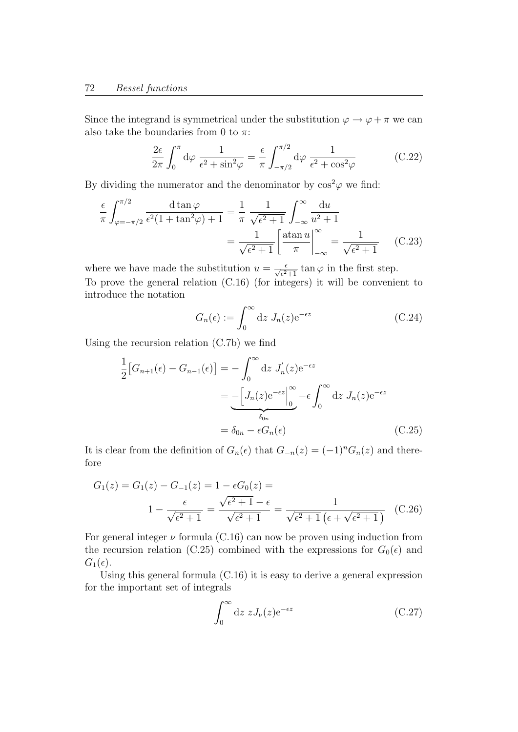Since the integrand is symmetrical under the substitution  $\varphi \to \varphi + \pi$  we can also take the boundaries from 0 to  $\pi$ :

$$
\frac{2\epsilon}{2\pi} \int_0^\pi d\varphi \, \frac{1}{\epsilon^2 + \sin^2 \varphi} = \frac{\epsilon}{\pi} \int_{-\pi/2}^{\pi/2} d\varphi \, \frac{1}{\epsilon^2 + \cos^2 \varphi} \tag{C.22}
$$

By dividing the numerator and the denominator by  $\cos^2\varphi$  we find:

$$
\frac{\epsilon}{\pi} \int_{\varphi = -\pi/2}^{\pi/2} \frac{\mathrm{d} \tan \varphi}{\epsilon^2 (1 + \tan^2 \varphi) + 1} = \frac{1}{\pi} \frac{1}{\sqrt{\epsilon^2 + 1}} \int_{-\infty}^{\infty} \frac{\mathrm{d} u}{u^2 + 1}
$$

$$
= \frac{1}{\sqrt{\epsilon^2 + 1}} \left[ \frac{\mathrm{atan} \, u}{\pi} \Big|_{-\infty}^{\infty} = \frac{1}{\sqrt{\epsilon^2 + 1}} \right] \quad \text{(C.23)}
$$

where we have made the substitution  $u = \frac{\epsilon}{\sqrt{\epsilon^2+1}} \tan \varphi$  in the first step. To prove the general relation (C.16) (for integers) it will be convenient to introduce the notation

$$
G_n(\epsilon) := \int_0^\infty dz \ J_n(z) e^{-\epsilon z} \tag{C.24}
$$

Using the recursion relation (C.7b) we find

$$
\frac{1}{2}[G_{n+1}(\epsilon) - G_{n-1}(\epsilon)] = -\int_0^\infty dz J'_n(z)e^{-\epsilon z}
$$

$$
= -\left[J_n(z)e^{-\epsilon z}\right]_0^\infty - \epsilon \int_0^\infty dz J_n(z)e^{-\epsilon z}
$$

$$
= \delta_{0n} - \epsilon G_n(\epsilon) \tag{C.25}
$$

It is clear from the definition of  $G_n(\epsilon)$  that  $G_{-n}(z) = (-1)^n G_n(z)$  and therefore

$$
G_1(z) = G_1(z) - G_{-1}(z) = 1 - \epsilon G_0(z) =
$$
  

$$
1 - \frac{\epsilon}{\sqrt{\epsilon^2 + 1}} = \frac{\sqrt{\epsilon^2 + 1} - \epsilon}{\sqrt{\epsilon^2 + 1}} = \frac{1}{\sqrt{\epsilon^2 + 1} (\epsilon + \sqrt{\epsilon^2 + 1})}
$$
 (C.26)

For general integer  $\nu$  formula (C.16) can now be proven using induction from the recursion relation (C.25) combined with the expressions for  $G_0(\epsilon)$  and  $G_1(\epsilon)$ .

Using this general formula (C.16) it is easy to derive a general expression for the important set of integrals

$$
\int_0^\infty dz \ z J_\nu(z) e^{-\epsilon z} \tag{C.27}
$$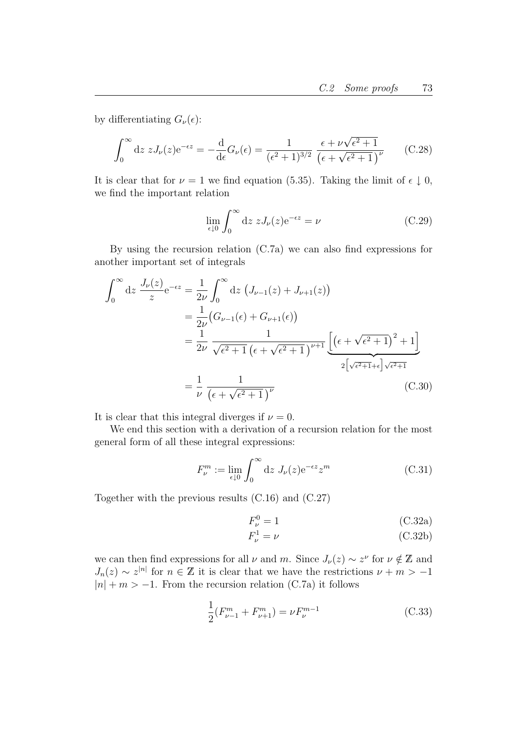by differentiating  $G_{\nu}(\epsilon)$ :

$$
\int_0^\infty dz \, z J_\nu(z) e^{-\epsilon z} = -\frac{d}{d\epsilon} G_\nu(\epsilon) = \frac{1}{(\epsilon^2 + 1)^{3/2}} \frac{\epsilon + \nu \sqrt{\epsilon^2 + 1}}{(\epsilon + \sqrt{\epsilon^2 + 1})^\nu} \qquad (C.28)
$$

It is clear that for  $\nu = 1$  we find equation (5.35). Taking the limit of  $\epsilon \downarrow 0$ , we find the important relation

$$
\lim_{\epsilon \downarrow 0} \int_0^\infty dz \ z J_\nu(z) e^{-\epsilon z} = \nu \tag{C.29}
$$

By using the recursion relation (C.7a) we can also find expressions for another important set of integrals

$$
\int_0^\infty dz \frac{J_\nu(z)}{z} e^{-\epsilon z} = \frac{1}{2\nu} \int_0^\infty dz \left( J_{\nu-1}(z) + J_{\nu+1}(z) \right)
$$
  
\n
$$
= \frac{1}{2\nu} \left( G_{\nu-1}(\epsilon) + G_{\nu+1}(\epsilon) \right)
$$
  
\n
$$
= \frac{1}{2\nu} \frac{1}{\sqrt{\epsilon^2 + 1} \left( \epsilon + \sqrt{\epsilon^2 + 1} \right)^{\nu+1}} \underbrace{\left[ \left( \epsilon + \sqrt{\epsilon^2 + 1} \right)^2 + 1 \right]}_{2 \left[ \sqrt{\epsilon^2 + 1} + \epsilon \right] \sqrt{\epsilon^2 + 1}}
$$
  
\n
$$
= \frac{1}{\nu} \frac{1}{\left( \epsilon + \sqrt{\epsilon^2 + 1} \right)^{\nu}} \qquad (C.30)
$$

It is clear that this integral diverges if  $\nu = 0$ .

We end this section with a derivation of a recursion relation for the most general form of all these integral expressions:

$$
F_{\nu}^{m} := \lim_{\epsilon \downarrow 0} \int_{0}^{\infty} dz \ J_{\nu}(z) e^{-\epsilon z} z^{m}
$$
 (C.31)

Together with the previous results (C.16) and (C.27)

$$
F_{\nu}^{0} = 1 \tag{C.32a}
$$

$$
F_{\nu}^{1} = \nu \tag{C.32b}
$$

we can then find expressions for all  $\nu$  and m. Since  $J_{\nu}(z) \sim z^{\nu}$  for  $\nu \notin \mathbb{Z}$  and  $J_n(z) \sim z^{|n|}$  for  $n \in \mathbb{Z}$  it is clear that we have the restrictions  $\nu + m > -1$  $|n| + m > -1$ . From the recursion relation (C.7a) it follows

$$
\frac{1}{2}(F_{\nu-1}^m + F_{\nu+1}^m) = \nu F_{\nu}^{m-1}
$$
\n(C.33)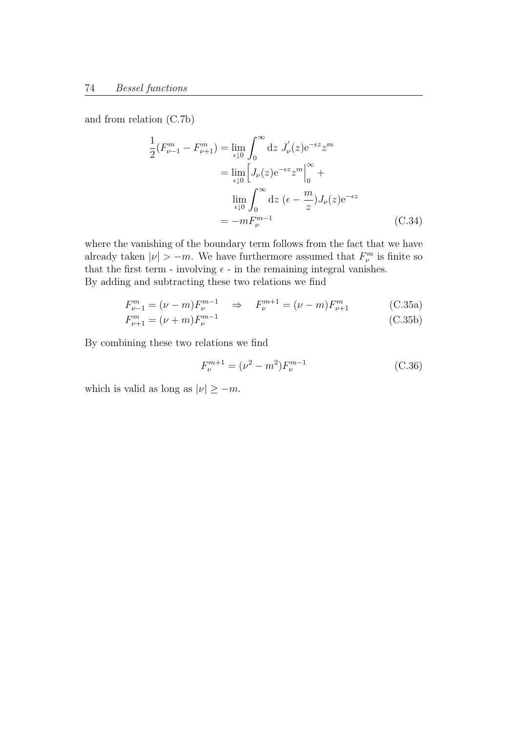and from relation (C.7b)

$$
\frac{1}{2}(F_{\nu-1}^m - F_{\nu+1}^m) = \lim_{\epsilon \downarrow 0} \int_0^\infty dz \ J_\nu'(z) e^{-\epsilon z} z^m
$$

$$
= \lim_{\epsilon \downarrow 0} \left[ J_\nu(z) e^{-\epsilon z} z^m \right]_0^\infty +
$$

$$
\lim_{\epsilon \downarrow 0} \int_0^\infty dz \ (\epsilon - \frac{m}{z}) J_\nu(z) e^{-\epsilon z}
$$

$$
= -m F_{\nu}^{m-1}
$$
(C.34)

where the vanishing of the boundary term follows from the fact that we have already taken  $|\nu| > -m$ . We have furthermore assumed that  $F_{\nu}^{m}$  is finite so that the first term - involving  $\epsilon$  - in the remaining integral vanishes. By adding and subtracting these two relations we find

$$
F_{\nu-1}^{m} = (\nu - m)F_{\nu}^{m-1} \Rightarrow F_{\nu}^{m+1} = (\nu - m)F_{\nu+1}^{m}
$$
 (C.35a)

$$
F_{\nu+1}^{m} = (\nu + m)F_{\nu}^{m-1}
$$
\n(C.35b)

By combining these two relations we find

$$
F_{\nu}^{m+1} = (\nu^2 - m^2) F_{\nu}^{m-1}
$$
\n(C.36)

which is valid as long as  $|\nu| \ge -m$ .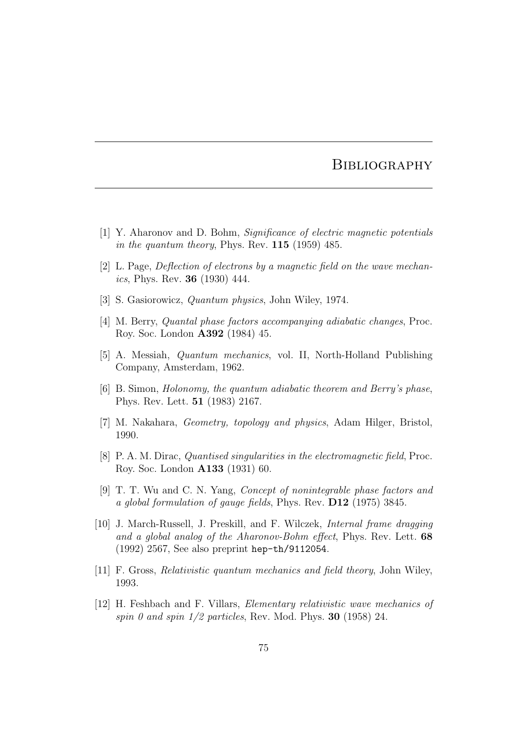## **BIBLIOGRAPHY**

- [1] Y. Aharonov and D. Bohm, Significance of electric magnetic potentials in the quantum theory, Phys. Rev.  $115$  (1959) 485.
- [2] L. Page, Deflection of electrons by a magnetic field on the wave mechanics, Phys. Rev. 36 (1930) 444.
- [3] S. Gasiorowicz, Quantum physics, John Wiley, 1974.
- [4] M. Berry, Quantal phase factors accompanying adiabatic changes, Proc. Roy. Soc. London A392 (1984) 45.
- [5] A. Messiah, Quantum mechanics, vol. II, North-Holland Publishing Company, Amsterdam, 1962.
- [6] B. Simon, Holonomy, the quantum adiabatic theorem and Berry's phase, Phys. Rev. Lett. 51 (1983) 2167.
- [7] M. Nakahara, *Geometry, topology and physics*, Adam Hilger, Bristol, 1990.
- [8] P. A. M. Dirac, Quantised singularities in the electromagnetic field, Proc. Roy. Soc. London A133 (1931) 60.
- [9] T. T. Wu and C. N. Yang, Concept of nonintegrable phase factors and a global formulation of gauge fields, Phys. Rev. D12 (1975) 3845.
- [10] J. March-Russell, J. Preskill, and F. Wilczek, Internal frame dragging and a global analog of the Aharonov-Bohm effect, Phys. Rev. Lett. 68 (1992) 2567, See also preprint hep-th/9112054.
- [11] F. Gross, Relativistic quantum mechanics and field theory, John Wiley, 1993.
- [12] H. Feshbach and F. Villars, Elementary relativistic wave mechanics of spin 0 and spin  $1/2$  particles, Rev. Mod. Phys. **30** (1958) 24.